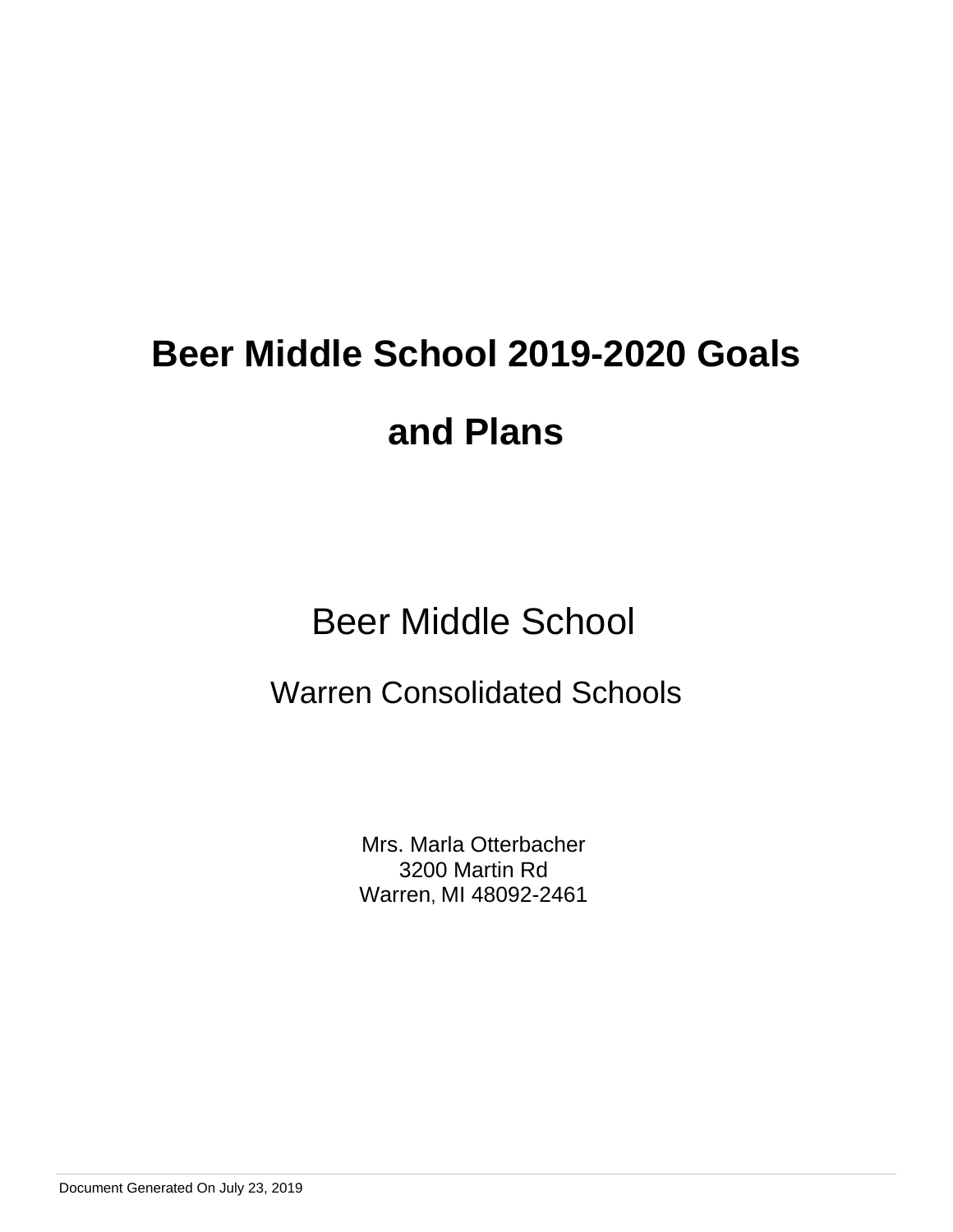# Beer Middle School

# Warren Consolidated Schools

Mrs. Marla Otterbacher 3200 Martin Rd Warren, MI 48092-2461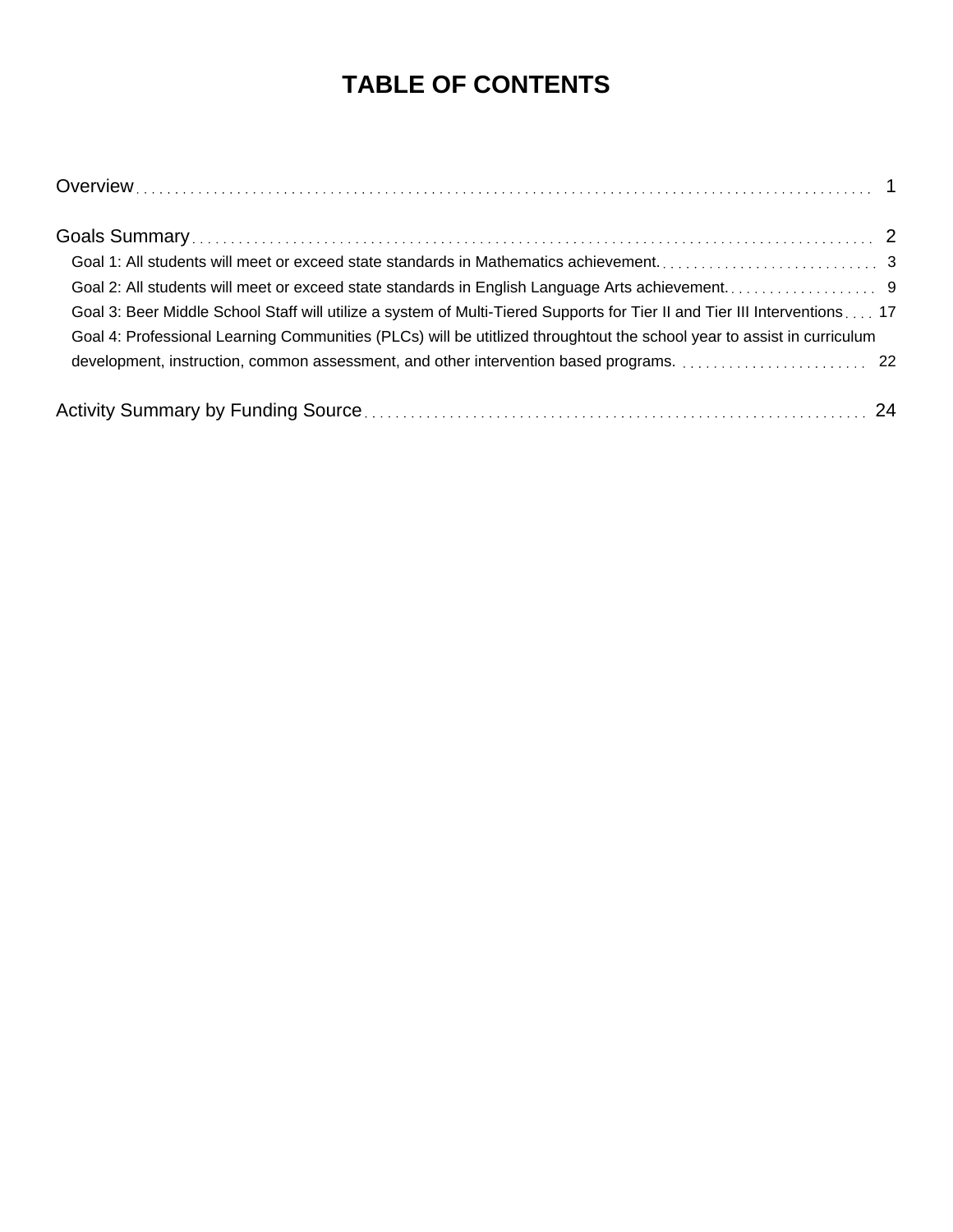# **TABLE OF CONTENTS**

| Goal 3: Beer Middle School Staff will utilize a system of Multi-Tiered Supports for Tier II and Tier III Interventions 17<br>Goal 4: Professional Learning Communities (PLCs) will be utitlized throughtout the school year to assist in curriculum |  |
|-----------------------------------------------------------------------------------------------------------------------------------------------------------------------------------------------------------------------------------------------------|--|
|                                                                                                                                                                                                                                                     |  |
|                                                                                                                                                                                                                                                     |  |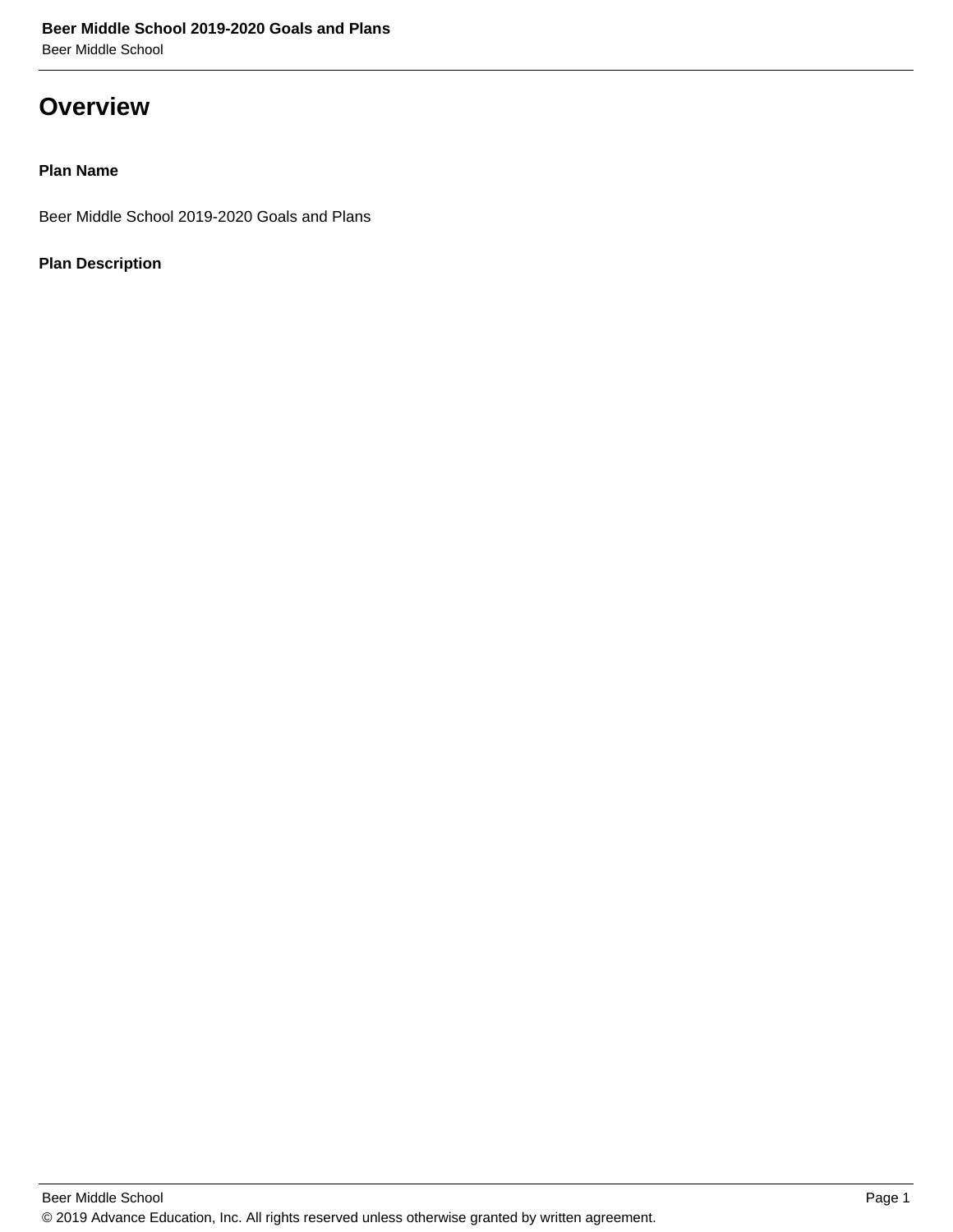### **Overview**

#### **Plan Name**

Beer Middle School 2019-2020 Goals and Plans

#### **Plan Description**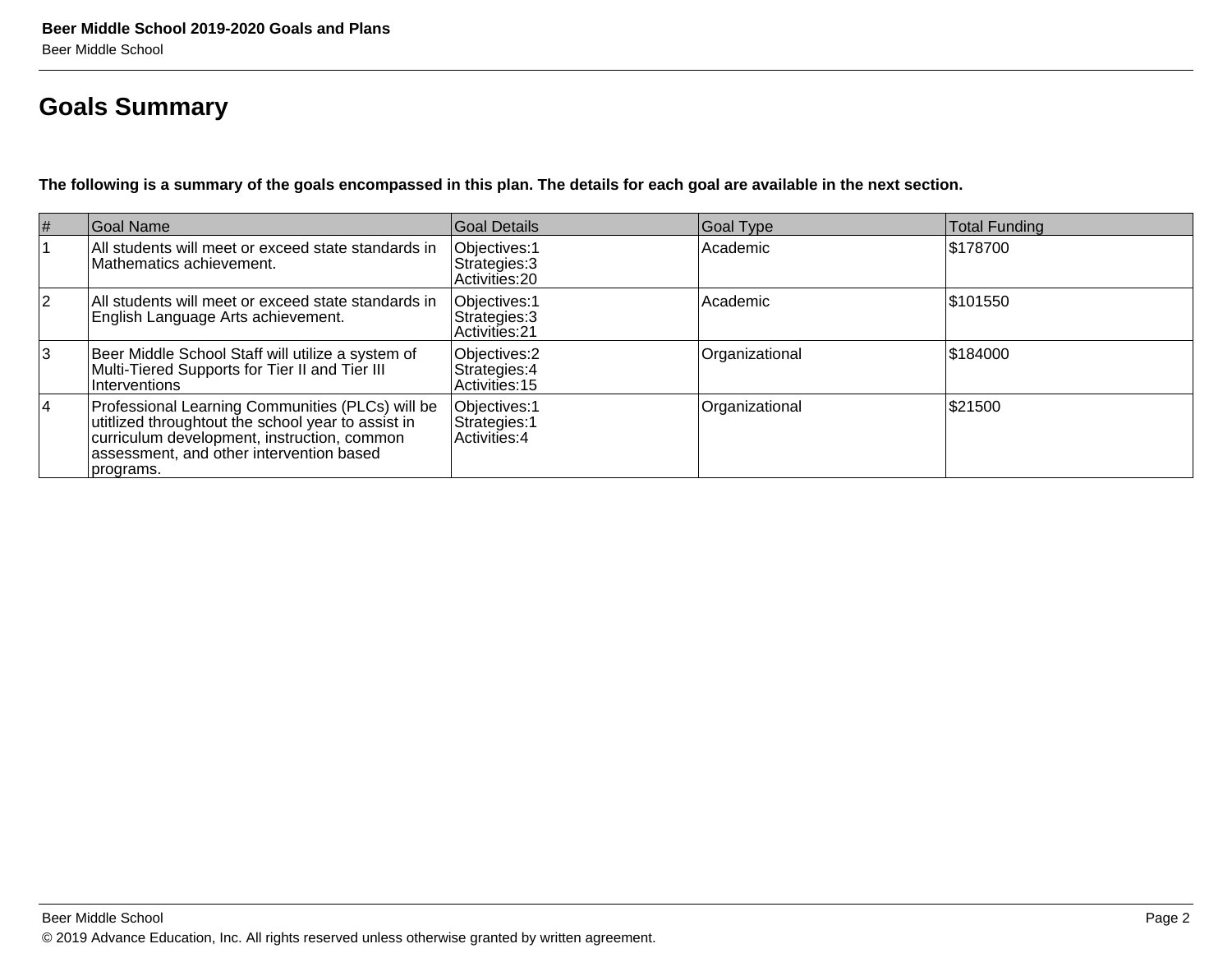# **Goals Summary**

**The following is a summary of the goals encompassed in this plan. The details for each goal are available in the next section.**

| $\vert \#$     | Goal Name                                                                                                                                                                                                      | Goal Details                                            | Goal Type      | <b>Total Funding</b> |
|----------------|----------------------------------------------------------------------------------------------------------------------------------------------------------------------------------------------------------------|---------------------------------------------------------|----------------|----------------------|
|                | All students will meet or exceed state standards in<br>Mathematics achievement.                                                                                                                                | Objectives: 1<br>Strategies: 3<br>Activities: 20        | Academic       | \$178700             |
| $\overline{2}$ | All students will meet or exceed state standards in<br>English Language Arts achievement.                                                                                                                      | Objectives: 1<br>Strategies: 3<br><b>Activities: 21</b> | Academic       | \$101550             |
| 3              | Beer Middle School Staff will utilize a system of<br>Multi-Tiered Supports for Tier II and Tier III<br>Interventions                                                                                           | Objectives: 2<br>Strategies: 4<br>Activities: 15        | Organizational | \$184000             |
| <sup>4</sup>   | Professional Learning Communities (PLCs) will be<br>utitlized throughtout the school year to assist in<br>curriculum development, instruction, common<br>assessment, and other intervention based<br>programs. | Objectives: 1<br>Strategies: 1<br>Activities: 4         | Organizational | \$21500              |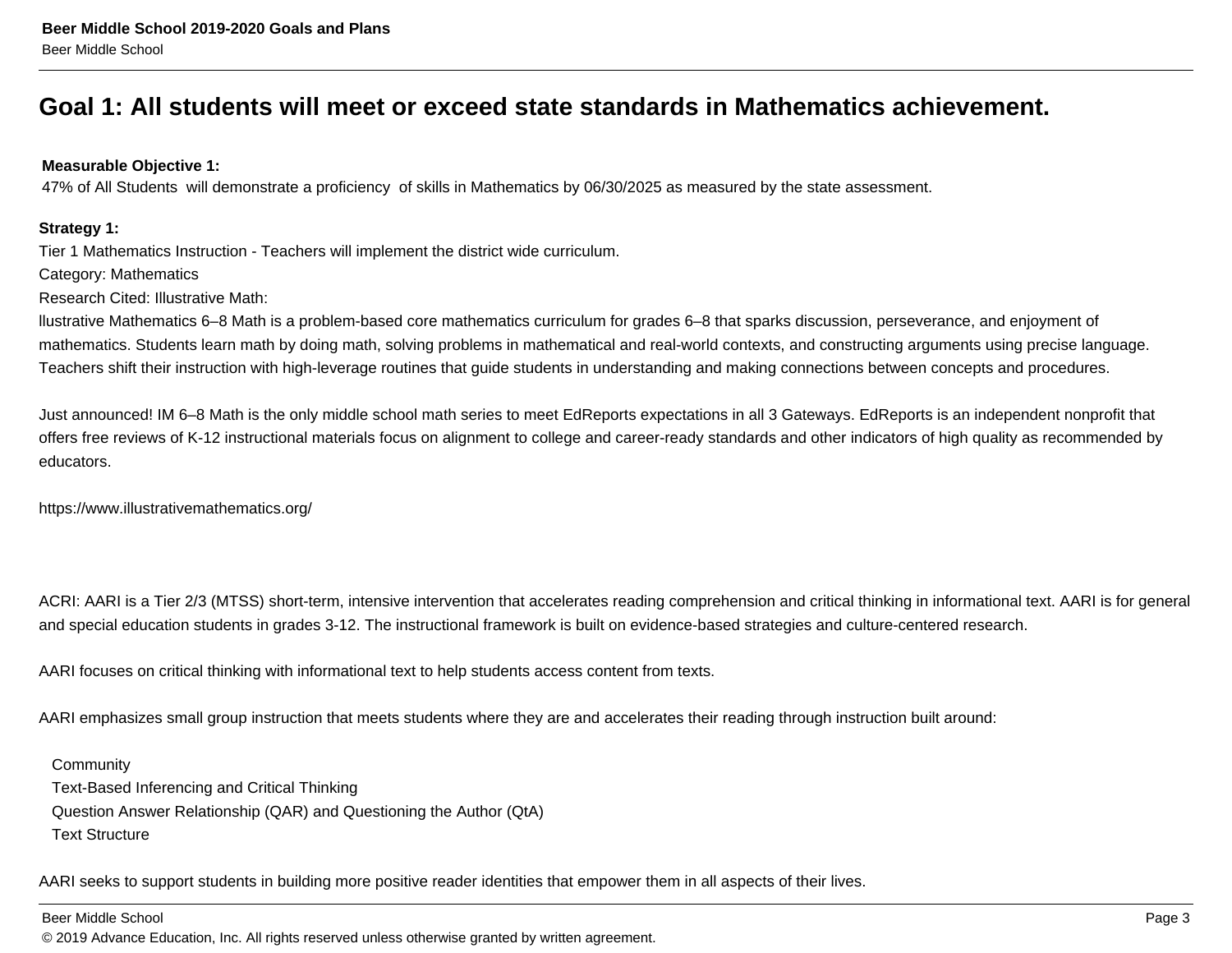### **Goal 1: All students will meet or exceed state standards in Mathematics achievement.**

#### **Measurable Objective 1:**

47% of All Students will demonstrate a proficiency of skills in Mathematics by 06/30/2025 as measured by the state assessment.

#### **Strategy 1:**

Tier 1 Mathematics Instruction - Teachers will implement the district wide curriculum.

Category: Mathematics

Research Cited: Illustrative Math:

llustrative Mathematics 6–8 Math is a problem-based core mathematics curriculum for grades 6–8 that sparks discussion, perseverance, and enjoyment ofmathematics. Students learn math by doing math, solving problems in mathematical and real-world contexts, and constructing arguments using precise language.Teachers shift their instruction with high-leverage routines that guide students in understanding and making connections between concepts and procedures.

Just announced! IM 6–8 Math is the only middle school math series to meet EdReports expectations in all 3 Gateways. EdReports is an independent nonprofit thatoffers free reviews of K-12 instructional materials focus on alignment to college and career-ready standards and other indicators of high quality as recommended byeducators.

https://www.illustrativemathematics.org/

ACRI: AARI is a Tier 2/3 (MTSS) short-term, intensive intervention that accelerates reading comprehension and critical thinking in informational text. AARI is for generaland special education students in grades 3-12. The instructional framework is built on evidence-based strategies and culture-centered research.

AARI focuses on critical thinking with informational text to help students access content from texts.

AARI emphasizes small group instruction that meets students where they are and accelerates their reading through instruction built around:

**Community**  Text-Based Inferencing and Critical Thinking Question Answer Relationship (QAR) and Questioning the Author (QtA)Text Structure

AARI seeks to support students in building more positive reader identities that empower them in all aspects of their lives.

Beer Middle School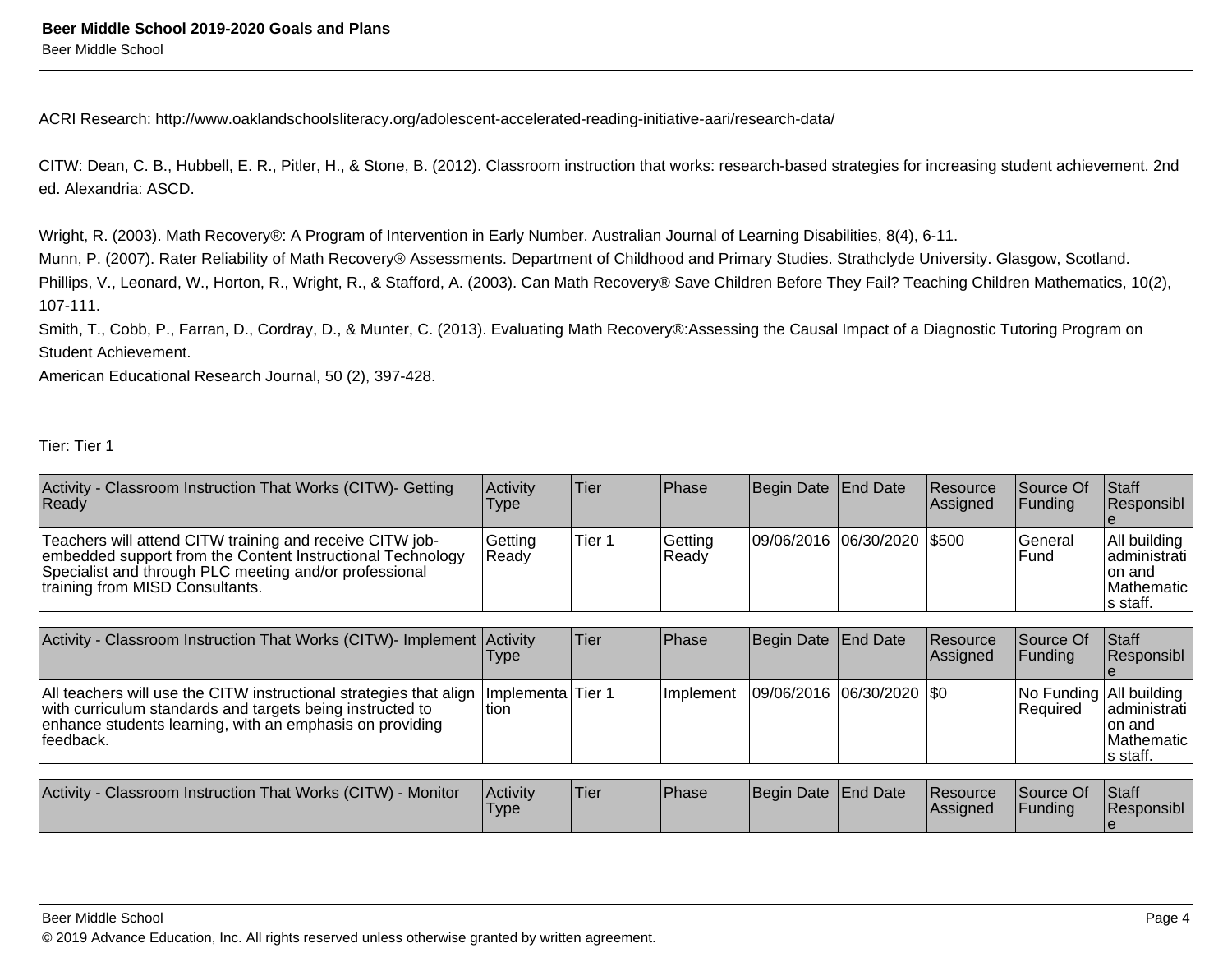ACRI Research: http://www.oaklandschoolsliteracy.org/adolescent-accelerated-reading-initiative-aari/research-data/

CITW: Dean, C. B., Hubbell, E. R., Pitler, H., & Stone, B. (2012). Classroom instruction that works: research-based strategies for increasing student achievement. 2nded. Alexandria: ASCD.

Wright, R. (2003). Math Recovery®: A Program of Intervention in Early Number. Australian Journal of Learning Disabilities, 8(4), 6-11.

Munn, P. (2007). Rater Reliability of Math Recovery® Assessments. Department of Childhood and Primary Studies. Strathclyde University. Glasgow, Scotland.Phillips, V., Leonard, W., Horton, R., Wright, R., & Stafford, A. (2003). Can Math Recovery® Save Children Before They Fail? Teaching Children Mathematics, 10(2),107-111.

Smith, T., Cobb, P., Farran, D., Cordray, D., & Munter, C. (2013). Evaluating Math Recovery®:Assessing the Causal Impact of a Diagnostic Tutoring Program on Student Achievement.

American Educational Research Journal, 50 (2), 397-428.

Tier: Tier 1

| Activity - Classroom Instruction That Works (CITW)- Getting<br>Ready                                                                                                                                                | Activity<br>Type   | Tier        | Phase            | Begin Date                | End Date        | Resource<br> Assigned | Source Of<br>Funding                  | <b>Staff</b><br> Responsibl_                                         |
|---------------------------------------------------------------------------------------------------------------------------------------------------------------------------------------------------------------------|--------------------|-------------|------------------|---------------------------|-----------------|-----------------------|---------------------------------------|----------------------------------------------------------------------|
| Teachers will attend CITW training and receive CITW job-<br>embedded support from the Content Instructional Technology<br>Specialist and through PLC meeting and/or professional<br>training from MISD Consultants. | Getting<br>Ready   | Tier 1      | Getting<br>Ready | 09/06/2016  06/30/2020    |                 | 1\$500                | lGeneral<br>Fund                      | All building<br>ladministrati<br>Ion and<br>lMathematic<br>ls staff. |
|                                                                                                                                                                                                                     |                    |             |                  |                           |                 |                       |                                       |                                                                      |
| Activity - Classroom Instruction That Works (CITW)- Implement Activity                                                                                                                                              | I ype              | <b>Tier</b> | Phase            | Begin Date                | End Date        | Resource<br> Assigned | Source Of<br>Funding                  | Staff<br> Responsibl_                                                |
| All teachers will use the CITW instructional strategies that align<br>with curriculum standards and targets being instructed to<br>enhance students learning, with an emphasis on providing<br>feedback.            | Implementa<br>tion | Tier 1      | Implement        | 09/06/2016 06/30/2020 \$0 |                 |                       | No Funding   All building<br>Required | administrati<br>Ion and<br>lMathematic<br>∣s staff.                  |
|                                                                                                                                                                                                                     |                    |             |                  |                           |                 |                       |                                       |                                                                      |
| Activity - Classroom Instruction That Works (CITW) - Monitor                                                                                                                                                        | Activity<br>Type   | Tier        | Phase            | Begin Date                | <b>End Date</b> | Resource<br> Assigned | Source Of<br>Funding                  | Staff<br> Responsibl                                                 |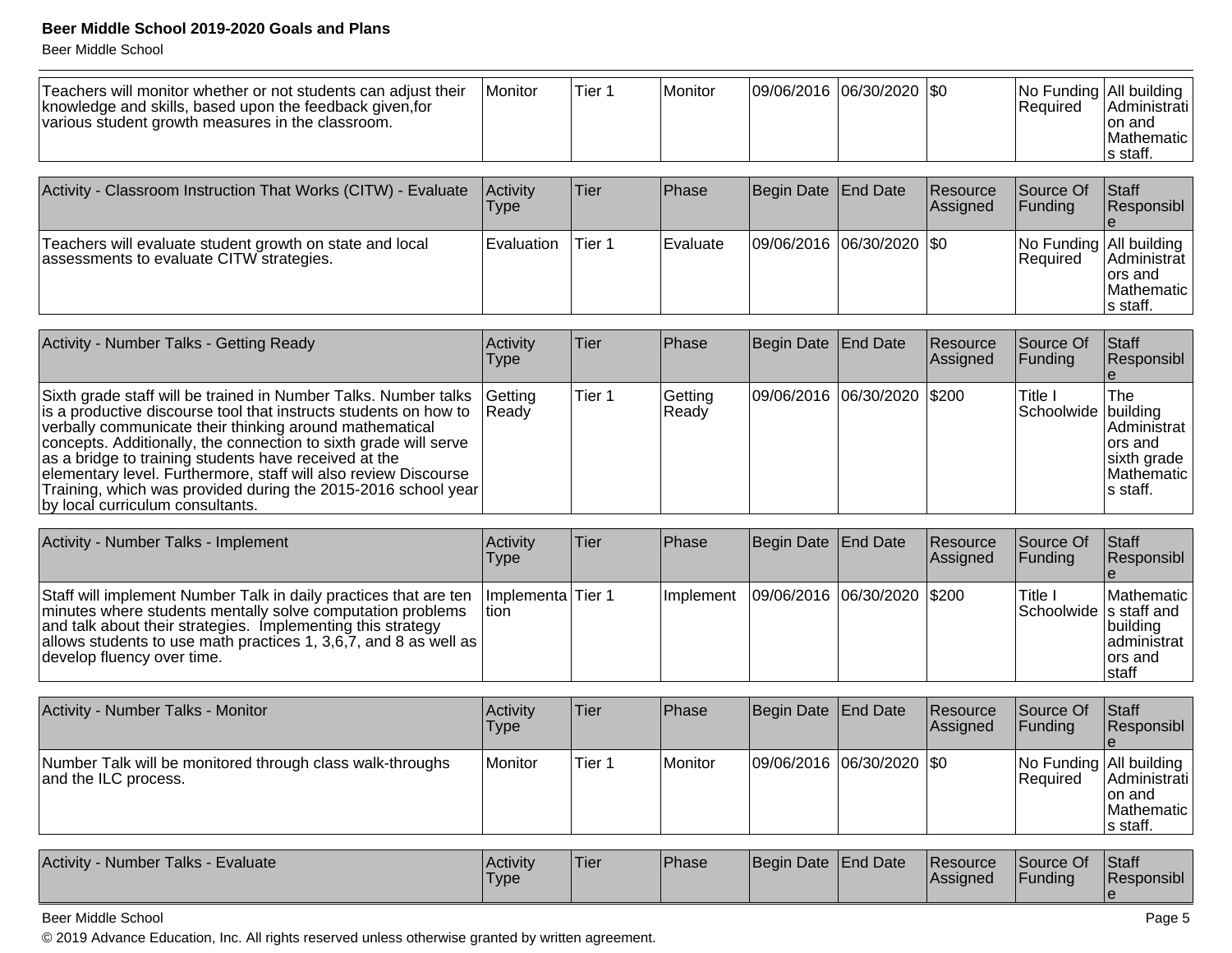Beer Middle School

| Teachers will monitor whether or not students can adjust their<br>knowledge and skills, based upon the feedback given, for<br>various student growth measures in the classroom. | Monitor                 | Tier 1            | Monitor                                     | 09/06/2016 06/30/2020   \$0 |                 |                      | No Funding All building<br> Required | Administrati<br>Ion and<br>Mathematic<br>s staff.      |
|---------------------------------------------------------------------------------------------------------------------------------------------------------------------------------|-------------------------|-------------------|---------------------------------------------|-----------------------------|-----------------|----------------------|--------------------------------------|--------------------------------------------------------|
|                                                                                                                                                                                 |                         |                   |                                             |                             |                 |                      |                                      |                                                        |
| Activity - Classroom Instruction That Works (CITW) - Evaluate                                                                                                                   | Activity<br><b>Type</b> | <b>Tier</b>       | Phase                                       | Begin Date                  | <b>End Date</b> | Resource<br>Assigned | Source Of<br>Funding                 | Staff<br>Responsibl                                    |
| Teachers will evaluate student growth on state and local<br>assessments to evaluate CITW strategies.                                                                            | Evaluation              | Tier 1            | lEvaluate                                   | 09/06/2016  06/30/2020  \$0 |                 |                      | No Funding All building<br>Required  | Administrat  <br>lors and<br>lMathematic l<br>s staff. |
|                                                                                                                                                                                 |                         |                   |                                             |                             |                 |                      |                                      |                                                        |
| Activity - Number Talks - Getting Ready                                                                                                                                         | Activity<br>Type        | <b>Tier</b>       | Phase                                       | Begin Date End Date         |                 | Resource<br>Assigned | Source Of<br>Funding                 | Staff<br>Responsibl                                    |
| Sixth grade staff will be trained in Number Talks. Number talks<br>فالمناصر والمناصر والمستقلص والمستنقص والمنافس المراجية والمستنقص والمستنقل والمنابذ والمساورة               | Getting                 | Tier <sub>1</sub> | Getting<br>$\mathbf{D}$ $\sim$ $\mathbf{A}$ | 09/06/2016                  | 06/30/2020      | \$200                | Title I<br>المنافذ والمتمامين        | The<br>المناقب القراريا                                |

| is a productive discourse tool that instructs students on how to Ready |  | Ready |  | Schoolwide building |               |
|------------------------------------------------------------------------|--|-------|--|---------------------|---------------|
| verbally communicate their thinking around mathematical                |  |       |  |                     | l Administrat |
| concepts. Additionally, the connection to sixth grade will serve       |  |       |  |                     | lors and      |
| as a bridge to training students have received at the                  |  |       |  |                     | sixth grade   |
| elementary level. Furthermore, staff will also review Discourse        |  |       |  |                     | IMathematic I |
| Training, which was provided during the 2015-2016 school year          |  |       |  |                     | Is staff.     |
| (by local curriculum consultants.)                                     |  |       |  |                     |               |
|                                                                        |  |       |  |                     |               |

| Activity - Number Talks - Implement                                                                                                                                                                                                                                                                     | <b>Activity</b><br><b>Type</b> | lTier. | <b>IPhase</b>     | Begin Date End Date           | <b>Resource</b><br><b>Assigned</b> | <b>Source Of</b><br>IFundina | <b>Staff</b><br>Responsibl                                                                   |
|---------------------------------------------------------------------------------------------------------------------------------------------------------------------------------------------------------------------------------------------------------------------------------------------------------|--------------------------------|--------|-------------------|-------------------------------|------------------------------------|------------------------------|----------------------------------------------------------------------------------------------|
| Staff will implement Number Talk in daily practices that are ten<br>minutes where students mentally solve computation problems<br>and talk about their strategies. Implementing this strategy<br>allows students to use math practices 1, 3,6,7, and 8 as well as $\vert$<br>develop fluency over time. | Ilmplementa lTier 1<br>Ition   |        | <b>Ilmplement</b> | 09/06/2016  06/30/2020  \$200 |                                    | Title I                      | Mathematic<br>Schoolwide  s staff and  <br>Ibuildina<br> administrat  <br>lors and<br>Istaff |

| Activity - Number Talks - Monitor                                                 | Activitv<br>Type | Tier   | <b>Phase</b> | Begin Date   End Date |                           | Resource<br><b>Assigned</b> | Source Of<br><b>IFundina</b>                | <b>IStaff</b><br>Responsibl                             |
|-----------------------------------------------------------------------------------|------------------|--------|--------------|-----------------------|---------------------------|-----------------------------|---------------------------------------------|---------------------------------------------------------|
| Number Talk will be monitored through class walk-throughs<br>and the ILC process. | Monitor          | Tier 1 | Monitor      |                       | 09/06/2016 06/30/2020 \$0 |                             | No Funding All building<br><b>IRequired</b> | Administrati  <br>Ton and<br> Mathematic  <br>∣s staff. |

| Activity - Number Talks - Evaluate | Activity<br><b>Type</b> | 'Tier | Phase | Begin Date End Date |  | <b>Resource</b><br><b>Assigned</b> | Source Of<br><b>Funding</b> | <b>Staff</b><br>Responsibl |
|------------------------------------|-------------------------|-------|-------|---------------------|--|------------------------------------|-----------------------------|----------------------------|
|------------------------------------|-------------------------|-------|-------|---------------------|--|------------------------------------|-----------------------------|----------------------------|

Beer Middle School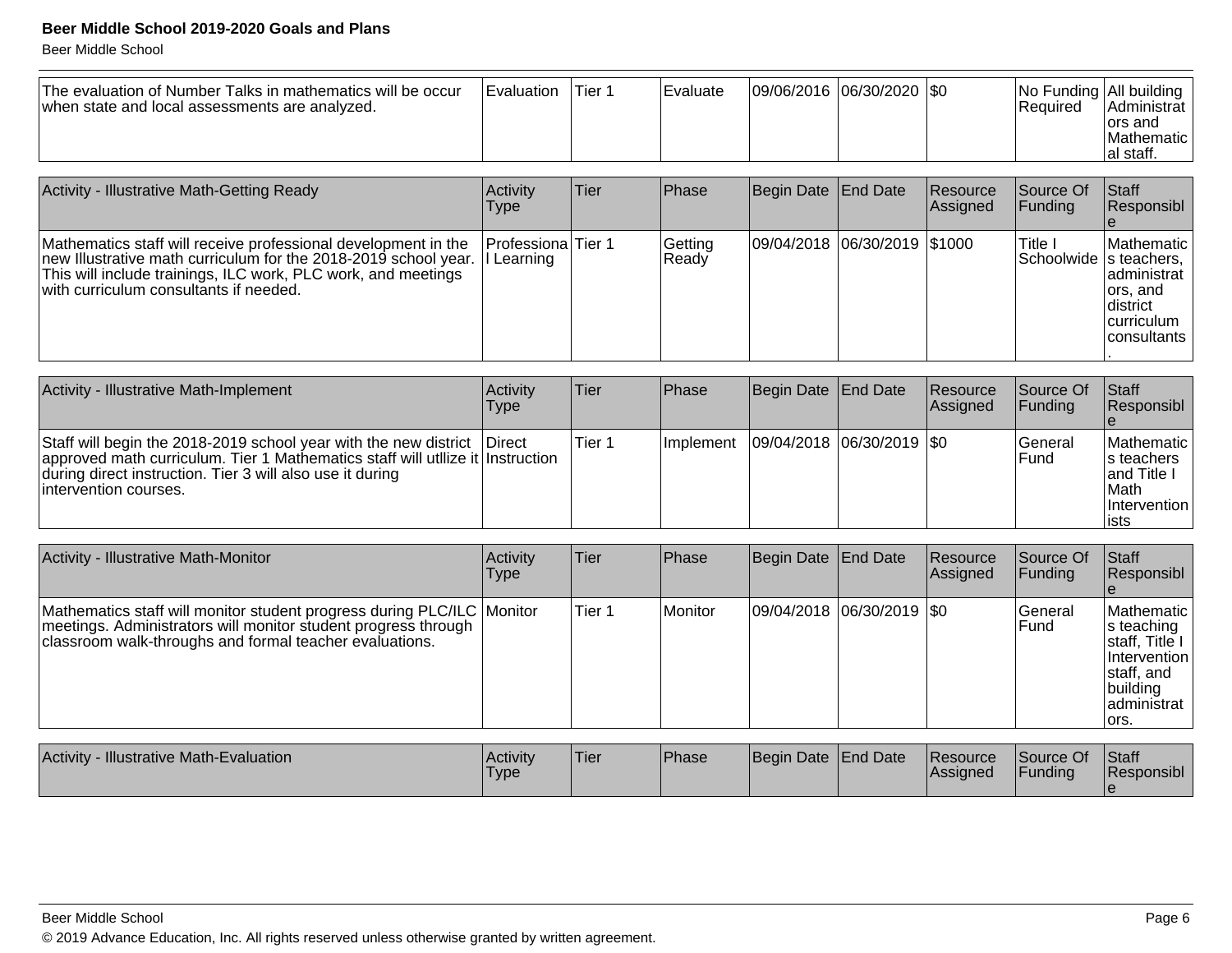| The evaluation of Number Talks in mathematics will be occur<br>when state and local assessments are analyzed. | <b>I</b> Evaluation | Tier 1 | Evaluate |  | 09/06/2016  06/30/2020  \$0 |  | No Funding All building<br>l Reauired | IAdministrat l<br>lors and<br>IMathematic <sup>1</sup><br>lal staff. |
|---------------------------------------------------------------------------------------------------------------|---------------------|--------|----------|--|-----------------------------|--|---------------------------------------|----------------------------------------------------------------------|
|---------------------------------------------------------------------------------------------------------------|---------------------|--------|----------|--|-----------------------------|--|---------------------------------------|----------------------------------------------------------------------|

| Activity - Illustrative Math-Getting Ready                                                                                                                                                                                                              | Activity<br>Type     | Tier | <b>Phase</b>     | Begin Date End Date |                              | Resource<br>Assigned | Source Of<br><b>IFunding</b>        | Staff<br>Responsibl                                                                                      |
|---------------------------------------------------------------------------------------------------------------------------------------------------------------------------------------------------------------------------------------------------------|----------------------|------|------------------|---------------------|------------------------------|----------------------|-------------------------------------|----------------------------------------------------------------------------------------------------------|
| Mathematics staff will receive professional development in the<br>new Illustrative math curriculum for the 2018-2019 school year. I Learning<br>This will include trainings, ILC work, PLC work, and meetings<br>with curriculum consultants if needed. | Professiona   Tier 1 |      | Getting<br>Ready |                     | 09/04/2018 06/30/2019 \$1000 |                      | Title I<br>Schoolwide   s teachers, | <b>IMathematic</b><br>administrat<br>lors, and<br>Idistrict<br><b>Icurriculum</b><br><b>Iconsultants</b> |

| Activity - Illustrative Math-Implement                                                                                                                                                                                                             | Activity<br>Type | lTier: | <b>IPhase</b>     | Begin Date   End Date       | Resource<br><b>Assigned</b> | Source Of<br><b>IFunding</b> | Staff<br>Responsibl                                                                         |
|----------------------------------------------------------------------------------------------------------------------------------------------------------------------------------------------------------------------------------------------------|------------------|--------|-------------------|-----------------------------|-----------------------------|------------------------------|---------------------------------------------------------------------------------------------|
| Staff will begin the 2018-2019 school year with the new district   Direct<br>approved math curriculum. Tier 1 Mathematics staff will utilize it Instruction<br>during direct instruction. Tier 3 will also use it during<br>lintervention courses. |                  | Tier 1 | <b>Ilmplement</b> | 09/04/2018  06/30/2019  \$0 |                             | lGeneral<br>lFund            | Mathematic<br>Is teachers<br><b>land Title I</b><br><b>IMath</b><br>Intervention I<br>lists |

| <b>Activity - Illustrative Math-Monitor</b>                                                                                                                                                         | Activity<br><b>Type</b> | Tier   | <b>Phase</b> | Begin Date End Date       | Resource<br>Assigned | Source Of<br> Funding | Staff<br>Responsibl                                                                                            |
|-----------------------------------------------------------------------------------------------------------------------------------------------------------------------------------------------------|-------------------------|--------|--------------|---------------------------|----------------------|-----------------------|----------------------------------------------------------------------------------------------------------------|
| Mathematics staff will monitor student progress during PLC/ILC Monitor<br>meetings. Administrators will monitor student progress through<br>classroom walk-throughs and formal teacher evaluations. |                         | Tier 1 | Monitor      | 09/04/2018 06/30/2019 \$0 |                      | lGeneral<br>lFund     | Mathematic<br>s teaching<br>∣staff, Title I<br>Intervention<br>staff, and<br>building<br>ladministrat<br>lors. |

| <b>Activity</b><br>- Illustrative Math-Evaluation | Activity<br>Type | 'Tier | <b>Phase</b> | Begin Date End Date | <b>Resource</b><br><b>Assigned</b> | Source Of<br><b>IFunding</b> | Staff<br><b>Responsibl</b> |
|---------------------------------------------------|------------------|-------|--------------|---------------------|------------------------------------|------------------------------|----------------------------|
|                                                   |                  |       |              |                     |                                    |                              |                            |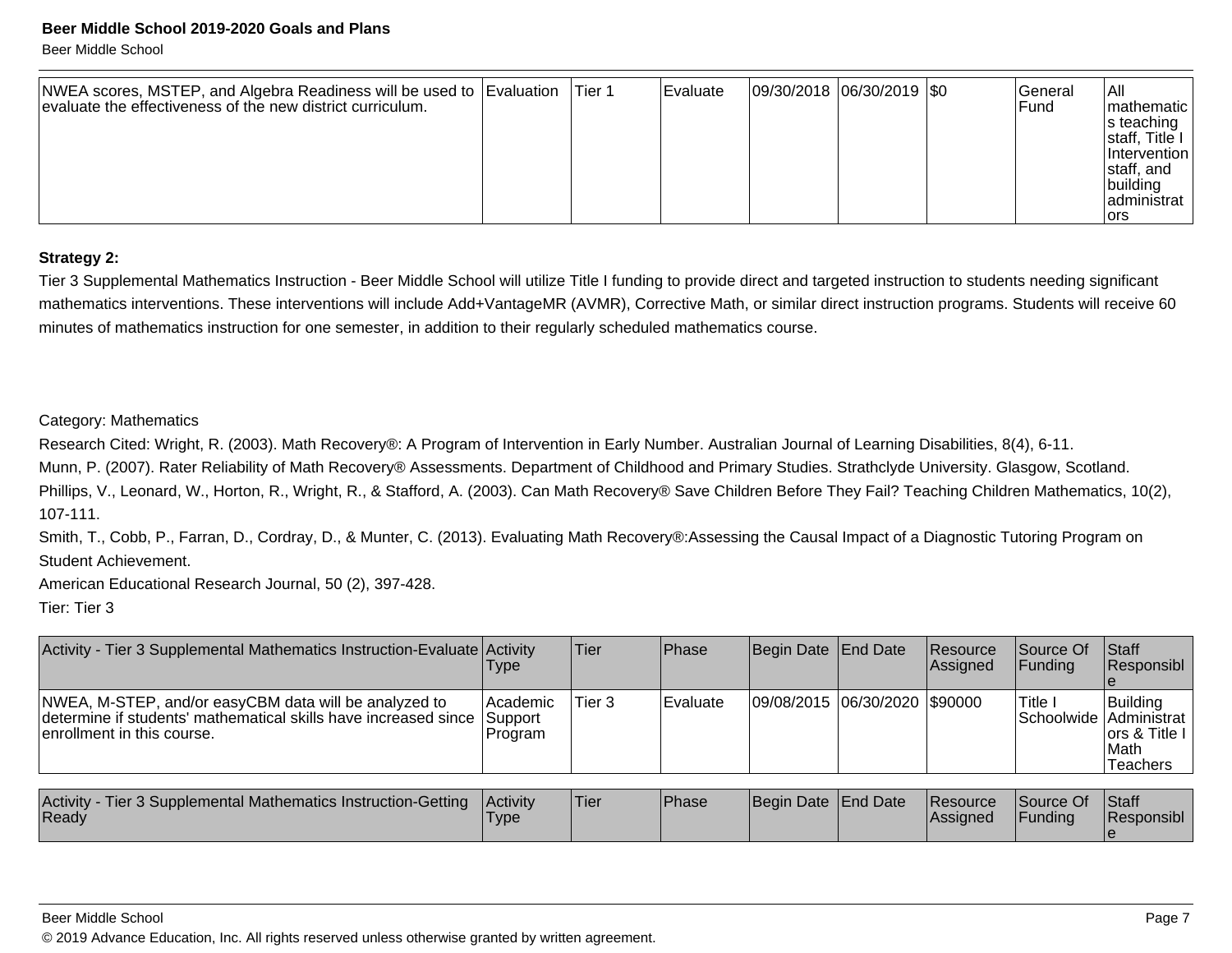Beer Middle School

| NWEA scores, MSTEP, and Algebra Readiness will be used to Evaluation<br>evaluate the effectiveness of the new district curriculum. |  | lTier 1 | Evaluate | 09/30/2018 06/30/2019 50 |  |  | lGeneral<br>lFund. | IAII<br>Imathematic I<br>$ s $ teaching $ s $<br>staff, Title I<br>Intervention<br>staff, and<br> building<br>ladministrat<br>lors |
|------------------------------------------------------------------------------------------------------------------------------------|--|---------|----------|--------------------------|--|--|--------------------|------------------------------------------------------------------------------------------------------------------------------------|
|------------------------------------------------------------------------------------------------------------------------------------|--|---------|----------|--------------------------|--|--|--------------------|------------------------------------------------------------------------------------------------------------------------------------|

#### **Strategy 2:**

Tier 3 Supplemental Mathematics Instruction - Beer Middle School will utilize Title I funding to provide direct and targeted instruction to students needing significantmathematics interventions. These interventions will include Add+VantageMR (AVMR), Corrective Math, or similar direct instruction programs. Students will receive 60minutes of mathematics instruction for one semester, in addition to their regularly scheduled mathematics course.

#### Category: Mathematics

Research Cited: Wright, R. (2003). Math Recovery®: A Program of Intervention in Early Number. Australian Journal of Learning Disabilities, 8(4), 6-11.

Munn, P. (2007). Rater Reliability of Math Recovery® Assessments. Department of Childhood and Primary Studies. Strathclyde University. Glasgow, Scotland.Phillips, V., Leonard, W., Horton, R., Wright, R., & Stafford, A. (2003). Can Math Recovery® Save Children Before They Fail? Teaching Children Mathematics, 10(2),107-111.

Smith, T., Cobb, P., Farran, D., Cordray, D., & Munter, C. (2013). Evaluating Math Recovery®:Assessing the Causal Impact of a Diagnostic Tutoring Program onStudent Achievement.

American Educational Research Journal, 50 (2), 397-428.

Tier: Tier 3

| Activity - Tier 3 Supplemental Mathematics Instruction-Evaluate Activity                                                                                        | <b>Type</b>          | lTier. | Phase            | Begin Date   End Date         | <b>Resource</b><br>Assigned | <b>Source Of</b><br>IFundina | <b>Staff</b><br>Responsibl                                                       |
|-----------------------------------------------------------------------------------------------------------------------------------------------------------------|----------------------|--------|------------------|-------------------------------|-----------------------------|------------------------------|----------------------------------------------------------------------------------|
| NWEA, M-STEP, and/or easyCBM data will be analyzed to<br>determine if students' mathematical skills have increased since Support<br>lenrollment in this course. | Academic <br>Program | Tier 3 | <b>IEvaluate</b> | 09/08/2015 06/30/2020 \$90000 |                             | <b>Title I</b>               | Building<br>Schoolwide Administrat<br>lors & Title I<br><b>IMath</b><br>Teachers |

| Activity - Tier 3 Supplemental Mathematics Instruction-Getting<br>Ready | <b>Activity</b><br>'Type | 'Tier | <b>Phase</b> | Begin Date End Date |  | <b>Resource</b><br><b>Assigned</b> | Source Of<br>Funding | <b>Staff</b><br>Responsibl |
|-------------------------------------------------------------------------|--------------------------|-------|--------------|---------------------|--|------------------------------------|----------------------|----------------------------|
|-------------------------------------------------------------------------|--------------------------|-------|--------------|---------------------|--|------------------------------------|----------------------|----------------------------|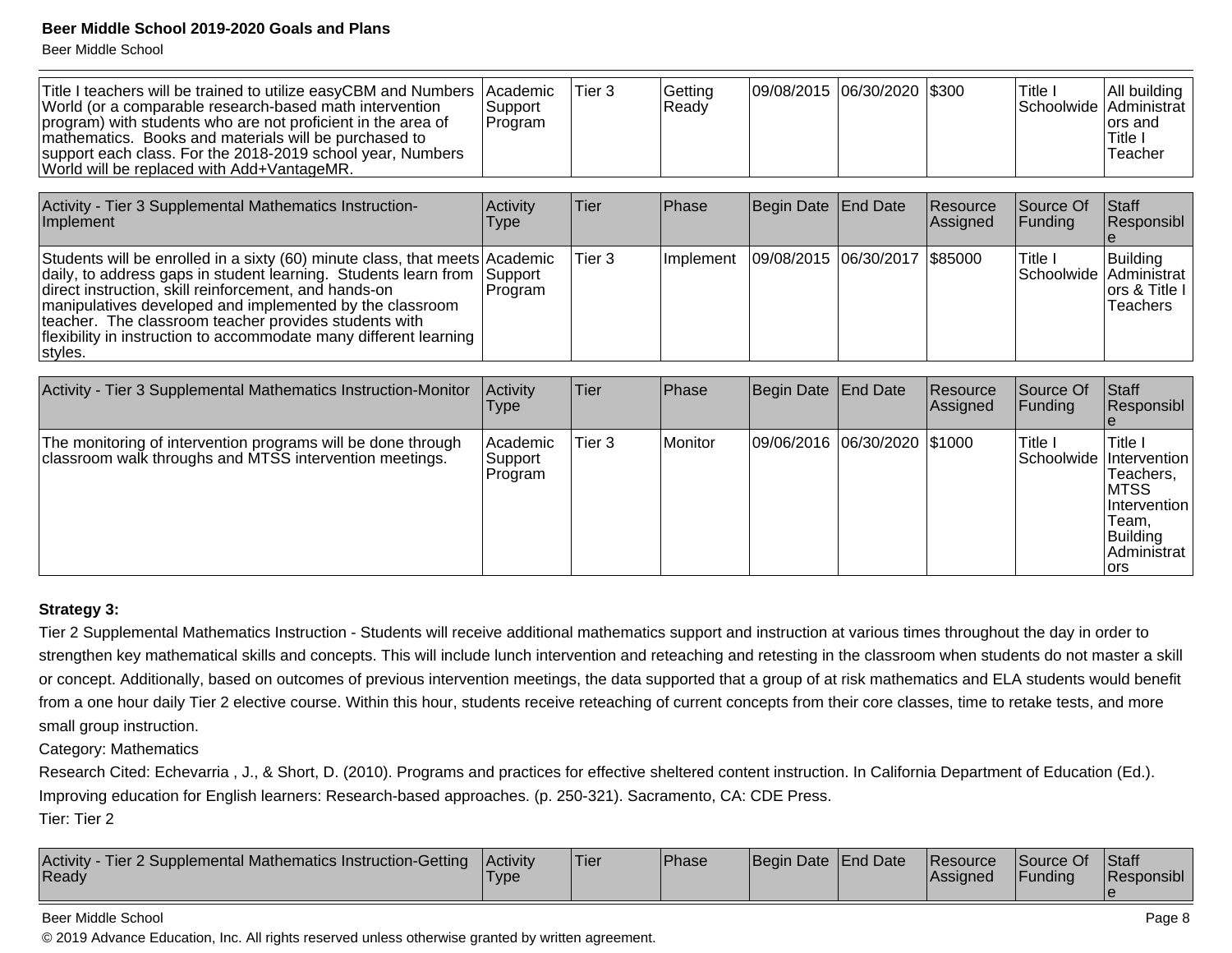Beer Middle School

| Title I teachers will be trained to utilize easyCBM and Numbers<br>World (or a comparable research-based math intervention<br>program) with students who are not proficient in the area of<br>mathematics. Books and materials will be purchased to<br>support each class. For the 2018-2019 school year, Numbers<br>World will be replaced with Add+VantageMR.                                              | Academic<br>Support<br>Program | Tier 3      | Getting<br>Ready | 09/08/2015 06/30/2020 \$300 |                                |                      | Title I<br>Schoolwide   | All building<br>Administrat<br>lors and<br>Title I<br>Teacher |
|--------------------------------------------------------------------------------------------------------------------------------------------------------------------------------------------------------------------------------------------------------------------------------------------------------------------------------------------------------------------------------------------------------------|--------------------------------|-------------|------------------|-----------------------------|--------------------------------|----------------------|-------------------------|---------------------------------------------------------------|
| Activity - Tier 3 Supplemental Mathematics Instruction-<br>Implement                                                                                                                                                                                                                                                                                                                                         | Activity<br>Type               | Tier        | Phase            | Begin Date                  | End Date                       | Resource<br>Assigned | Source Of<br>Funding    | Staff<br>Responsibl                                           |
| Students will be enrolled in a sixty (60) minute class, that meets Academic<br>daily, to address gaps in student learning. Students learn from<br>direct instruction, skill reinforcement, and hands-on<br>manipulatives developed and implemented by the classroom<br>teacher. The classroom teacher provides students with<br>flexibility in instruction to accommodate many different learning<br>styles. | Support<br>Program             | Tier 3      | Implement        | 09/08/2015                  | $ 06/30/2017 $ \$85000         |                      | Title I<br>Schoolwide   | Building<br>Administrat<br>lors & Title I<br>Teachers         |
|                                                                                                                                                                                                                                                                                                                                                                                                              |                                |             |                  |                             |                                |                      | Source Of               | Staff                                                         |
| Activity - Tier 3 Supplemental Mathematics Instruction-Monitor                                                                                                                                                                                                                                                                                                                                               | <b>Activity</b><br>Type        | <b>Tier</b> | Phase            | <b>Begin Date</b>           | <b>End Date</b>                | Resource<br>Assigned | Funding                 | <b>Responsibl</b>                                             |
| The monitoring of intervention programs will be done through<br>classroom walk throughs and MTSS intervention meetings.                                                                                                                                                                                                                                                                                      | Academic<br>Support<br>Program | Tier 3      | Monitor          |                             | 09/06/2016  06/30/2020  \$1000 |                      | Title I<br>Schoolwide I | Title I<br>Intervention<br>Teachers.<br><b>IMTSS</b>          |

#### **Strategy 3:**

Tier 2 Supplemental Mathematics Instruction - Students will receive additional mathematics support and instruction at various times throughout the day in order tostrengthen key mathematical skills and concepts. This will include lunch intervention and reteaching and retesting in the classroom when students do not master a skill or concept. Additionally, based on outcomes of previous intervention meetings, the data supported that a group of at risk mathematics and ELA students would benefitfrom a one hour daily Tier 2 elective course. Within this hour, students receive reteaching of current concepts from their core classes, time to retake tests, and moresmall group instruction.

Category: Mathematics

Research Cited: Echevarria , J., & Short, D. (2010). Programs and practices for effective sheltered content instruction. In California Department of Education (Ed.).Improving education for English learners: Research-based approaches. (p. 250-321). Sacramento, CA: CDE Press.

Tier: Tier 2

| Activity - Tier 2 Supplemental Mathematics Instruction-Getting<br>Ready | <b>Activity</b><br>'Type | 'Tier | <b>IPhase</b> | Begin Date End Date |  | <b>Resource</b><br><b>Assigned</b> | Source Of<br>Funding | Staff<br>Responsibl |
|-------------------------------------------------------------------------|--------------------------|-------|---------------|---------------------|--|------------------------------------|----------------------|---------------------|
|-------------------------------------------------------------------------|--------------------------|-------|---------------|---------------------|--|------------------------------------|----------------------|---------------------|

#### Beer Middle School

© 2019 Advance Education, Inc. All rights reserved unless otherwise granted by written agreement.

 InterventionTeam, BuildingAdministrat

lors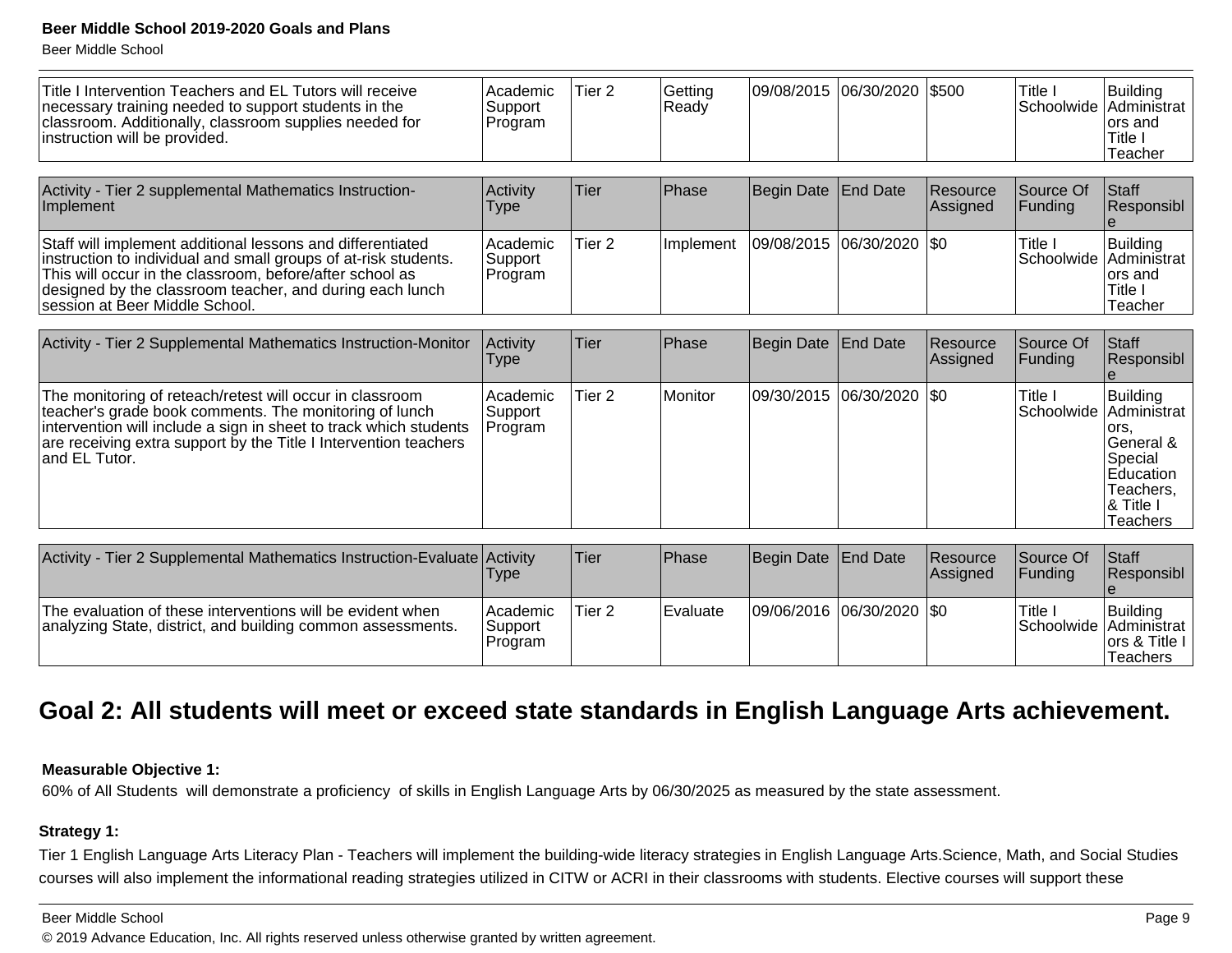Beer Middle School

| Title I Intervention Teachers and EL Tutors will receive<br>necessary training needed to support students in the<br>classroom. Additionally, classroom supplies needed for<br>instruction will be provided.                                                                             | Academic<br>Support<br>Program   | Tier <sub>2</sub> | Getting<br>Ready | 09/08/2015        | 06/30/2020      | \$500                | Title I<br>Schoolwide | <b>Building</b><br>Administrat<br>ors and<br>Title I<br>Teacher                                                 |
|-----------------------------------------------------------------------------------------------------------------------------------------------------------------------------------------------------------------------------------------------------------------------------------------|----------------------------------|-------------------|------------------|-------------------|-----------------|----------------------|-----------------------|-----------------------------------------------------------------------------------------------------------------|
|                                                                                                                                                                                                                                                                                         |                                  |                   |                  |                   |                 |                      |                       |                                                                                                                 |
| Activity - Tier 2 supplemental Mathematics Instruction-<br>Implement                                                                                                                                                                                                                    | Activity<br>Type                 | Tier              | Phase            | <b>Begin Date</b> | <b>End Date</b> | Resource<br>Assigned | Source Of<br>Funding  | Staff<br>Responsibl                                                                                             |
| Staff will implement additional lessons and differentiated<br>instruction to individual and small groups of at-risk students.<br>This will occur in the classroom, before/after school as<br>designed by the classroom teacher, and during each lunch<br>session at Beer Middle School. | l Academic<br>Support<br>Program | Tier <sub>2</sub> | Implement        | 09/08/2015        | 06/30/2020      | \$0                  | Title I<br>Schoolwide | <b>Building</b><br>Administrat<br>ors and<br>Title I<br>Teacher                                                 |
|                                                                                                                                                                                                                                                                                         |                                  |                   |                  |                   |                 |                      |                       |                                                                                                                 |
| Activity - Tier 2 Supplemental Mathematics Instruction-Monitor                                                                                                                                                                                                                          | Activity<br><b>Type</b>          | Tier              | <b>Phase</b>     | Begin Date        | <b>End Date</b> | Resource<br>Assigned | Source Of<br>Funding  | <b>Staff</b><br>Responsibl                                                                                      |
| The monitoring of reteach/retest will occur in classroom<br>teacher's grade book comments. The monitoring of lunch<br>intervention will include a sign in sheet to track which students<br>are receiving extra support by the Title I Intervention teachers<br>and EL Tutor.            | Academic<br>Support<br>Program   | Tier <sub>2</sub> | Monitor          | 09/30/2015        | 06/30/2020      | \$0                  | Title I<br>Schoolwide | <b>Building</b><br>Administrat<br>ors,<br>General &<br>Special<br>Education<br>Teachers,<br>& Title<br>Teachers |
|                                                                                                                                                                                                                                                                                         |                                  |                   |                  |                   |                 |                      |                       |                                                                                                                 |
| Activity - Tier 2 Supplemental Mathematics Instruction-Evaluate Activity                                                                                                                                                                                                                | Type                             | Tier              | Phase            | Begin Date        | <b>End Date</b> | Resource<br>Assigned | Source Of<br>Funding  | Staff<br>Responsibl                                                                                             |
| The evaluation of these interventions will be evident when<br>analyzing State, district, and building common assessments.                                                                                                                                                               | Academic<br>l Support            | Tier <sub>2</sub> | Evaluate         | 09/06/2016        | 06/30/2020      | <b>\$0</b>           | Title I               | Building<br>Schoolwide   Administrat                                                                            |

### **Goal 2: All students will meet or exceed state standards in English Language Arts achievement.**

#### **Measurable Objective 1:**

analyzing State, district, and building common assessments.

60% of All Students will demonstrate a proficiency of skills in English Language Arts by 06/30/2025 as measured by the state assessment.

SupportProgram

#### **Strategy 1:**

Tier 1 English Language Arts Literacy Plan - Teachers will implement the building-wide literacy strategies in English Language Arts.Science, Math, and Social Studiescourses will also implement the informational reading strategies utilized in CITW or ACRI in their classrooms with students. Elective courses will support these

#### Beer Middle School

© 2019 Advance Education, Inc. All rights reserved unless otherwise granted by written agreement.

 ors & Title I**Teachers**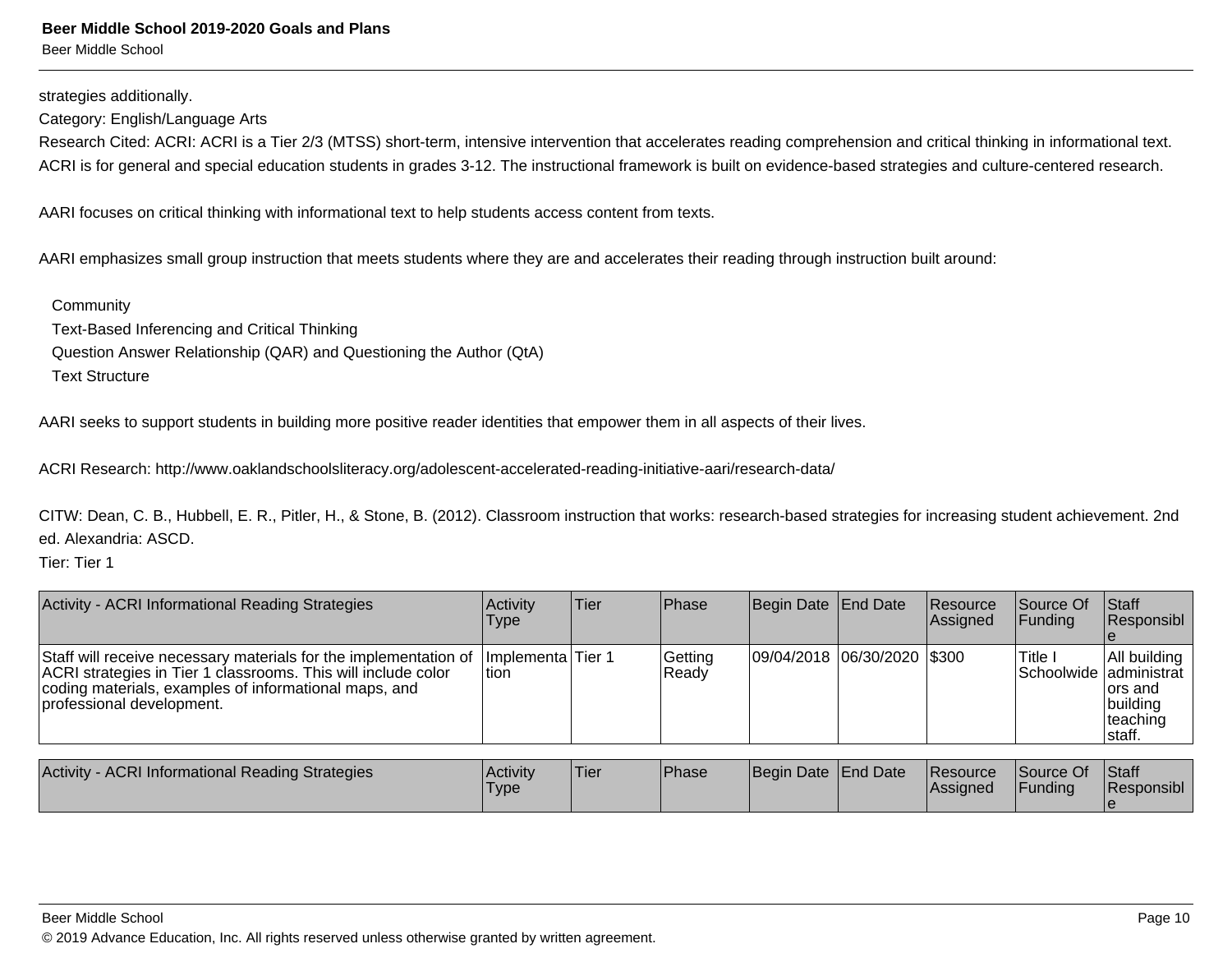strategies additionally.

Category: English/Language Arts

Research Cited: ACRI: ACRI is a Tier 2/3 (MTSS) short-term, intensive intervention that accelerates reading comprehension and critical thinking in informational text. ACRI is for general and special education students in grades 3-12. The instructional framework is built on evidence-based strategies and culture-centered research.

AARI focuses on critical thinking with informational text to help students access content from texts.

AARI emphasizes small group instruction that meets students where they are and accelerates their reading through instruction built around:

**Community**  Text-Based Inferencing and Critical Thinking Question Answer Relationship (QAR) and Questioning the Author (QtA)Text Structure

AARI seeks to support students in building more positive reader identities that empower them in all aspects of their lives.

ACRI Research: http://www.oaklandschoolsliteracy.org/adolescent-accelerated-reading-initiative-aari/research-data/

CITW: Dean, C. B., Hubbell, E. R., Pitler, H., & Stone, B. (2012). Classroom instruction that works: research-based strategies for increasing student achievement. 2nded. Alexandria: ASCD.

Tier: Tier 1

| Activity - ACRI Informational Reading Strategies                                                                                                                                                                        | Activity<br>Type              | Tier | Phase            | Begin Date End Date         | Resource<br><b>Assigned</b> | Source Of<br>IFundina              | Staff<br>Responsibl                                         |
|-------------------------------------------------------------------------------------------------------------------------------------------------------------------------------------------------------------------------|-------------------------------|------|------------------|-----------------------------|-----------------------------|------------------------------------|-------------------------------------------------------------|
| Staff will receive necessary materials for the implementation of<br>ACRI strategies in Tier 1 classrooms. This will include color<br>coding materials, examples of informational maps, and<br>professional development. | Ilmplementa lTier 1<br>ltion. |      | Getting<br>Ready | 09/04/2018 06/30/2020 \$300 |                             | 'Title I<br>Schoolwide administrat | All building<br>lors and<br>building<br>teaching<br>Istaff. |
|                                                                                                                                                                                                                         |                               |      |                  |                             |                             |                                    |                                                             |

| Activity - ACRI Informational Reading Strategies | <b>Activity</b><br>Type | 'Tier | <b>Phase</b> | Begin Date End Date | <b>Resource</b><br><b>Assigned</b> | Source Of<br>Funding | <b>Staff</b><br>Responsibl |
|--------------------------------------------------|-------------------------|-------|--------------|---------------------|------------------------------------|----------------------|----------------------------|
|                                                  |                         |       |              |                     |                                    |                      |                            |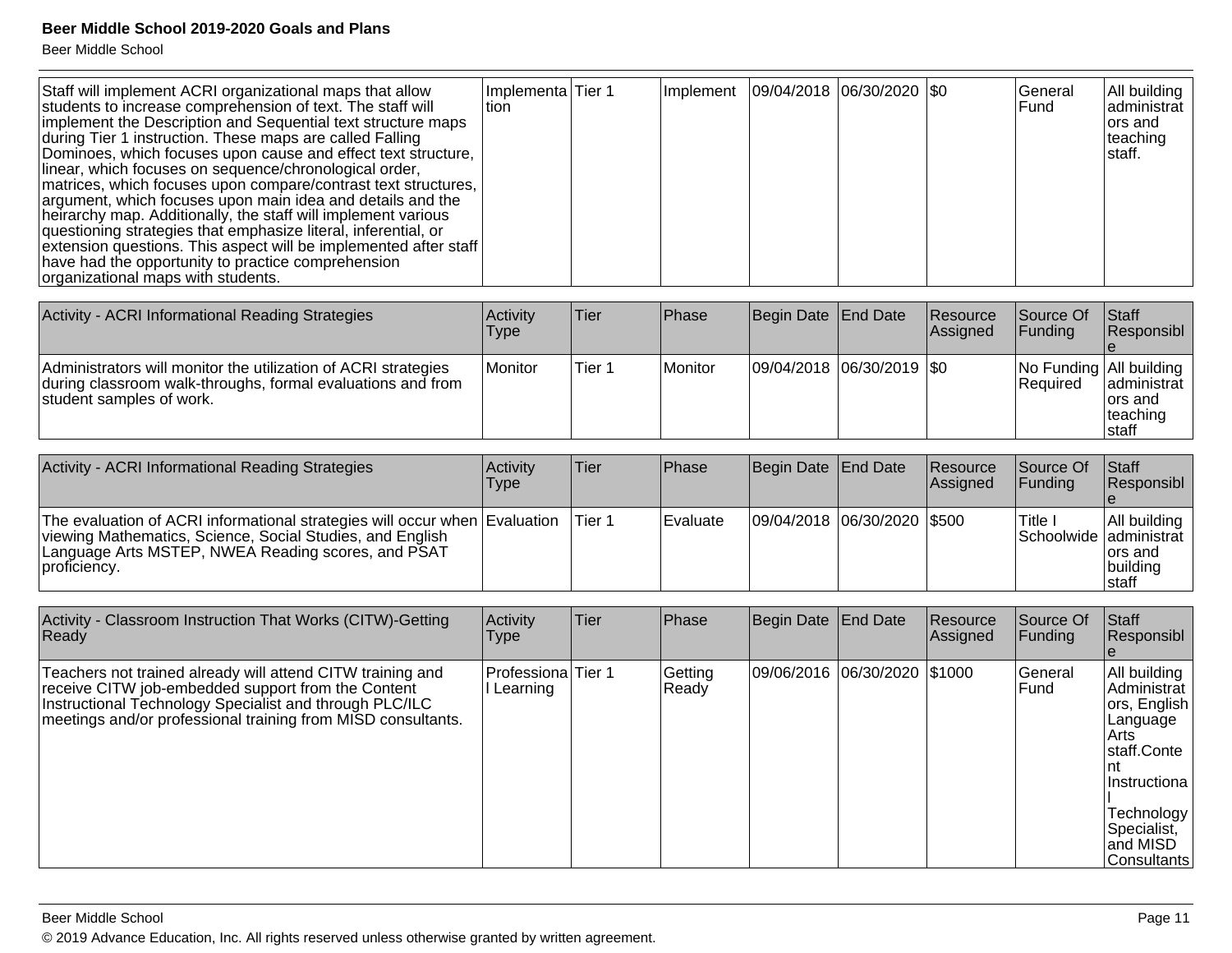| Staff will implement ACRI organizational maps that allow<br>students to increase comprehension of text. The staff will<br>implement the Description and Sequential text structure maps<br>during Tier 1 instruction. These maps are called Falling<br>Dominoes, which focuses upon cause and effect text structure,<br>linear, which focuses on sequence/chronological order,<br>matrices, which focuses upon compare/contrast text structures,<br>argument, which focuses upon main idea and details and the<br>heirarchy map. Additionally, the staff will implement various<br>questioning strategies that emphasize literal, inferential, or<br>extension questions. This aspect will be implemented after staff<br>have had the opportunity to practice comprehension<br>organizational maps with students. | Implementa Tier 1<br>ltion |  |  | Implement   09/04/2018   06/30/2020   \$0 |  |  | lGeneral<br>lFund. | All building<br>administrat<br>lors and<br>∣teaching<br>Istaff. |
|------------------------------------------------------------------------------------------------------------------------------------------------------------------------------------------------------------------------------------------------------------------------------------------------------------------------------------------------------------------------------------------------------------------------------------------------------------------------------------------------------------------------------------------------------------------------------------------------------------------------------------------------------------------------------------------------------------------------------------------------------------------------------------------------------------------|----------------------------|--|--|-------------------------------------------|--|--|--------------------|-----------------------------------------------------------------|
|------------------------------------------------------------------------------------------------------------------------------------------------------------------------------------------------------------------------------------------------------------------------------------------------------------------------------------------------------------------------------------------------------------------------------------------------------------------------------------------------------------------------------------------------------------------------------------------------------------------------------------------------------------------------------------------------------------------------------------------------------------------------------------------------------------------|----------------------------|--|--|-------------------------------------------|--|--|--------------------|-----------------------------------------------------------------|

| Activity - ACRI Informational Reading Strategies                                                                                                          | Activity<br><b>Type</b> | lTier. | <b>IPhase</b> | Begin Date End Date           | <b>Resource</b><br>Assigned | <b>Source Of</b><br><b>IFundina</b>        | <b>IStaff</b><br>Responsibl                    |
|-----------------------------------------------------------------------------------------------------------------------------------------------------------|-------------------------|--------|---------------|-------------------------------|-----------------------------|--------------------------------------------|------------------------------------------------|
| Administrators will monitor the utilization of ACRI strategies<br>during classroom walk-throughs, formal evaluations and from<br>student samples of work. | Monitor                 | Tier 1 | Monitor       | $ 09/04/2018 06/30/2019 $ \$0 |                             | No Funding All building<br><b>Required</b> | administrat<br>Tors and<br> teaching<br>Istaff |

| Activity - ACRI Informational Reading Strategies                                                                                                                                                              | Activity<br>Type | Tier   | <b>IPhase</b> | Begin Date End Date         | <b>Resource</b><br><b>Assigned</b> | <b>Source Of</b><br><b>IFundina</b> | <b>Staff</b><br>Responsibl                                               |
|---------------------------------------------------------------------------------------------------------------------------------------------------------------------------------------------------------------|------------------|--------|---------------|-----------------------------|------------------------------------|-------------------------------------|--------------------------------------------------------------------------|
| The evaluation of ACRI informational strategies will occur when Evaluation<br>viewing Mathematics, Science, Social Studies, and English<br>Language Arts MSTEP, NWEA Reading scores, and PSAT<br>proficiency. |                  | Tier 1 | l Evaluate    | 09/04/2018 06/30/2020 \$500 |                                    | Title I                             | All building<br>Schoolwide administrat<br>lors and<br>building<br>Istaff |

| Activity - Classroom Instruction That Works (CITW)-Getting<br>Ready                                                                                                                                                                         | Activity<br><b>Type</b>        | <b>Tier</b> | Phase            | Begin Date End Date          | Resource<br>Assigned | Source Of<br>l Fundina | <b>Staff</b><br>Responsibl                                                                                                                                                       |
|---------------------------------------------------------------------------------------------------------------------------------------------------------------------------------------------------------------------------------------------|--------------------------------|-------------|------------------|------------------------------|----------------------|------------------------|----------------------------------------------------------------------------------------------------------------------------------------------------------------------------------|
| Teachers not trained already will attend CITW training and<br>receive CITW job-embedded support from the Content<br>Instructional Technology Specialist and through PLC/ILC<br>meetings and/or professional training from MISD consultants. | Professiona Tier 1<br>Learning |             | Getting<br>Ready | 09/06/2016 06/30/2020 \$1000 |                      | General<br>Fund        | All building<br>Administrat<br>ors, English<br> Language<br>l Arts i<br>staff.Conte<br>Int<br><i>Instructiona</i><br>Technology<br>Specialist,<br>and MISD<br><b>Consultants</b> |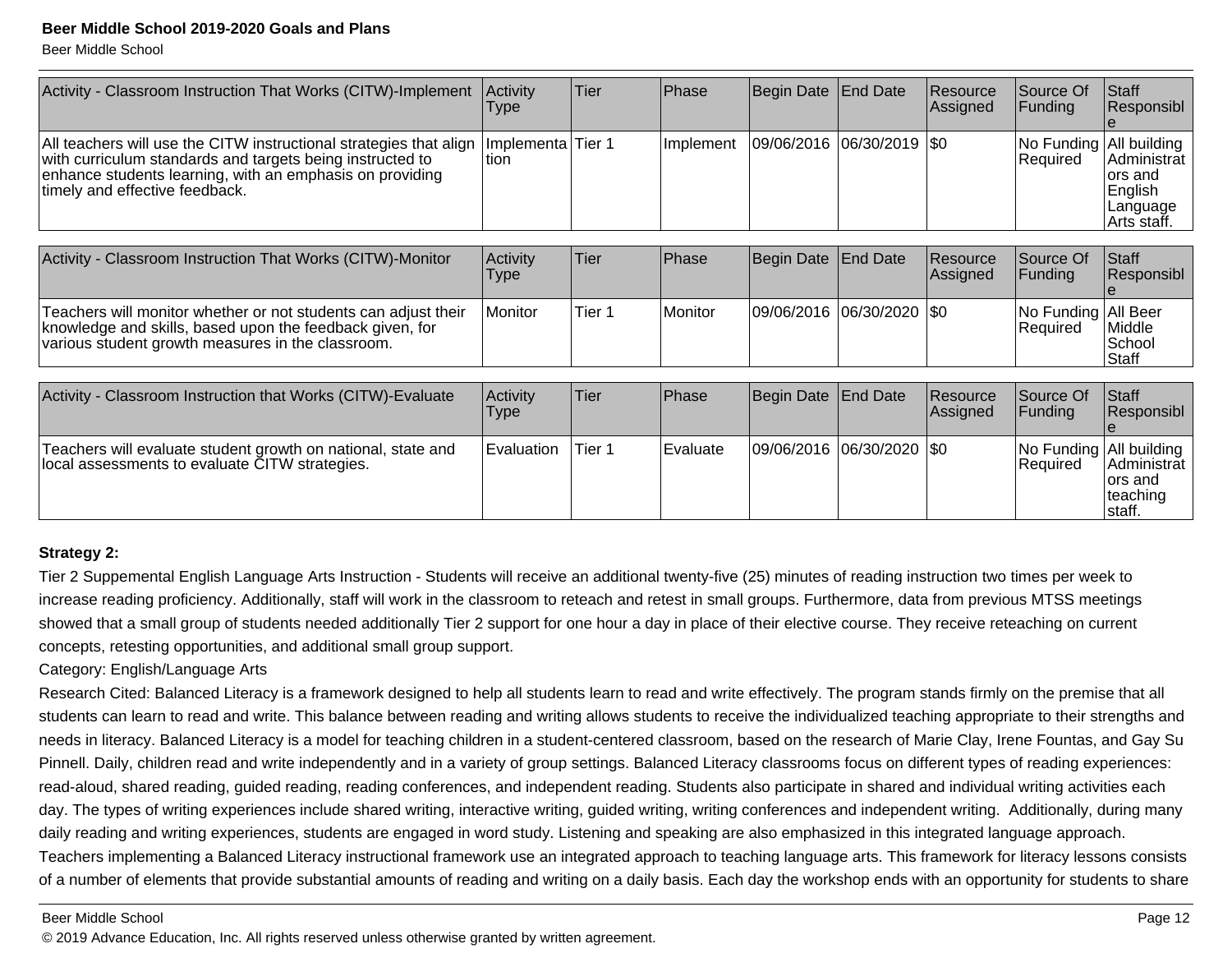Beer Middle School

| Activity - Classroom Instruction That Works (CITW)-Implement                                                                                                                                                                  | Activity<br><b>Type</b> | Tier   | Phase     | Begin Date                  | <b>End Date</b> | Resource<br>Assigned | Source Of<br>Funding                  | Staff<br>Responsibl                                           |
|-------------------------------------------------------------------------------------------------------------------------------------------------------------------------------------------------------------------------------|-------------------------|--------|-----------|-----------------------------|-----------------|----------------------|---------------------------------------|---------------------------------------------------------------|
| All teachers will use the CITW instructional strategies that align<br>with curriculum standards and targets being instructed to<br>enhance students learning, with an emphasis on providing<br>timely and effective feedback. | Implementa<br>ltion.    | Tier 1 | Implement | 09/06/2016 06/30/2019 \$0   |                 |                      | No Funding   All building<br>Required | Administrat<br>lors and<br>English<br>Language<br>Arts staff. |
|                                                                                                                                                                                                                               |                         |        |           |                             |                 |                      |                                       |                                                               |
| Activity - Classroom Instruction That Works (CITW)-Monitor                                                                                                                                                                    | Activity<br><b>Type</b> | Tier   | Phase     | Begin Date                  | End Date        | Resource<br>Assigned | Source Of<br> Funding                 | Staff<br>Responsibl                                           |
| Teachers will monitor whether or not students can adjust their<br>knowledge and skills, based upon the feedback given, for<br>various student growth measures in the classroom.                                               | Monitor                 | Tier 1 | Monitor   | 09/06/2016  06/30/2020  \$0 |                 |                      | No Funding All Beer<br>Required       | Middle<br>School<br>Staff                                     |
|                                                                                                                                                                                                                               |                         |        |           |                             |                 |                      |                                       |                                                               |
| Activity - Classroom Instruction that Works (CITW)-Evaluate                                                                                                                                                                   | Activity<br><b>Type</b> | Tier   | Phase     | Begin Date End Date         |                 | Resource<br>Assigned | Source Of<br>Funding                  | Staff<br>Responsibl                                           |
| Teachers will evaluate student growth on national, state and<br>local assessments to evaluate CITW strategies.                                                                                                                | Evaluation              | Tier 1 | Evaluate  | 09/06/2016  06/30/2020      |                 | ISO.                 | No Funding All building<br>Required   | Administrat<br>lors and<br>teaching                           |

#### **Strategy 2:**

Tier 2 Suppemental English Language Arts Instruction - Students will receive an additional twenty-five (25) minutes of reading instruction two times per week to increase reading proficiency. Additionally, staff will work in the classroom to reteach and retest in small groups. Furthermore, data from previous MTSS meetingsshowed that a small group of students needed additionally Tier 2 support for one hour a day in place of their elective course. They receive reteaching on currentconcepts, retesting opportunities, and additional small group support.

#### Category: English/Language Arts

Research Cited: Balanced Literacy is a framework designed to help all students learn to read and write effectively. The program stands firmly on the premise that allstudents can learn to read and write. This balance between reading and writing allows students to receive the individualized teaching appropriate to their strengths and needs in literacy. Balanced Literacy is a model for teaching children in a student-centered classroom, based on the research of Marie Clay, Irene Fountas, and Gay SuPinnell. Daily, children read and write independently and in a variety of group settings. Balanced Literacy classrooms focus on different types of reading experiences:read-aloud, shared reading, guided reading, reading conferences, and independent reading. Students also participate in shared and individual writing activities eachday. The types of writing experiences include shared writing, interactive writing, guided writing, writing conferences and independent writing. Additionally, during many daily reading and writing experiences, students are engaged in word study. Listening and speaking are also emphasized in this integrated language approach. Teachers implementing a Balanced Literacy instructional framework use an integrated approach to teaching language arts. This framework for literacy lessons consistsof a number of elements that provide substantial amounts of reading and writing on a daily basis. Each day the workshop ends with an opportunity for students to share

Beer Middle School

© 2019 Advance Education, Inc. All rights reserved unless otherwise granted by written agreement.

staff.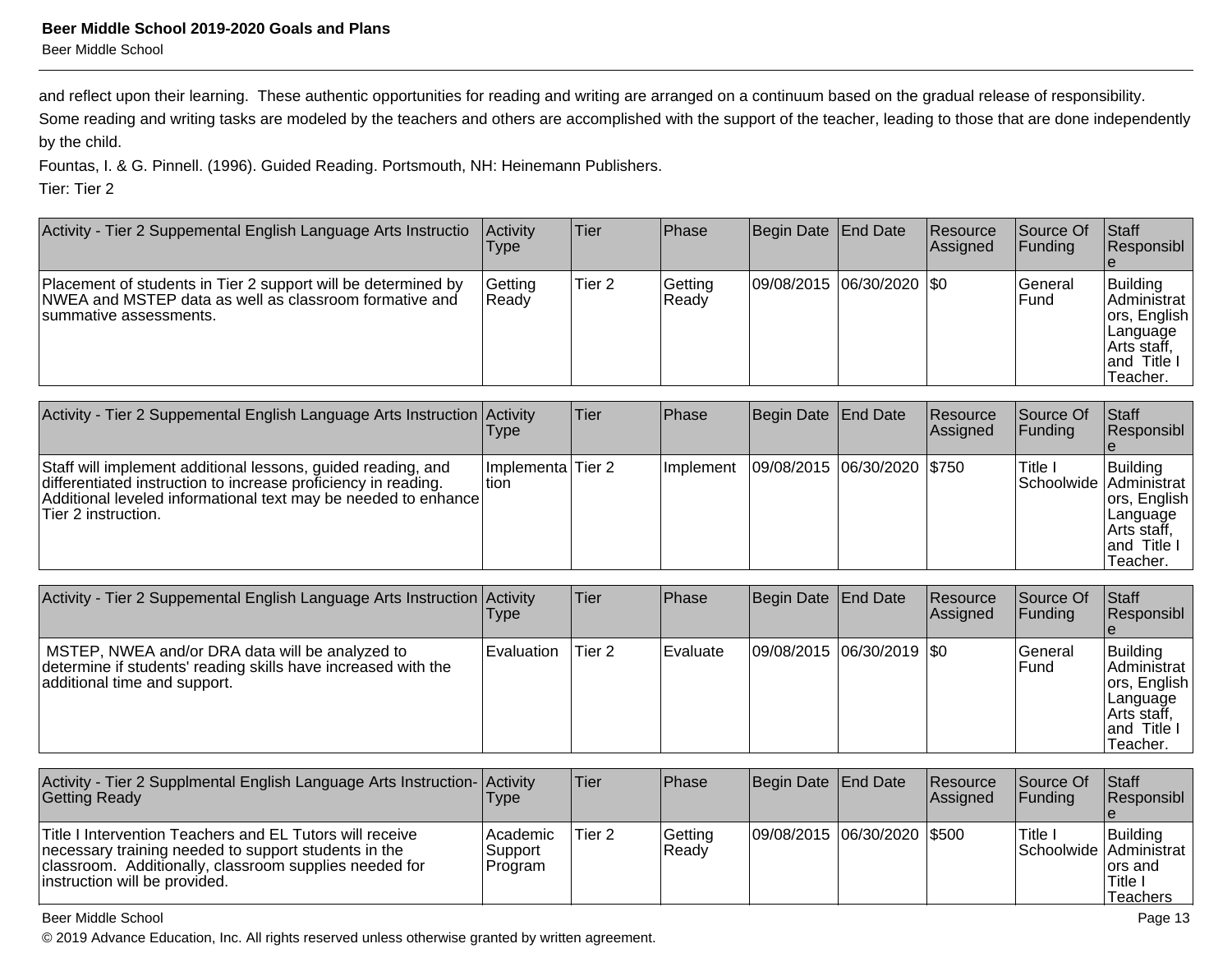#### **Beer Middle School 2019-2020 Goals and Plans**Beer Middle School

and reflect upon their learning. These authentic opportunities for reading and writing are arranged on a continuum based on the gradual release of responsibility.

Some reading and writing tasks are modeled by the teachers and others are accomplished with the support of the teacher, leading to those that are done independently by the child.

Fountas, I. & G. Pinnell. (1996). Guided Reading. Portsmouth, NH: Heinemann Publishers.

Tier: Tier 2

| Activity - Tier 2 Suppemental English Language Arts Instructio                                                                                     | Activity<br>Type   | <b>Tier</b> | Phase             | Begin Date   End Date     | Resource<br><b>Assigned</b> | <b>Source Of</b><br>IFundina | Staff<br>Responsibl                                                                            |
|----------------------------------------------------------------------------------------------------------------------------------------------------|--------------------|-------------|-------------------|---------------------------|-----------------------------|------------------------------|------------------------------------------------------------------------------------------------|
| Placement of students in Tier 2 support will be determined by<br>NWEA and MSTEP data as well as classroom formative and<br>Isummative assessments. | Getting<br>l Readv | Tier 2      | Getting<br> Ready | 09/08/2015 06/30/2020 \$0 |                             | l General<br>lFund           | Building<br>IAdministrat<br>ors, English<br>Language<br>∣Arts staff.<br>land Title<br>Teacher. |

| Activity - Tier 2 Suppemental English Language Arts Instruction Activity                                                                                                                                                | <b>Type</b>                  | Tier | Phase      | Begin Date   End Date          | Resource<br><b>Assigned</b> | Source Of<br>IFundina                          | <b>Staff</b><br>Responsibl                                                       |
|-------------------------------------------------------------------------------------------------------------------------------------------------------------------------------------------------------------------------|------------------------------|------|------------|--------------------------------|-----------------------------|------------------------------------------------|----------------------------------------------------------------------------------|
| Staff will implement additional lessons, guided reading, and<br>differentiated instruction to increase proficiency in reading.<br>Additional leveled informational text may be needed to enhance<br>Tier 2 instruction. | Ilmplementa Tier 2<br>ltion. |      | Ilmplement | 09/08/2015  06/30/2020   \$750 |                             | <sup>I</sup> Title I<br>Schoolwide Administrat | Building<br>ors, English<br> Language<br>Arts staff,<br>land Title I<br>Teacher. |

| Activity - Tier 2 Suppemental English Language Arts Instruction Activity                                                                         | <b>Type</b>  | lTier. | <b>Phase</b> | Begin Date   End Date     | <b>Resource</b><br>Assigned | <b>Source Of</b><br> Funding | <b>Staff</b><br><b>Responsibl</b>                                                             |
|--------------------------------------------------------------------------------------------------------------------------------------------------|--------------|--------|--------------|---------------------------|-----------------------------|------------------------------|-----------------------------------------------------------------------------------------------|
| MSTEP, NWEA and/or DRA data will be analyzed to<br>determine if students' reading skills have increased with the<br>additional time and support. | l Evaluation | Tier 2 | Evaluate     | 09/08/2015 06/30/2019 \$0 |                             | lGeneral<br>lFund.           | Building<br>Administrat<br>ors, English<br> Language<br>Arts staff,<br>land Title<br>Teacher. |

| Activity - Tier 2 Supplmental English Language Arts Instruction- Activity<br><b>Getting Ready</b>                                                                                                           | Type                             | lTier. | <b>IPhase</b>    | Begin Date End Date         | <b>Resource</b><br><b>Assigned</b> | <b>Source Of</b><br><b>IFundina</b> | <b>Staff</b><br><b>Responsibl</b>          |
|-------------------------------------------------------------------------------------------------------------------------------------------------------------------------------------------------------------|----------------------------------|--------|------------------|-----------------------------|------------------------------------|-------------------------------------|--------------------------------------------|
| Title I Intervention Teachers and EL Tutors will receive<br>necessary training needed to support students in the<br>classroom. Additionally, classroom supplies needed for<br>instruction will be provided. | Academic <br>Support<br> Program | Tier 2 | Getting<br>Ready | 09/08/2015 06/30/2020 \$500 |                                    | ا Title<br>Schoolwide Administrat   | Building<br>lors and<br>'Title<br>Teachers |

Beer Middle School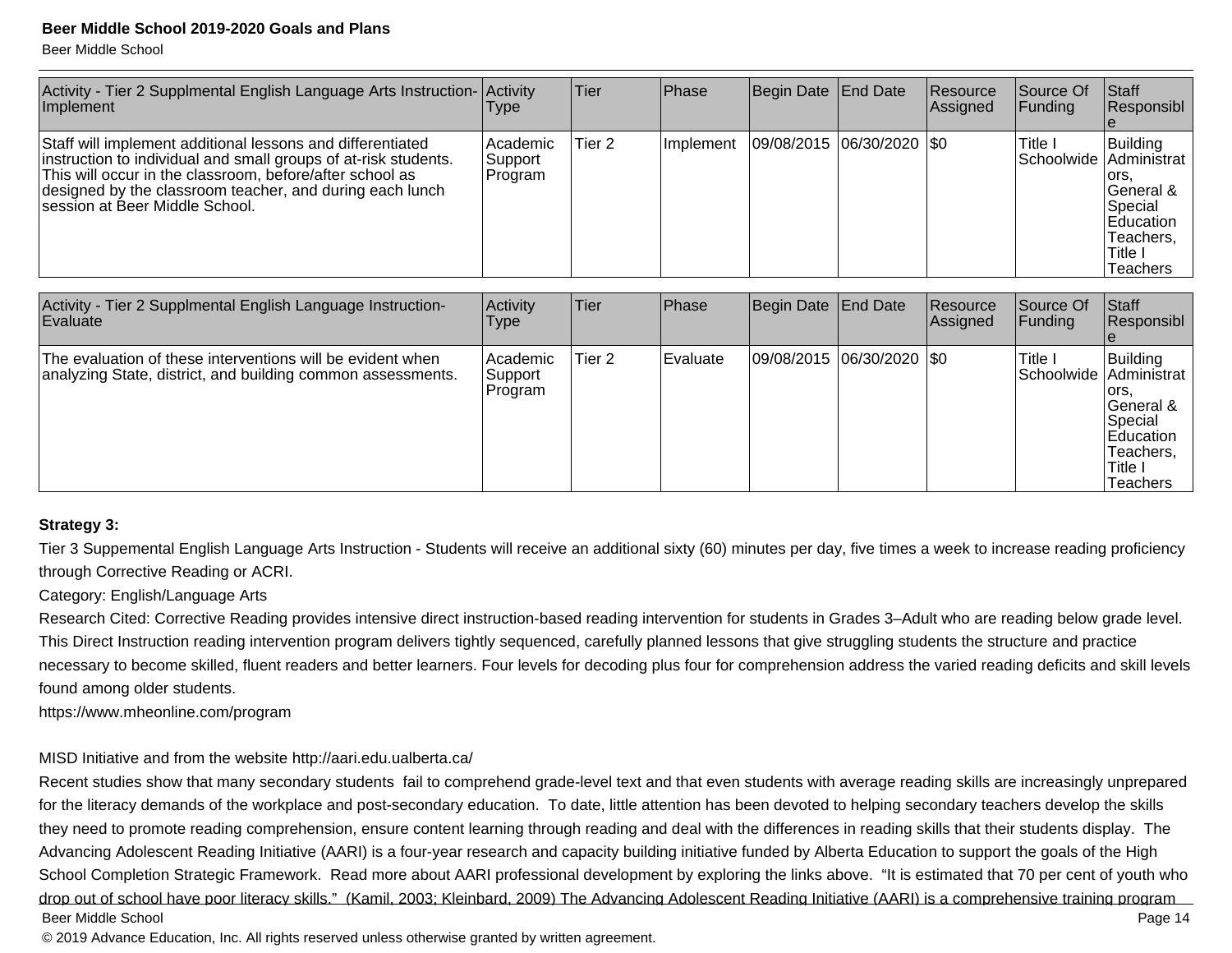Beer Middle School

| Activity - Tier 2 Supplmental English Language Arts Instruction- Activity<br>Implement                                                                                                                                                                                                   | Type                             | Tier   | <b>Phase</b> | Begin Date End Date       | Resource<br>Assigned | Source Of<br> Funding             | Staff<br>Responsibl                                                                               |
|------------------------------------------------------------------------------------------------------------------------------------------------------------------------------------------------------------------------------------------------------------------------------------------|----------------------------------|--------|--------------|---------------------------|----------------------|-----------------------------------|---------------------------------------------------------------------------------------------------|
| Staff will implement additional lessons and differentiated<br>instruction to individual and small groups of at-risk students.<br>This will occur in the classroom, before/after school as<br>designed by the classroom teacher, and during each lunch<br>Isession at Beer Middle School. | l Academic<br>Support<br>Program | Tier 2 | Ilmplement   | 09/08/2015 06/30/2020 \$0 |                      | Title I<br>Schoolwide Administrat | Building<br>lors.<br>General &<br>Special<br>Education<br>Teachers,<br>Title I<br><b>Teachers</b> |

| Activity - Tier 2 Supplmental English Language Instruction-<br>Evaluate                                                   | Activity<br>Type                | lTier. | <b>Phase</b> | Begin Date   End Date       | Resource<br>Assigned | lSource Of<br> Funding | Start<br>Responsibl                                                                                                     |
|---------------------------------------------------------------------------------------------------------------------------|---------------------------------|--------|--------------|-----------------------------|----------------------|------------------------|-------------------------------------------------------------------------------------------------------------------------|
| The evaluation of these interventions will be evident when<br>analyzing State, district, and building common assessments. | Academic<br>Support<br> Program | Tier 2 | Evaluate     | 09/08/2015  06/30/2020  \$0 |                      | Title I                | Building<br>ISchoolwide lAdministrat<br>lors.<br>lGeneral &<br>Special<br>Education<br>Teachers.<br>Title I<br>Teachers |

#### **Strategy 3:**

Tier 3 Suppemental English Language Arts Instruction - Students will receive an additional sixty (60) minutes per day, five times a week to increase reading proficiencythrough Corrective Reading or ACRI.

Category: English/Language Arts

Research Cited: Corrective Reading provides intensive direct instruction-based reading intervention for students in Grades 3–Adult who are reading below grade level.This Direct Instruction reading intervention program delivers tightly sequenced, carefully planned lessons that give struggling students the structure and practicenecessary to become skilled, fluent readers and better learners. Four levels for decoding plus four for comprehension address the varied reading deficits and skill levels found among older students.

https://www.mheonline.com/program

#### MISD Initiative and from the website http://aari.edu.ualberta.ca/

Recent studies show that many secondary students fail to comprehend grade-level text and that even students with average reading skills are increasingly unpreparedfor the literacy demands of the workplace and post-secondary education. To date, little attention has been devoted to helping secondary teachers develop the skillsthey need to promote reading comprehension, ensure content learning through reading and deal with the differences in reading skills that their students display. TheAdvancing Adolescent Reading Initiative (AARI) is a four-year research and capacity building initiative funded by Alberta Education to support the goals of the HighSchool Completion Strategic Framework. Read more about AARI professional development by exploring the links above. "It is estimated that 70 per cent of youth who drop out of school have poor literacy skills." (Kamil, 2003; Kleinbard, 2009) The Advancing Adolescent Reading Initiative (AARI) is a comprehensive training programPage 14 Beer Middle Schooll and the contract of the contract of the contract of the contract of the contract of the contract of the contract of the contract of the contract of the contract of the contract of the contract of the contract of the cont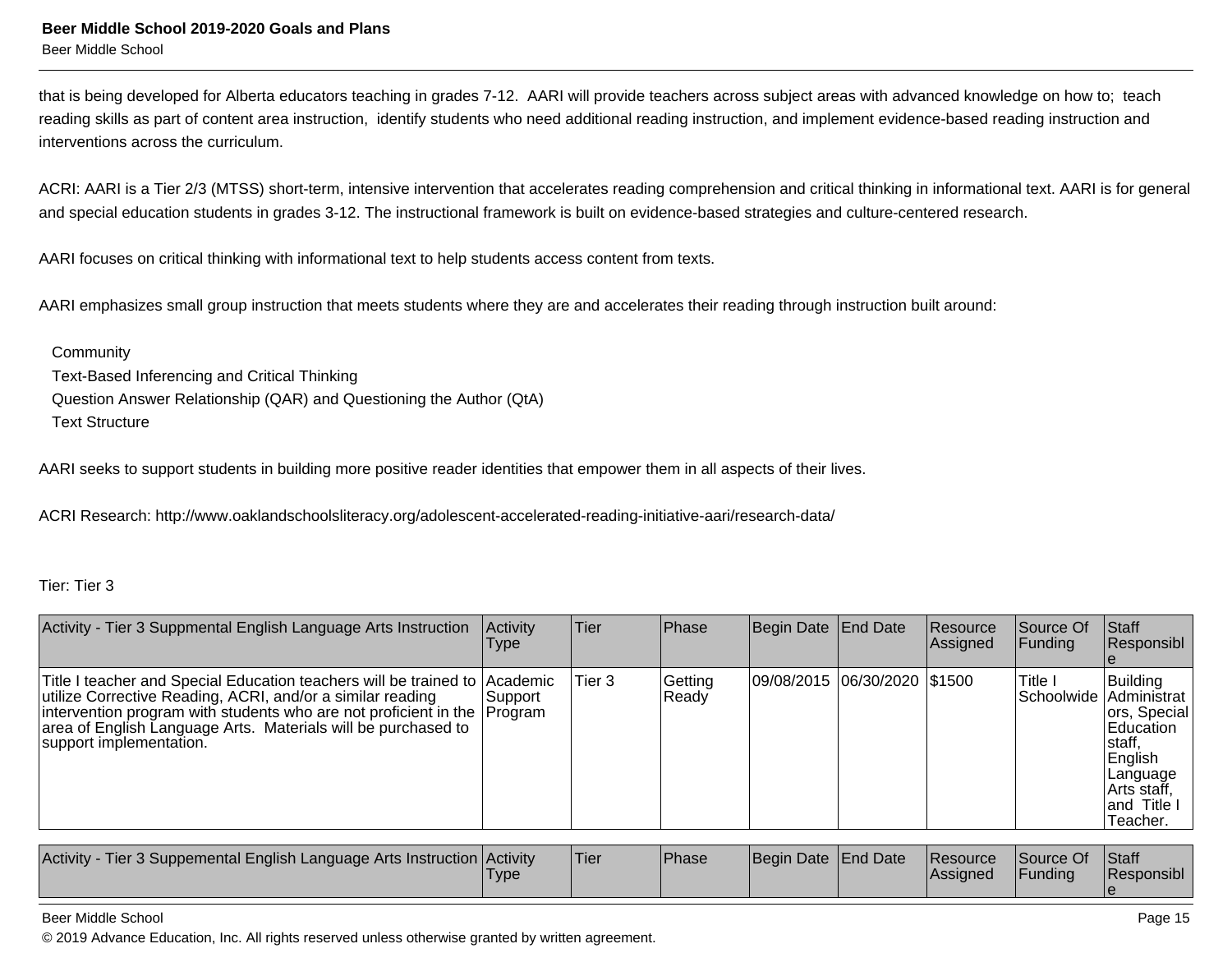that is being developed for Alberta educators teaching in grades 7-12. AARI will provide teachers across subject areas with advanced knowledge on how to; teachreading skills as part of content area instruction, identify students who need additional reading instruction, and implement evidence-based reading instruction and interventions across the curriculum.

ACRI: AARI is a Tier 2/3 (MTSS) short-term, intensive intervention that accelerates reading comprehension and critical thinking in informational text. AARI is for generaland special education students in grades 3-12. The instructional framework is built on evidence-based strategies and culture-centered research.

AARI focuses on critical thinking with informational text to help students access content from texts.

AARI emphasizes small group instruction that meets students where they are and accelerates their reading through instruction built around:

**Community**  Text-Based Inferencing and Critical Thinking Question Answer Relationship (QAR) and Questioning the Author (QtA)Text Structure

AARI seeks to support students in building more positive reader identities that empower them in all aspects of their lives.

ACRI Research: http://www.oaklandschoolsliteracy.org/adolescent-accelerated-reading-initiative-aari/research-data/

#### Tier: Tier 3

| Activity - Tier 3 Suppmental English Language Arts Instruction                                                                                                                                                                                                                                                   | Activity<br>Type | <b>Tier</b> | Phase            | Begin Date End Date          | <b>Resource</b><br>Assigned | Source Of<br> Fundina               | <b>Staff</b><br>Responsibl                                                                                        |
|------------------------------------------------------------------------------------------------------------------------------------------------------------------------------------------------------------------------------------------------------------------------------------------------------------------|------------------|-------------|------------------|------------------------------|-----------------------------|-------------------------------------|-------------------------------------------------------------------------------------------------------------------|
| Title I teacher and Special Education teachers will be trained to Academic<br>utilize Corrective Reading, ACRI, and/or a similar reading<br>intervention program with students who are not proficient in the Program<br>area of English Language Arts. Materials will be purchased to<br>support implementation. | Support          | Tier 3      | Getting<br>Ready | 09/08/2015 06/30/2020 \$1500 |                             | Title I<br> Schoolwide  Administrat | Building<br>ors, Special<br>Education<br>staff,<br>English<br>Language<br>Arts staff,<br>land Title I<br>Teacher. |

| Funding<br><b>IAssianed</b><br><b>Type</b> | Activity<br>- Tier 3 Suppemental English Language Arts Instruction Activity |  | 'Tier | Phase | Begin Date End Date |  | Resource | Source Of | <b>Staff</b><br><b>Responsibl</b> |
|--------------------------------------------|-----------------------------------------------------------------------------|--|-------|-------|---------------------|--|----------|-----------|-----------------------------------|
|--------------------------------------------|-----------------------------------------------------------------------------|--|-------|-------|---------------------|--|----------|-----------|-----------------------------------|

#### Beer Middle School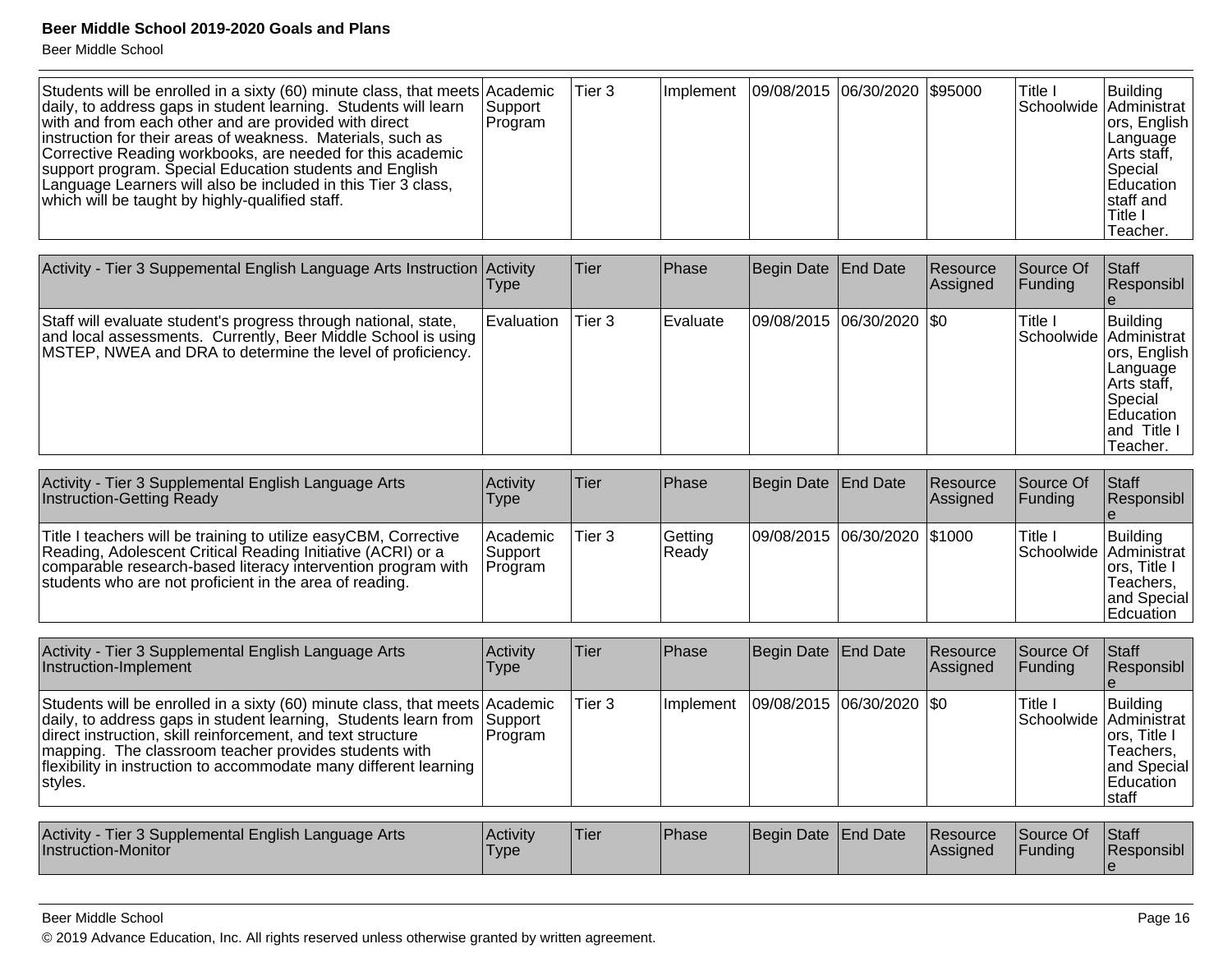Beer Middle School

| Students will be enrolled in a sixty (60) minute class, that meets Academic<br>daily, to address gaps in student learning. Students will learn<br>with and from each other and are provided with direct<br>linstruction for their areas of weakness. Materials, such as<br>Corrective Reading workbooks, are needed for this academic<br>support program. Special Education students and English<br>Language Learners will also be included in this Tier 3 class,<br>which will be taught by highly-qualified staff. | <b>Support</b><br><b>IProgram</b> | Tier 3 | Implement   09/08/2015   06/30/2020   \$95000 |  | Title I<br>Schoolwide Administrat | <b>IBuildina</b><br>ors, English<br> Language<br>Arts staff,<br><b>Special</b><br>Education<br>Istaff and |
|----------------------------------------------------------------------------------------------------------------------------------------------------------------------------------------------------------------------------------------------------------------------------------------------------------------------------------------------------------------------------------------------------------------------------------------------------------------------------------------------------------------------|-----------------------------------|--------|-----------------------------------------------|--|-----------------------------------|-----------------------------------------------------------------------------------------------------------|
|                                                                                                                                                                                                                                                                                                                                                                                                                                                                                                                      |                                   |        |                                               |  |                                   | 'Title I<br>Teacher.                                                                                      |

| Activity - Tier 3 Suppemental English Language Arts Instruction Activity                                                                                                                       | l ype             | <b>Tier</b> | Phase            | Begin Date   End Date       | <b>Resource</b><br><b>Assigned</b> | <b>Source Of</b><br><b>IFunding</b> | Staff<br>Responsibl                                                                                                                    |
|------------------------------------------------------------------------------------------------------------------------------------------------------------------------------------------------|-------------------|-------------|------------------|-----------------------------|------------------------------------|-------------------------------------|----------------------------------------------------------------------------------------------------------------------------------------|
| Staff will evaluate student's progress through national, state,<br>and local assessments. Currently, Beer Middle School is using<br>MSTEP, NWEA and DRA to determine the level of proficiency. | <b>Evaluation</b> | Tier 3      | <b>IEvaluate</b> | 09/08/2015  06/30/2020  \$0 |                                    | 'Title I                            | Building<br>Schoolwide   Administrat<br>ors, English<br>Language<br>∣Arts staff,<br> Special<br>lEducation<br>land Title I<br>Teacher. |

| Activity - Tier 3 Supplemental English Language Arts<br><b>Instruction-Getting Ready</b>                                                                                                                                                                   | Activity<br>Type                                | <b>Tier</b> | <b>Phase</b>     | Begin Date End Date          | <b>Resource</b><br><b>Assigned</b> | lSource Of<br>IFundina            | Staff<br><b>Responsibl</b>                                                  |
|------------------------------------------------------------------------------------------------------------------------------------------------------------------------------------------------------------------------------------------------------------|-------------------------------------------------|-------------|------------------|------------------------------|------------------------------------|-----------------------------------|-----------------------------------------------------------------------------|
| Title I teachers will be training to utilize easyCBM, Corrective<br>Reading, Adolescent Critical Reading Initiative (ACRI) or a<br>comparable research-based literacy intervention program with<br>students who are not proficient in the area of reading. | <b>Academic</b><br>∣Support i<br><b>Program</b> | Tier 3      | Getting<br>Ready | 09/08/2015 06/30/2020 \$1000 |                                    | Title I<br>Schoolwide Administrat | Building<br>lors. Title I<br>'Teachers.<br>land Special<br><b>Edcuation</b> |

| Activity - Tier 3 Supplemental English Language Arts<br>Instruction-Implement                                                                                                                                                                                                                                                                          | Activity<br>Type   | Tier   | <b>Phase</b> | Begin Date End Date         | <b>Resource</b><br>Assigned | <b>Source Of</b><br><b>Funding</b> | <b>Staff</b><br>Responsibl                                                    |
|--------------------------------------------------------------------------------------------------------------------------------------------------------------------------------------------------------------------------------------------------------------------------------------------------------------------------------------------------------|--------------------|--------|--------------|-----------------------------|-----------------------------|------------------------------------|-------------------------------------------------------------------------------|
| Students will be enrolled in a sixty (60) minute class, that meets Academic<br>daily, to address gaps in student learning, Students learn from<br>direct instruction, skill reinforcement, and text structure<br>mapping. The classroom teacher provides students with<br>flexibility in instruction to accommodate many different learning<br>styles. | Support<br>Program | Tier 3 | Implement    | 09/08/2015  06/30/2020  \$0 |                             | Title I<br>Schoolwide Administrat  | Building<br>Tors. Title I<br>Teachers.<br>land Special<br>Education<br>Istaff |
|                                                                                                                                                                                                                                                                                                                                                        |                    |        |              |                             |                             |                                    |                                                                               |
| Activity - Tier 3 Supplemental English Language Arts<br>Instruction-Monitor                                                                                                                                                                                                                                                                            | Activity<br>Type   | Tier   | Phase        | Begin Date End Date         | l Resource<br> Assigned     | Source Of<br><b>IFunding</b>       | Staff<br>IResponsibl                                                          |

#### Beer Middle School

© 2019 Advance Education, Inc. All rights reserved unless otherwise granted by written agreement.

 $\vert e \vert$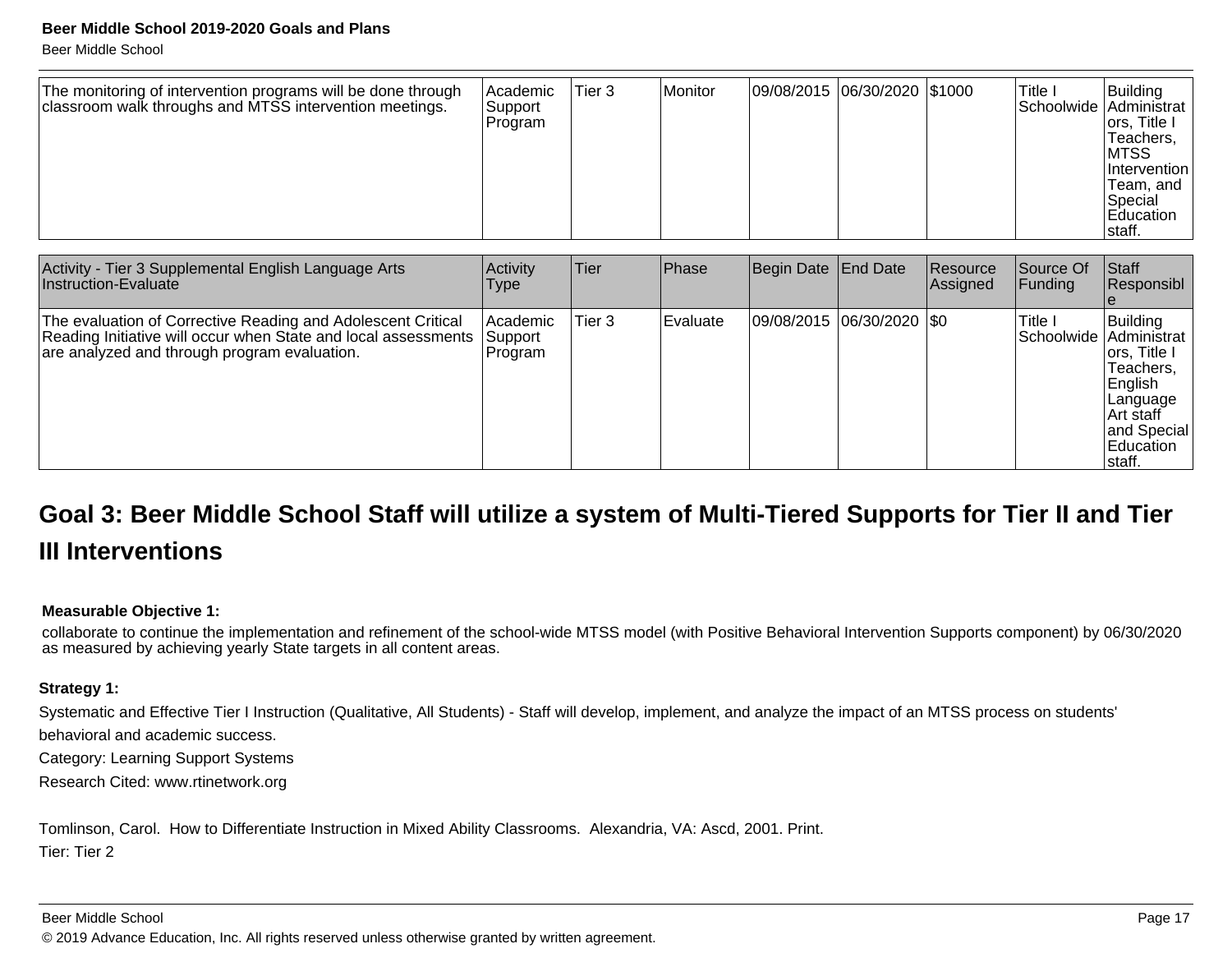Beer Middle School

| The monitoring of intervention programs will be done through<br>classroom walk throughs and MTSS intervention meetings. | Academic<br>Support<br>Program | Tier 3 | Monitor | 09/08/2015 06/30/2020 \$1000 |  |  | 'Title I | Building<br>Schoolwide Administrat<br>ors, Title I<br> Teachers,<br>IMTSS<br>Intervention<br>Team, and<br> Special<br>Education<br>Istaff. |
|-------------------------------------------------------------------------------------------------------------------------|--------------------------------|--------|---------|------------------------------|--|--|----------|--------------------------------------------------------------------------------------------------------------------------------------------|
|-------------------------------------------------------------------------------------------------------------------------|--------------------------------|--------|---------|------------------------------|--|--|----------|--------------------------------------------------------------------------------------------------------------------------------------------|

| Activity - Tier 3 Supplemental English Language Arts<br>Instruction-Evaluate                                                                                                   | Activity<br><b>Type</b>          | Tier   | Phase      | Begin Date End Date |                             | Resource<br><b>Assigned</b> | Source Of<br><b>IFunding</b>        | Staff<br>Responsibl                                                                                               |
|--------------------------------------------------------------------------------------------------------------------------------------------------------------------------------|----------------------------------|--------|------------|---------------------|-----------------------------|-----------------------------|-------------------------------------|-------------------------------------------------------------------------------------------------------------------|
| The evaluation of Corrective Reading and Adolescent Critical<br>Reading Initiative will occur when State and local assessments<br>are analyzed and through program evaluation. | l Academic<br>Support<br>Program | Tier 3 | l Evaluate |                     | 09/08/2015  06/30/2020  \$0 |                             | Title I<br>Schoolwide   Administrat | Building<br>ors, Title I<br>Teachers.<br>English<br>Language<br>IArt staff<br>and Special<br>Education<br>Istaff. |

# **Goal 3: Beer Middle School Staff will utilize a system of Multi-Tiered Supports for Tier II and TierIII Interventions**

#### **Measurable Objective 1:**

collaborate to continue the implementation and refinement of the school-wide MTSS model (with Positive Behavioral Intervention Supports component) by 06/30/2020as measured by achieving yearly State targets in all content areas.

#### **Strategy 1:**

Systematic and Effective Tier I Instruction (Qualitative, All Students) - Staff will develop, implement, and analyze the impact of an MTSS process on students'

behavioral and academic success.

Category: Learning Support Systems

Research Cited: www.rtinetwork.org

Tomlinson, Carol. How to Differentiate Instruction in Mixed Ability Classrooms. Alexandria, VA: Ascd, 2001. Print. Tier: Tier 2

#### Beer Middle School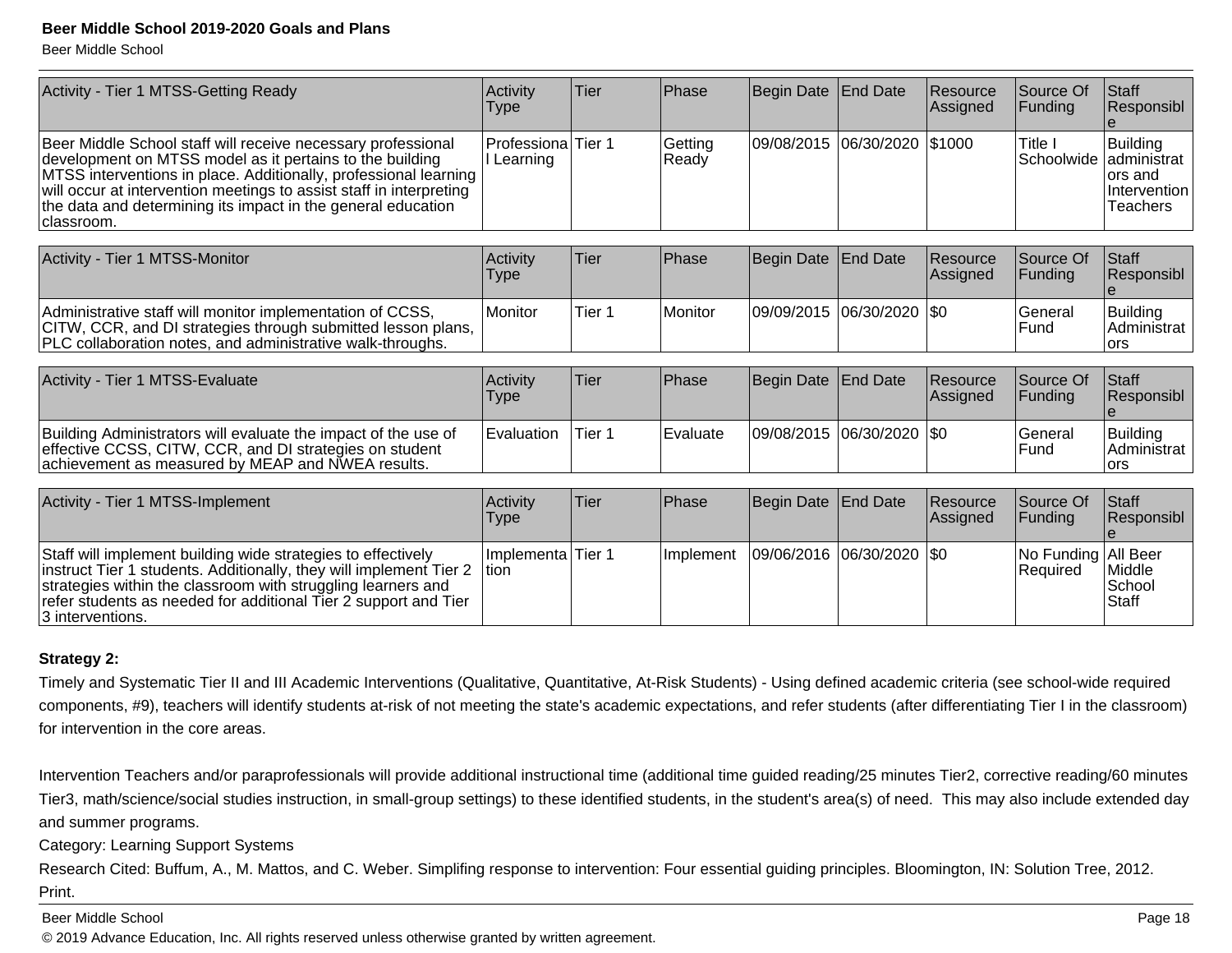Beer Middle School

| Activity - Tier 1 MTSS-Getting Ready                                                                                                                                                                                                                                                                                                              | Activity<br><b>Type</b>          | Tier              | Phase            | Begin Date        | <b>End Date</b> | Resource<br>Assigned | Source Of<br> Funding             | Staff<br>Responsibl                                             |
|---------------------------------------------------------------------------------------------------------------------------------------------------------------------------------------------------------------------------------------------------------------------------------------------------------------------------------------------------|----------------------------------|-------------------|------------------|-------------------|-----------------|----------------------|-----------------------------------|-----------------------------------------------------------------|
| Beer Middle School staff will receive necessary professional<br>development on MTSS model as it pertains to the building<br>MTSS interventions in place. Additionally, professional learning<br>will occur at intervention meetings to assist staff in interpreting<br>the data and determining its impact in the general education<br>classroom. | ProfessionalTier 1<br>I Learning |                   | Getting<br>Ready | 09/08/2015        | 06/30/2020      | \$1000               | Title I<br>Schoolwide             | Building<br>ladministrat<br>ors and<br>Intervention<br>Teachers |
|                                                                                                                                                                                                                                                                                                                                                   |                                  |                   |                  |                   |                 |                      |                                   |                                                                 |
| Activity - Tier 1 MTSS-Monitor                                                                                                                                                                                                                                                                                                                    | Activity<br>Type                 | <b>Tier</b>       | <b>Phase</b>     | Begin Date        | <b>End Date</b> | Resource<br>Assigned | Source Of<br>Funding              | Staff<br>Responsibl                                             |
| Administrative staff will monitor implementation of CCSS,<br>CITW, CCR, and DI strategies through submitted lesson plans,<br>PLC collaboration notes, and administrative walk-throughs.                                                                                                                                                           | Monitor                          | Tier <sub>1</sub> | Monitor          | 09/09/2015        | 06/30/2020      | <b>SO</b>            | General<br>Fund                   | Building<br>Administrat<br>ors                                  |
|                                                                                                                                                                                                                                                                                                                                                   |                                  |                   |                  |                   |                 |                      |                                   |                                                                 |
| Activity - Tier 1 MTSS-Evaluate                                                                                                                                                                                                                                                                                                                   | Activity<br><b>Type</b>          | <b>Tier</b>       | Phase            | <b>Begin Date</b> | <b>End Date</b> | Resource<br>Assigned | Source Of<br>Funding              | Staff<br>Responsibl                                             |
| Building Administrators will evaluate the impact of the use of<br>effective CCSS, CITW, CCR, and DI strategies on student<br>achievement as measured by MEAP and NWEA results.                                                                                                                                                                    | Evaluation                       | Tier <sub>1</sub> | Evaluate         | 09/08/2015        | 06/30/2020      | \$0                  | General<br>Fund                   | Building<br>Administrat<br>lors                                 |
|                                                                                                                                                                                                                                                                                                                                                   |                                  |                   |                  |                   |                 |                      |                                   |                                                                 |
| Activity - Tier 1 MTSS-Implement                                                                                                                                                                                                                                                                                                                  | Activity<br>Type                 | <b>Tier</b>       | Phase            | <b>Begin Date</b> | <b>End Date</b> | Resource<br>Assigned | Source Of<br> Funding             | <b>S</b> taff<br>Responsibl<br>e                                |
| Staff will implement building wide strategies to effectively<br>instruct Tier 1 students. Additionally, they will implement Tier 2<br>strategies within the classroom with struggling learners and<br>refer students as needed for additional Tier 2 support and Tier<br>3 interventions.                                                         | Implementa Tier 1<br>Ition       |                   | Implement        | 09/06/2016        | 06/30/2020      | I\$0                 | No Funding   All Beer<br>Required | <b>Middle</b><br>School<br>Staff                                |

#### **Strategy 2:**

Timely and Systematic Tier II and III Academic Interventions (Qualitative, Quantitative, At-Risk Students) - Using defined academic criteria (see school-wide requiredcomponents, #9), teachers will identify students at-risk of not meeting the state's academic expectations, and refer students (after differentiating Tier I in the classroom) for intervention in the core areas.

Intervention Teachers and/or paraprofessionals will provide additional instructional time (additional time guided reading/25 minutes Tier2, corrective reading/60 minutesTier3, math/science/social studies instruction, in small-group settings) to these identified students, in the student's area(s) of need. This may also include extended day and summer programs.

Category: Learning Support Systems

Research Cited: Buffum, A., M. Mattos, and C. Weber. Simplifing response to intervention: Four essential guiding principles. Bloomington, IN: Solution Tree, 2012. Print.

Beer Middle School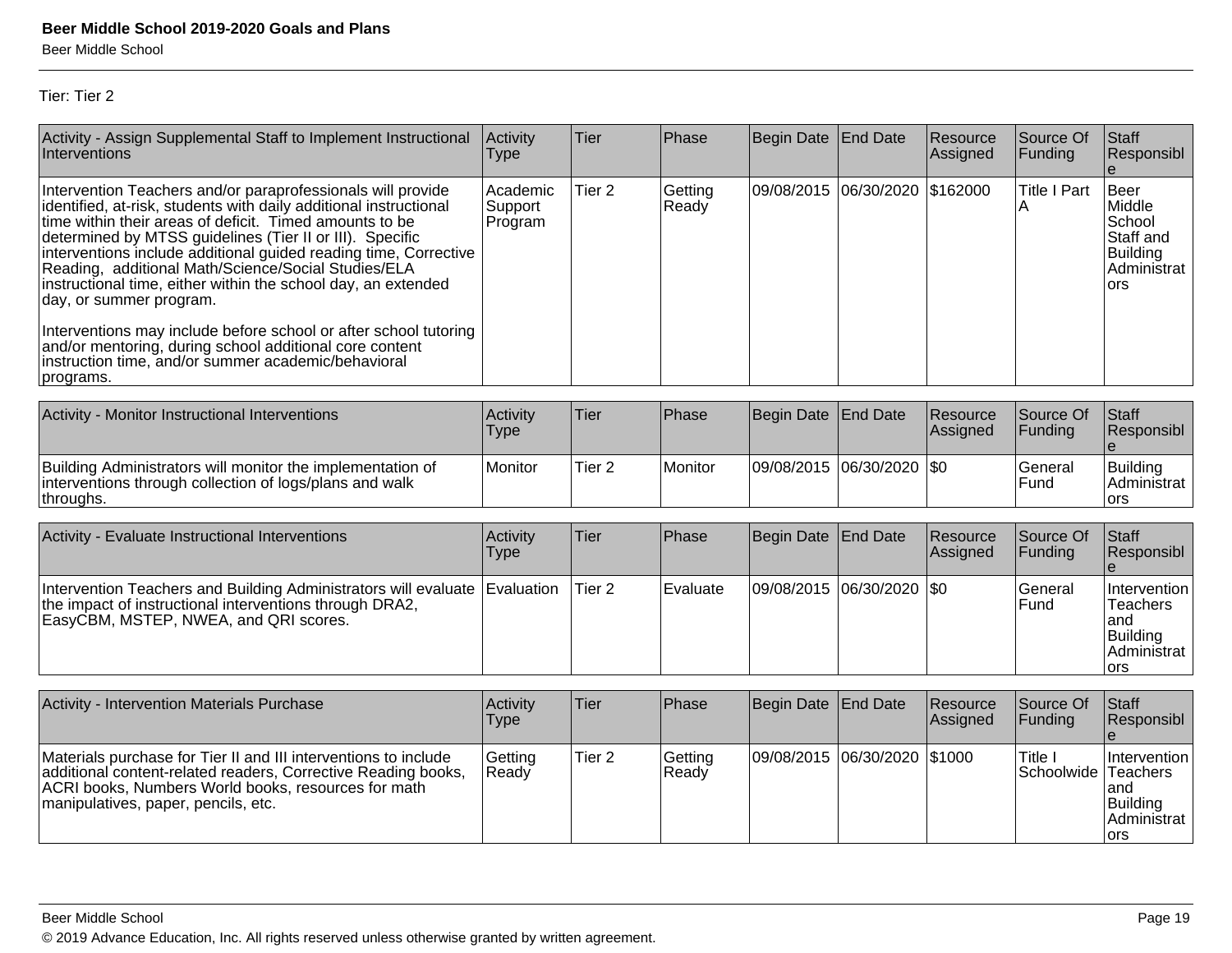Tier: Tier 2

| Activity - Assign Supplemental Staff to Implement Instructional<br>Interventions                                                                                                                                                                                                                                                                                                                                                                                               | Activity<br>Type               | Tier              | Phase            | Begin Date        | End Date        | Resource<br>Assigned | Source Of<br>Funding     | Staff<br>Responsibl<br>$\mathbf{e}$                                                    |
|--------------------------------------------------------------------------------------------------------------------------------------------------------------------------------------------------------------------------------------------------------------------------------------------------------------------------------------------------------------------------------------------------------------------------------------------------------------------------------|--------------------------------|-------------------|------------------|-------------------|-----------------|----------------------|--------------------------|----------------------------------------------------------------------------------------|
| Intervention Teachers and/or paraprofessionals will provide<br>identified, at-risk, students with daily additional instructional<br>time within their areas of deficit. Timed amounts to be<br>determined by MTSS guidelines (Tier II or III). Specific<br>interventions include additional guided reading time, Corrective<br>Reading, additional Math/Science/Social Studies/ELA<br>instructional time, either within the school day, an extended<br>day, or summer program. | Academic<br>Support<br>Program | Tier <sub>2</sub> | Getting<br>Ready | 09/08/2015        | 06/30/2020      | \$162000             | <b>Title I Part</b><br>Α | <b>Beer</b><br>Middle<br>School<br>Staff and<br><b>Building</b><br>Administrat<br>ors  |
| Interventions may include before school or after school tutoring<br>and/or mentoring, during school additional core content<br>instruction time, and/or summer academic/behavioral<br>programs.                                                                                                                                                                                                                                                                                |                                |                   |                  |                   |                 |                      |                          |                                                                                        |
| Activity - Monitor Instructional Interventions                                                                                                                                                                                                                                                                                                                                                                                                                                 | Activity                       | Tier              | Phase            | <b>Begin Date</b> | <b>End Date</b> | Resource             | Source Of                | Staff                                                                                  |
|                                                                                                                                                                                                                                                                                                                                                                                                                                                                                | Type                           |                   |                  |                   |                 | Assigned             | Funding                  | Responsibl<br>e                                                                        |
| Building Administrators will monitor the implementation of<br>interventions through collection of logs/plans and walk<br>throughs.                                                                                                                                                                                                                                                                                                                                             | Monitor                        | Tier <sub>2</sub> | Monitor          | 09/08/2015        | 06/30/2020      | \$0                  | General<br>Fund          | <b>Building</b><br>Administrat<br>ors                                                  |
|                                                                                                                                                                                                                                                                                                                                                                                                                                                                                |                                |                   |                  |                   |                 |                      |                          |                                                                                        |
| Activity - Evaluate Instructional Interventions                                                                                                                                                                                                                                                                                                                                                                                                                                | Activity<br><b>Type</b>        | Tier              | Phase            | <b>Begin Date</b> | <b>End Date</b> | Resource<br>Assigned | Source Of<br>Funding     | Staff<br>Responsibl<br>e                                                               |
| Intervention Teachers and Building Administrators will evaluate<br>the impact of instructional interventions through DRA2,<br>EasyCBM, MSTEP, NWEA, and QRI scores.                                                                                                                                                                                                                                                                                                            | Evaluation                     | Tier <sub>2</sub> | Evaluate         | 09/08/2015        | 06/30/2020      | \$0                  | General<br>Fund          | Intervention<br><b>Teachers</b><br>and<br><b>Building</b><br>Administrat<br><b>ors</b> |
|                                                                                                                                                                                                                                                                                                                                                                                                                                                                                |                                |                   |                  |                   |                 |                      |                          |                                                                                        |
| <b>Activity - Intervention Materials Purchase</b>                                                                                                                                                                                                                                                                                                                                                                                                                              | Activity<br><b>Type</b>        | Tier              | Phase            | <b>Begin Date</b> | <b>End Date</b> | Resource<br>Assigned | Source Of<br>Funding     | <b>Staff</b><br>Responsibl                                                             |
| Materials purchase for Tier II and III interventions to include<br>additional content-related readers, Corrective Reading books,<br>ACRI books, Numbers World books, resources for math<br>manipulatives, paper, pencils, etc.                                                                                                                                                                                                                                                 | Getting<br>Ready               | Tier <sub>2</sub> | Getting<br>Ready | 09/08/2015        | 06/30/2020      | \$1000               | Title I<br>Schoolwide    | Intervention<br>Teachers<br>and<br><b>Building</b><br>Administrat<br>ors               |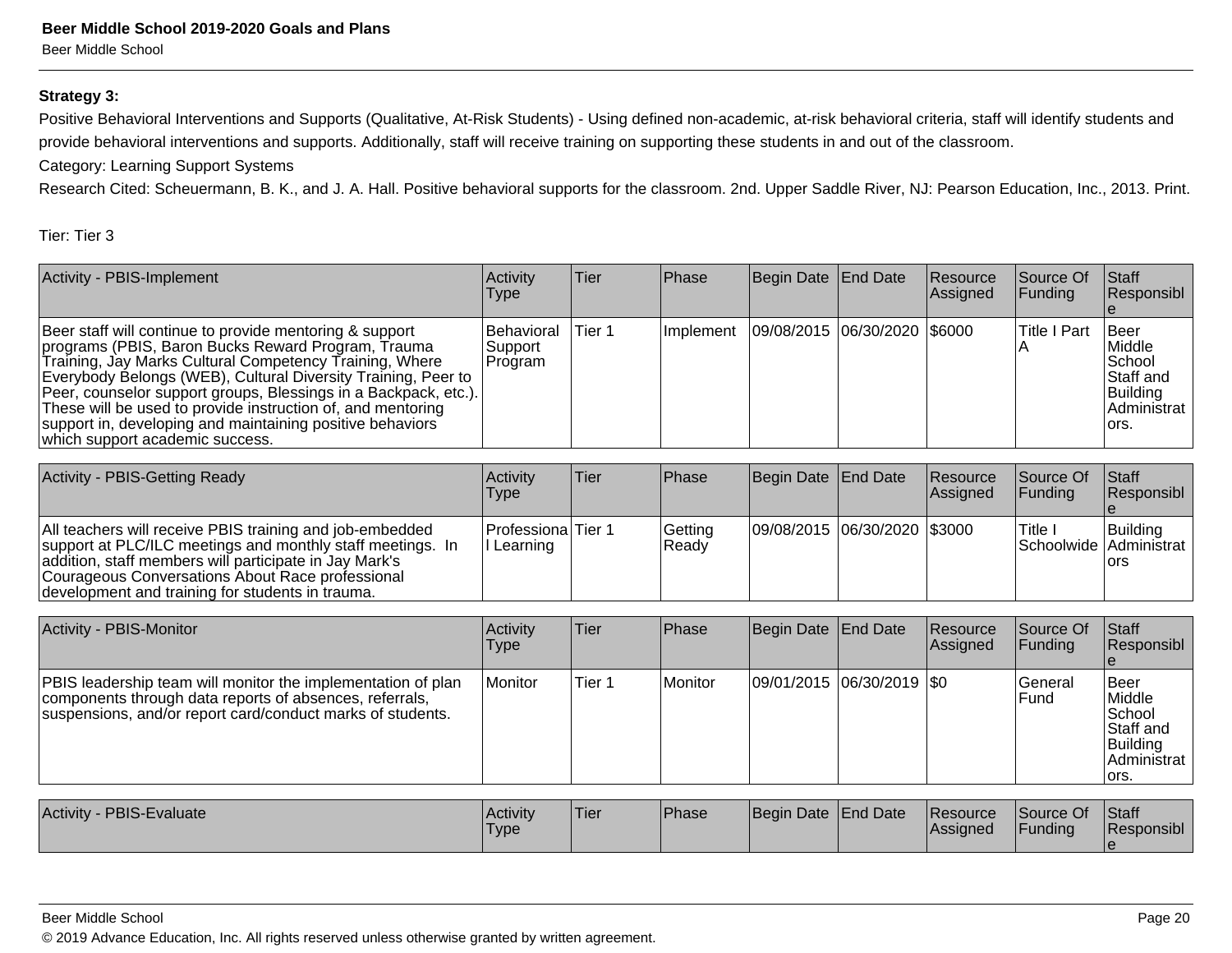#### **Strategy 3:**

Positive Behavioral Interventions and Supports (Qualitative, At-Risk Students) - Using defined non-academic, at-risk behavioral criteria, staff will identify students and provide behavioral interventions and supports. Additionally, staff will receive training on supporting these students in and out of the classroom.

Category: Learning Support Systems

Research Cited: Scheuermann, B. K., and J. A. Hall. Positive behavioral supports for the classroom. 2nd. Upper Saddle River, NJ: Pearson Education, Inc., 2013. Print.

#### Tier: Tier 3

| Activity - PBIS-Implement                                                                                                                                                                                                                                                                                                                                                                                                                                                   | Activity<br><b>Type</b>                    | Tier    | Phase                                        | Begin Date End Date | <b>Resource</b><br><b>Assigned</b> | <b>Source Of</b><br><b>Funding</b> | <b>Staff</b><br>Responsibl                                                                  |
|-----------------------------------------------------------------------------------------------------------------------------------------------------------------------------------------------------------------------------------------------------------------------------------------------------------------------------------------------------------------------------------------------------------------------------------------------------------------------------|--------------------------------------------|---------|----------------------------------------------|---------------------|------------------------------------|------------------------------------|---------------------------------------------------------------------------------------------|
| Beer staff will continue to provide mentoring & support<br>programs (PBIS, Baron Bucks Reward Program, Trauma<br>Training, Jay Marks Cultural Competency Training, Where<br>Everybody Belongs (WEB), Cultural Diversity Training, Peer to<br>Peer, counselor support groups, Blessings in a Backpack, etc.).<br>These will be used to provide instruction of, and mentoring<br>support in, developing and maintaining positive behaviors<br>which support academic success. | <b>Behavioral</b><br> Support <br> Program | lTier 1 | Implement   09/08/2015   06/30/2020   \$6000 |                     |                                    | Title I Part                       | <b>I</b> Beer<br>Middle<br>School<br>Staff and<br>Building<br><u>l</u> Administrat<br>lors. |

| Activity - PBIS-Getting Ready                                                                                                                                                                                                                                                            | <b>Activity</b><br>Type                 | lTier∶ | <b>IPhase</b>    | Begin Date End Date            | <b>Resource</b><br><b>Assigned</b> | <b>Source Of</b><br>IFundina | <b>Staff</b><br><b>Responsibl</b>              |
|------------------------------------------------------------------------------------------------------------------------------------------------------------------------------------------------------------------------------------------------------------------------------------------|-----------------------------------------|--------|------------------|--------------------------------|------------------------------------|------------------------------|------------------------------------------------|
| All teachers will receive PBIS training and job-embedded<br>support at PLC/ILC meetings and monthly staff meetings. In<br>addition, staff members will participate in Jay Mark's<br>Courageous Conversations About Race professional<br>development and training for students in trauma. | <b>ProfessionalTier 1</b><br>I Learning |        | Getting<br>Ready | 09/08/2015  06/30/2020  \$3000 |                                    | ITitle i                     | l Buildina<br>Schoolwide Administrat  <br>lors |

| Activity - PBIS-Monitor                                                                                                                                                               | Activity<br><b>Type</b> | Tier   | Phase   | Begin Date End Date |                           | Resource<br>Assigned | Source Of<br> Funding    | <b>Staff</b><br>Responsibl                                                 |
|---------------------------------------------------------------------------------------------------------------------------------------------------------------------------------------|-------------------------|--------|---------|---------------------|---------------------------|----------------------|--------------------------|----------------------------------------------------------------------------|
| PBIS leadership team will monitor the implementation of plan<br>components through data reports of absences, referrals,<br>suspensions, and/or report card/conduct marks of students. | Monitor                 | Tier 1 | Monitor |                     | 09/01/2015 06/30/2019 \$0 |                      | lGeneral<br><b>IFund</b> | lBeer<br>Middle<br>School<br>Staff and<br>Building<br>Administrat<br>lors. |

| Activity - PBIS-Evaluate | Activity<br>'Type | 'Tier | <b>Phase</b> | Begin Date End Date | Resource<br><b>Assigned</b> | Source Of<br>Funding | <b>Staff</b><br>Responsibl |
|--------------------------|-------------------|-------|--------------|---------------------|-----------------------------|----------------------|----------------------------|
|                          |                   |       |              |                     |                             |                      |                            |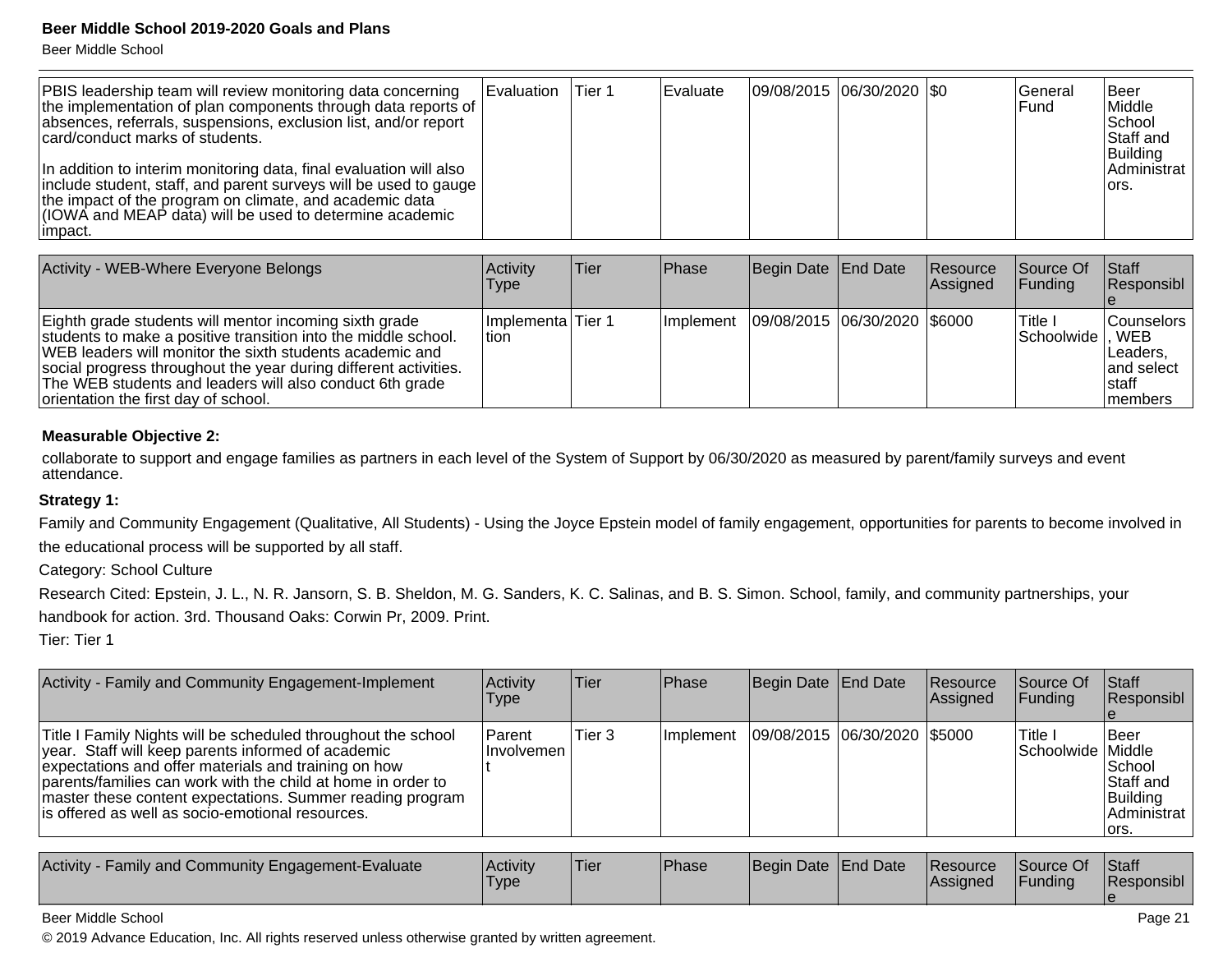Beer Middle School

| <b>PBIS leadership team will review monitoring data concerning</b><br>the implementation of plan components through data reports of<br>absences, referrals, suspensions, exclusion list, and/or report<br>card/conduct marks of students.                                   | Evaluation | Tier 1 | Evaluate | 09/08/2015 06/30/2020   \$0 |  | lGeneral<br>IFund | <b>I</b> Beer<br>Middle<br><b>School</b><br>Staff and<br>Building |
|-----------------------------------------------------------------------------------------------------------------------------------------------------------------------------------------------------------------------------------------------------------------------------|------------|--------|----------|-----------------------------|--|-------------------|-------------------------------------------------------------------|
| In addition to interim monitoring data, final evaluation will also<br> include student, staff, and parent surveys will be used to gauge  <br>the impact of the program on climate, and academic data<br>(IOWA and MEAP data) will be used to determine academic<br>limpact. |            |        |          |                             |  |                   | Administrat<br>lors.                                              |

| Activity - WEB-Where Everyone Belongs                                                                                                                                                                                                                                                                                                                        | <b>Activity</b><br><b>Type</b> | Tier | Phase            | Begin Date End Date            | Resource<br>Assigned | <b>Source Of</b><br> Funding | <b>Staff</b><br>Responsibl                                    |
|--------------------------------------------------------------------------------------------------------------------------------------------------------------------------------------------------------------------------------------------------------------------------------------------------------------------------------------------------------------|--------------------------------|------|------------------|--------------------------------|----------------------|------------------------------|---------------------------------------------------------------|
| Eighth grade students will mentor incoming sixth grade<br>students to make a positive transition into the middle school.<br>WEB leaders will monitor the sixth students academic and<br>social progress throughout the year during different activities.<br>The WEB students and leaders will also conduct 6th grade<br>orientation the first day of school. | Implementa Tier 1<br>ltion.    |      | <b>Implement</b> | 09/08/2015  06/30/2020  \$6000 |                      | I Title<br>Schoolwide  , WEB | Counselors  <br>Leaders.<br>land select<br>Istaff<br>Imembers |

#### **Measurable Objective 2:**

collaborate to support and engage families as partners in each level of the System of Support by 06/30/2020 as measured by parent/family surveys and event attendance.

#### **Strategy 1:**

Family and Community Engagement (Qualitative, All Students) - Using the Joyce Epstein model of family engagement, opportunities for parents to become involved inthe educational process will be supported by all staff.

Category: School Culture

Research Cited: Epstein, J. L., N. R. Jansorn, S. B. Sheldon, M. G. Sanders, K. C. Salinas, and B. S. Simon. School, family, and community partnerships, your handbook for action. 3rd. Thousand Oaks: Corwin Pr, 2009. Print.

Tier: Tier 1

| Activity - Family and Community Engagement-Implement                                                                                                                                                                                                                                                                                                          | Activity<br>Type        | Tier   | <b>IPhase</b> | Begin Date End Date |                              | <b>Resource</b><br><b>Assigned</b> | Source Of<br>IFundina           | Staff<br>Responsibl                                                      |
|---------------------------------------------------------------------------------------------------------------------------------------------------------------------------------------------------------------------------------------------------------------------------------------------------------------------------------------------------------------|-------------------------|--------|---------------|---------------------|------------------------------|------------------------------------|---------------------------------|--------------------------------------------------------------------------|
| Title I Family Nights will be scheduled throughout the school<br>year. Staff will keep parents informed of academic<br>expectations and offer materials and training on how<br>parents/families can work with the child at home in order to<br>master these content expectations. Summer reading program<br>lis offered as well as socio-emotional resources. | Parent<br>⊺Involvemen l | Tier 3 | Ilmplement    |                     | 09/08/2015 06/30/2020 \$5000 |                                    | 'Title I<br>Schoolwide   Middle | <b>I</b> Beer<br>School<br>Staff and<br>Building<br>Administrat<br>lors. |

| <b>Activity</b><br>Activity<br>J - Family and Community Engagement-Evaluate<br><b>Type</b> | 'Tier | Phase | Begin Date End Date |  | <b>Resource</b><br><b>IAssianed</b> | Source Of<br>Funding | <b>Staff</b><br>Responsibl |
|--------------------------------------------------------------------------------------------|-------|-------|---------------------|--|-------------------------------------|----------------------|----------------------------|
|--------------------------------------------------------------------------------------------|-------|-------|---------------------|--|-------------------------------------|----------------------|----------------------------|

#### Beer Middle School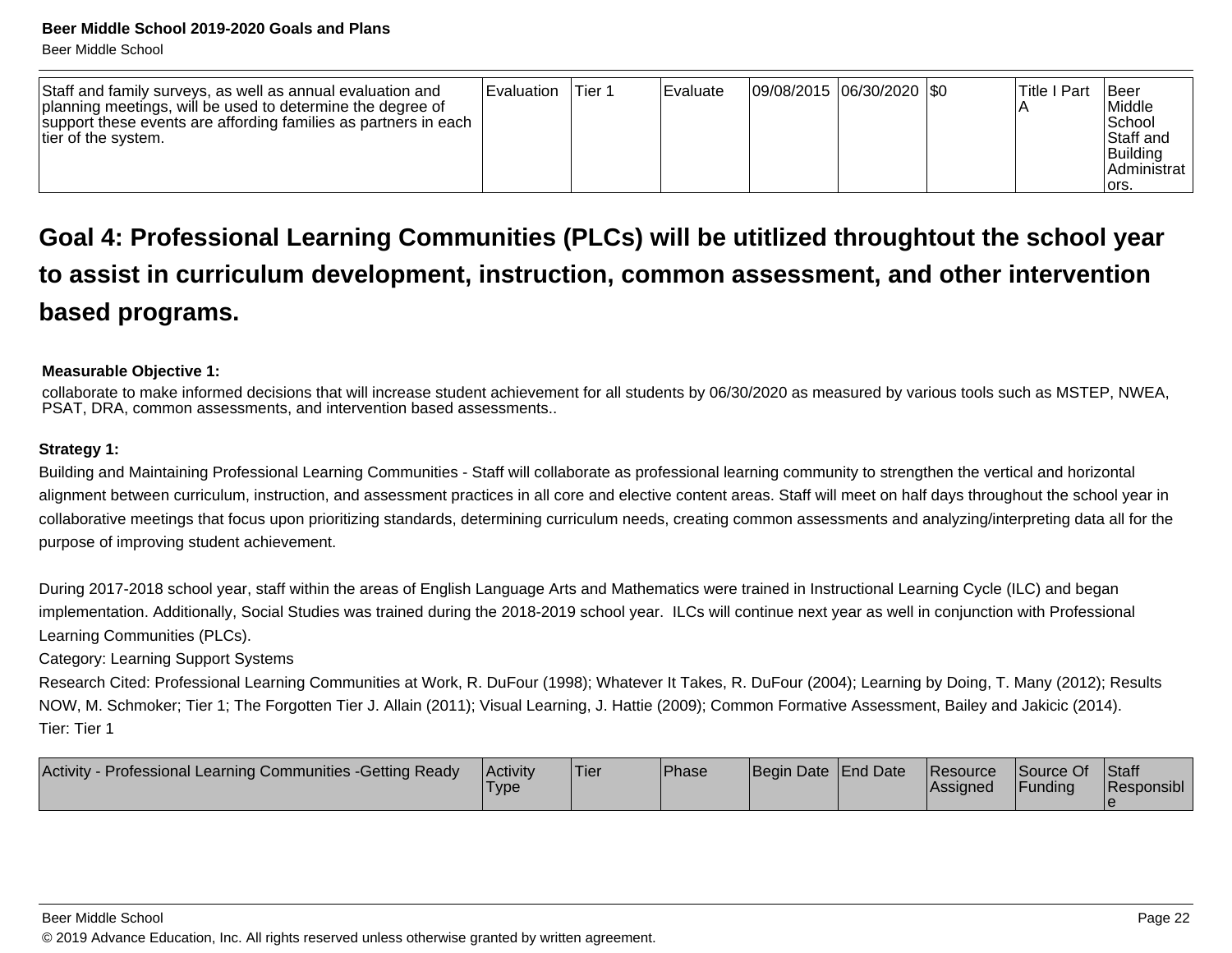| Staff and family surveys, as well as annual evaluation and<br>planning meetings, will be used to determine the degree of<br>support these events are affording families as partners in each<br>tier of the system. | l Evaluation | Tier 1 | Evaluate | 09/08/2015  06/30/2020  \$0 |  |  | ITitle I Part | <b>IBeer</b><br>Middle<br>l School<br>Staff and<br>Building<br>l Administrat<br>lors. |
|--------------------------------------------------------------------------------------------------------------------------------------------------------------------------------------------------------------------|--------------|--------|----------|-----------------------------|--|--|---------------|---------------------------------------------------------------------------------------|
|--------------------------------------------------------------------------------------------------------------------------------------------------------------------------------------------------------------------|--------------|--------|----------|-----------------------------|--|--|---------------|---------------------------------------------------------------------------------------|

# **Goal 4: Professional Learning Communities (PLCs) will be utitlized throughtout the school yearto assist in curriculum development, instruction, common assessment, and other interventionbased programs.**

#### **Measurable Objective 1:**

 collaborate to make informed decisions that will increase student achievement for all students by 06/30/2020 as measured by various tools such as MSTEP, NWEA,PSAT, DRA, common assessments, and intervention based assessments..

#### **Strategy 1:**

Building and Maintaining Professional Learning Communities - Staff will collaborate as professional learning community to strengthen the vertical and horizontalalignment between curriculum, instruction, and assessment practices in all core and elective content areas. Staff will meet on half days throughout the school year incollaborative meetings that focus upon prioritizing standards, determining curriculum needs, creating common assessments and analyzing/interpreting data all for thepurpose of improving student achievement.

During 2017-2018 school year, staff within the areas of English Language Arts and Mathematics were trained in Instructional Learning Cycle (ILC) and began implementation. Additionally, Social Studies was trained during the 2018-2019 school year. ILCs will continue next year as well in conjunction with ProfessionalLearning Communities (PLCs).

Category: Learning Support Systems

 Research Cited: Professional Learning Communities at Work, R. DuFour (1998); Whatever It Takes, R. DuFour (2004); Learning by Doing, T. Many (2012); ResultsNOW, M. Schmoker; Tier 1; The Forgotten Tier J. Allain (2011); Visual Learning, J. Hattie (2009); Common Formative Assessment, Bailey and Jakicic (2014). Tier: Tier 1

| Activity - Professional Learning Communities - Getting Ready<br><b>Activity</b><br><b>I</b> ype | <b>Tier</b> | <b>Phase</b> | Begin Date End Date |  | Resource<br>lAssianed | Source Of<br>Funding | <b>Staff</b><br>Responsibl |
|-------------------------------------------------------------------------------------------------|-------------|--------------|---------------------|--|-----------------------|----------------------|----------------------------|
|-------------------------------------------------------------------------------------------------|-------------|--------------|---------------------|--|-----------------------|----------------------|----------------------------|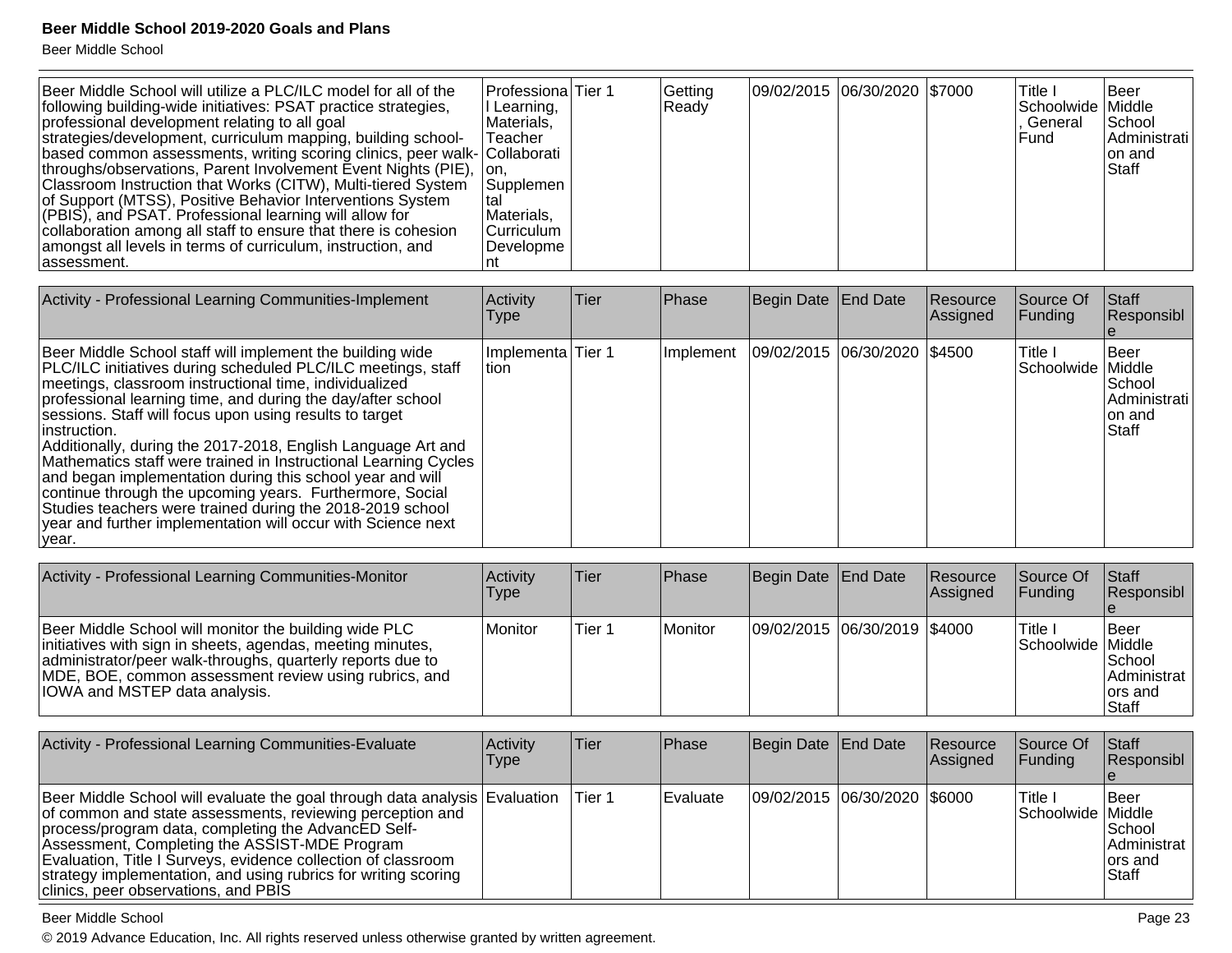Beer Middle School

| Beer Middle School will utilize a PLC/ILC model for all of the<br>following building-wide initiatives: PSAT practice strategies,<br>professional development relating to all goal<br>strategies/development, curriculum mapping, building school-<br>based common assessments, writing scoring clinics, peer walk- Collaborati<br>throughs/observations, Parent Involvement Event Nights (PIE),<br>Classroom Instruction that Works (CITW), Multi-tiered System<br>of Support (MTSS), Positive Behavior Interventions System<br>(PBIS), and PSAT. Professional learning will allow for<br>collaboration among all staff to ensure that there is cohesion<br>amongst all levels in terms of curriculum, instruction, and<br>lassessment. | Professiona Tier 1<br>I Learning,<br>Materials,<br>Teacher<br>Ton.<br>Supplemen<br>Materials,<br>lCurriculum<br>Developme |      | Getting<br>Ready | 09/02/2015 06/30/2020 \$7000 |          | Title I<br>Schoolwide   Middle<br>. General<br>l Fund | lBeer<br>School<br>Administrati<br>Ion and<br><b>Staff</b> |
|-----------------------------------------------------------------------------------------------------------------------------------------------------------------------------------------------------------------------------------------------------------------------------------------------------------------------------------------------------------------------------------------------------------------------------------------------------------------------------------------------------------------------------------------------------------------------------------------------------------------------------------------------------------------------------------------------------------------------------------------|---------------------------------------------------------------------------------------------------------------------------|------|------------------|------------------------------|----------|-------------------------------------------------------|------------------------------------------------------------|
| Activity - Professional Learning Communities-Implement                                                                                                                                                                                                                                                                                                                                                                                                                                                                                                                                                                                                                                                                                  | Activity                                                                                                                  | Tier | Phase            | Begin Date End Date          | Resource | Source Of<br><b>I</b> Factor of the con-              | Staff<br>10.22222211                                       |

| <b>Exercisity - Libressional Learning Communities-implement</b>                                                                                                                                                                                                                                                                                                                                                                                                                                                                                                                                                                                                                                                                          | <b>ACUVILY</b><br>l ype     | - 1101 | т назе | <b>Dediii nare Triin nare</b>                | $\overline{\phantom{a}}$<br> Assigned | ושטעוטפו<br><b>IFunding</b>    | ıualı<br>Responsibl                                        |
|------------------------------------------------------------------------------------------------------------------------------------------------------------------------------------------------------------------------------------------------------------------------------------------------------------------------------------------------------------------------------------------------------------------------------------------------------------------------------------------------------------------------------------------------------------------------------------------------------------------------------------------------------------------------------------------------------------------------------------------|-----------------------------|--------|--------|----------------------------------------------|---------------------------------------|--------------------------------|------------------------------------------------------------|
| Beer Middle School staff will implement the building wide<br><b>PLC/ILC</b> initiatives during scheduled PLC/ILC meetings, staff<br>meetings, classroom instructional time, individualized<br>professional learning time, and during the day/after school<br>sessions. Staff will focus upon using results to target<br>linstruction.<br>Additionally, during the 2017-2018, English Language Art and<br>Mathematics staff were trained in Instructional Learning Cycles<br>and began implementation during this school year and will<br>continue through the upcoming years. Furthermore, Social<br>Studies teachers were trained during the 2018-2019 school<br>year and further implementation will occur with Science next<br>∣vear. | Implementa Tier 1<br>ltion. |        |        | Implement   09/02/2015   06/30/2020   \$4500 |                                       | Title I<br>Schoolwide   Middle | lBeer<br>School<br>Administrati<br>lon and<br><b>Staff</b> |

| Activity - Professional Learning Communities-Monitor                                                                                                                                                                                                                               | Activity<br>Type | Tier   | <b>IPhase</b> | Begin Date   End Date        | Resource<br>Assigned | Source Of<br><b>IFundina</b>  | Staff<br>Responsibl                                                |
|------------------------------------------------------------------------------------------------------------------------------------------------------------------------------------------------------------------------------------------------------------------------------------|------------------|--------|---------------|------------------------------|----------------------|-------------------------------|--------------------------------------------------------------------|
| Beer Middle School will monitor the building wide PLC<br>initiatives with sign in sheets, agendas, meeting minutes,<br>administrator/peer walk-throughs, quarterly reports due to<br>MDE, BOE, common assessment review using rubrics, and<br><b>IOWA and MSTEP data analysis.</b> | Monitor          | Tier 1 | Monitor       | 09/02/2015 06/30/2019 \$4000 |                      | lTitle I<br>Schoolwide Middle | l Beer<br><b>School</b><br>Administrat<br>lors and<br><b>Staff</b> |

| Activity - Professional Learning Communities-Evaluate                                                                                                                                                                                                                                                                                                                                                                      | Activity<br>Type | Tier   | <b>Phase</b>     | Begin Date   End Date |                              | Resource<br>Assigned | Source Of<br><b>Funding</b>   | <b>Staff</b><br>Responsibl                                                |
|----------------------------------------------------------------------------------------------------------------------------------------------------------------------------------------------------------------------------------------------------------------------------------------------------------------------------------------------------------------------------------------------------------------------------|------------------|--------|------------------|-----------------------|------------------------------|----------------------|-------------------------------|---------------------------------------------------------------------------|
| Beer Middle School will evaluate the goal through data analysis Evaluation<br>of common and state assessments, reviewing perception and<br>process/program data, completing the AdvancED Self-<br>Assessment, Completing the ASSIST-MDE Program<br>Evaluation, Title I Surveys, evidence collection of classroom<br>strategy implementation, and using rubrics for writing scoring<br>clinics, peer observations, and PBIS |                  | Tier 1 | <b>IEvaluate</b> |                       | 09/02/2015 06/30/2020 \$6000 |                      | 'Title I<br>Schoolwide Middle | <b>I</b> Beer<br><b>School</b><br>Administrat<br>lors and<br><b>Staff</b> |

#### Beer Middle School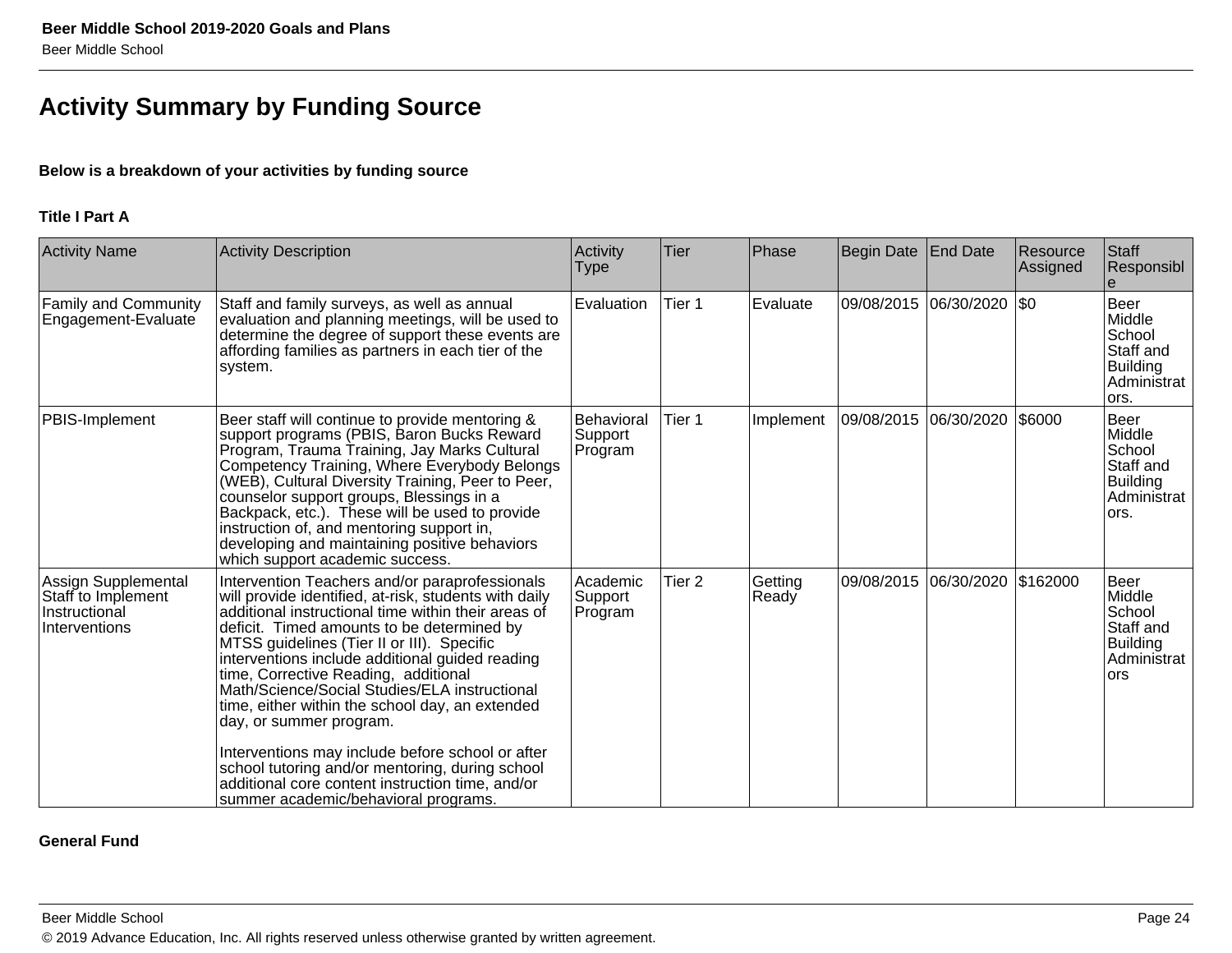# **Activity Summary by Funding Source**

#### **Below is a breakdown of your activities by funding source**

#### **Title I Part A**

| <b>Activity Name</b>                                                        | <b>Activity Description</b>                                                                                                                                                                                                                                                                                                                                                                                                                                                                                                                                                                                                                                                              | Activity<br>Type                 | Tier   | Phase            | <b>Begin Date</b> | End Date              | Resource<br>Assigned | Staff<br>Responsibl                                                                    |
|-----------------------------------------------------------------------------|------------------------------------------------------------------------------------------------------------------------------------------------------------------------------------------------------------------------------------------------------------------------------------------------------------------------------------------------------------------------------------------------------------------------------------------------------------------------------------------------------------------------------------------------------------------------------------------------------------------------------------------------------------------------------------------|----------------------------------|--------|------------------|-------------------|-----------------------|----------------------|----------------------------------------------------------------------------------------|
| Family and Community<br>Engagement-Evaluate                                 | Staff and family surveys, as well as annual<br>evaluation and planning meetings, will be used to<br>determine the degree of support these events are<br>affording families as partners in each tier of the<br>system.                                                                                                                                                                                                                                                                                                                                                                                                                                                                    | Evaluation                       | Tier 1 | Evaluate         |                   | 09/08/2015 06/30/2020 | \$0                  | <b>Beer</b><br>Middle<br>School<br>Staff and<br><b>Building</b><br>Administrat<br>ors. |
| PBIS-Implement                                                              | Beer staff will continue to provide mentoring &<br>support programs (PBIS, Baron Bucks Reward<br>Program, Trauma Training, Jay Marks Cultural<br>Competency Training, Where Everybody Belongs<br>(WEB), Cultural Diversity Training, Peer to Peer,<br>counselor support groups, Blessings in a<br>Backpack, etc.). These will be used to provide<br>instruction of, and mentoring support in,<br>developing and maintaining positive behaviors<br>which support academic success.                                                                                                                                                                                                        | Behavioral<br>Support<br>Program | Tier 1 | Implement        |                   |                       | \$6000               | <b>Beer</b><br>Middle<br>School<br>Staff and<br><b>Building</b><br>Administrat<br>ors. |
| Assign Supplemental<br>Staff to Implement<br>Instructional<br>Interventions | Intervention Teachers and/or paraprofessionals<br>will provide identified, at-risk, students with daily<br>additional instructional time within their areas of<br>deficit. Timed amounts to be determined by<br>MTSS guidelines (Tier II or III). Specific<br>interventions include additional guided reading<br>time, Corrective Reading, additional<br>Math/Science/Social Studies/ELA instructional<br>time, either within the school day, an extended<br> day, or summer program.<br>Interventions may include before school or after<br>school tutoring and/or mentoring, during school<br>additional core content instruction time, and/or<br>summer academic/behavioral programs. | Academic<br>Support<br>Program   | Tier 2 | Getting<br>Ready |                   | 09/08/2015 06/30/2020 | \$162000             | Beer<br>Middle<br>School<br>Staff and<br><b>Building</b><br>Administrat<br><b>ors</b>  |

#### **General Fund**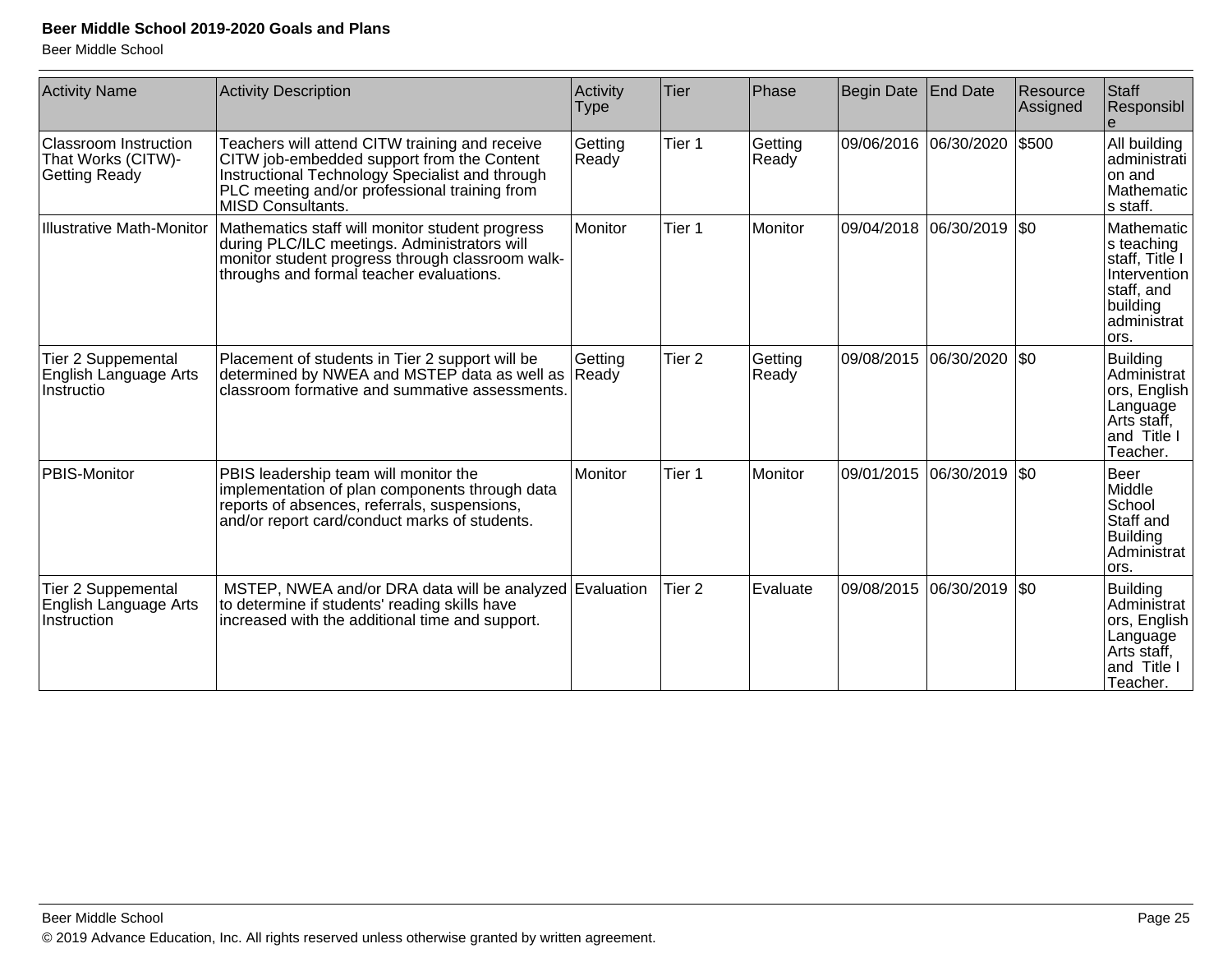| <b>Activity Name</b>                                         | <b>Activity Description</b>                                                                                                                                                                                                  | Activity<br><b>Type</b> | Tier              | Phase            | Begin Date | <b>End Date</b> | Resource<br>Assigned | Staff<br>Responsibl                                                                                         |
|--------------------------------------------------------------|------------------------------------------------------------------------------------------------------------------------------------------------------------------------------------------------------------------------------|-------------------------|-------------------|------------------|------------|-----------------|----------------------|-------------------------------------------------------------------------------------------------------------|
| Classroom Instruction<br>That Works (CITW)-<br>Getting Ready | Teachers will attend CITW training and receive<br>CITW job-embedded support from the Content<br>Instructional Technology Specialist and through<br>PLC meeting and/or professional training from<br><b>MISD Consultants.</b> | Getting<br>Ready        | Tier 1            | Getting<br>Ready | 09/06/2016 | 06/30/2020      | \$500                | All building<br>administrati<br>on and<br>Mathematic<br>s staff.                                            |
| <b>Illustrative Math-Monitor</b>                             | Mathematics staff will monitor student progress<br>during PLC/ILC meetings. Administrators will<br>monitor student progress through classroom walk-<br>throughs and formal teacher evaluations.                              | Monitor                 | Tier 1            | Monitor          | 09/04/2018 | 06/30/2019      | <b>SO</b>            | Mathematic<br>s teaching<br>staff, Title I<br>Intervention<br>staff, and<br>building<br>administrat<br>ors. |
| Tier 2 Suppemental<br>English Language Arts<br>Instructio    | Placement of students in Tier 2 support will be<br>determined by NWEA and MSTEP data as well as<br>classroom formative and summative assessments.                                                                            | Getting<br>Ready        | Tier <sub>2</sub> | Getting<br>Ready | 09/08/2015 | 06/30/2020      | <b>SO</b>            | <b>Building</b><br>Administrat<br>∫ors, English l<br>Language<br>Arts staff,<br>and Title I<br>Teacher.     |
| PBIS-Monitor                                                 | PBIS leadership team will monitor the<br>implementation of plan components through data<br>reports of absences, referrals, suspensions,<br>and/or report card/conduct marks of students.                                     | Monitor                 | Tier 1            | <b>Monitor</b>   | 09/01/2015 | 06/30/2019      | <b>SO</b>            | Beer<br>Middle<br>School<br>Staff and<br><b>Building</b><br>Administrat<br>lors.                            |
| Tier 2 Suppemental<br>English Language Arts<br>Instruction   | MSTEP, NWEA and/or DRA data will be analyzed Evaluation<br>to determine if students' reading skills have<br>increased with the additional time and support.                                                                  |                         | Tier <sub>2</sub> | Evaluate         | 09/08/2015 | 06/30/2019      | l\$0                 | <b>Building</b><br>Administrat<br> ors, English  <br>Language<br>Arts staff,<br>and Title I<br>Teacher.     |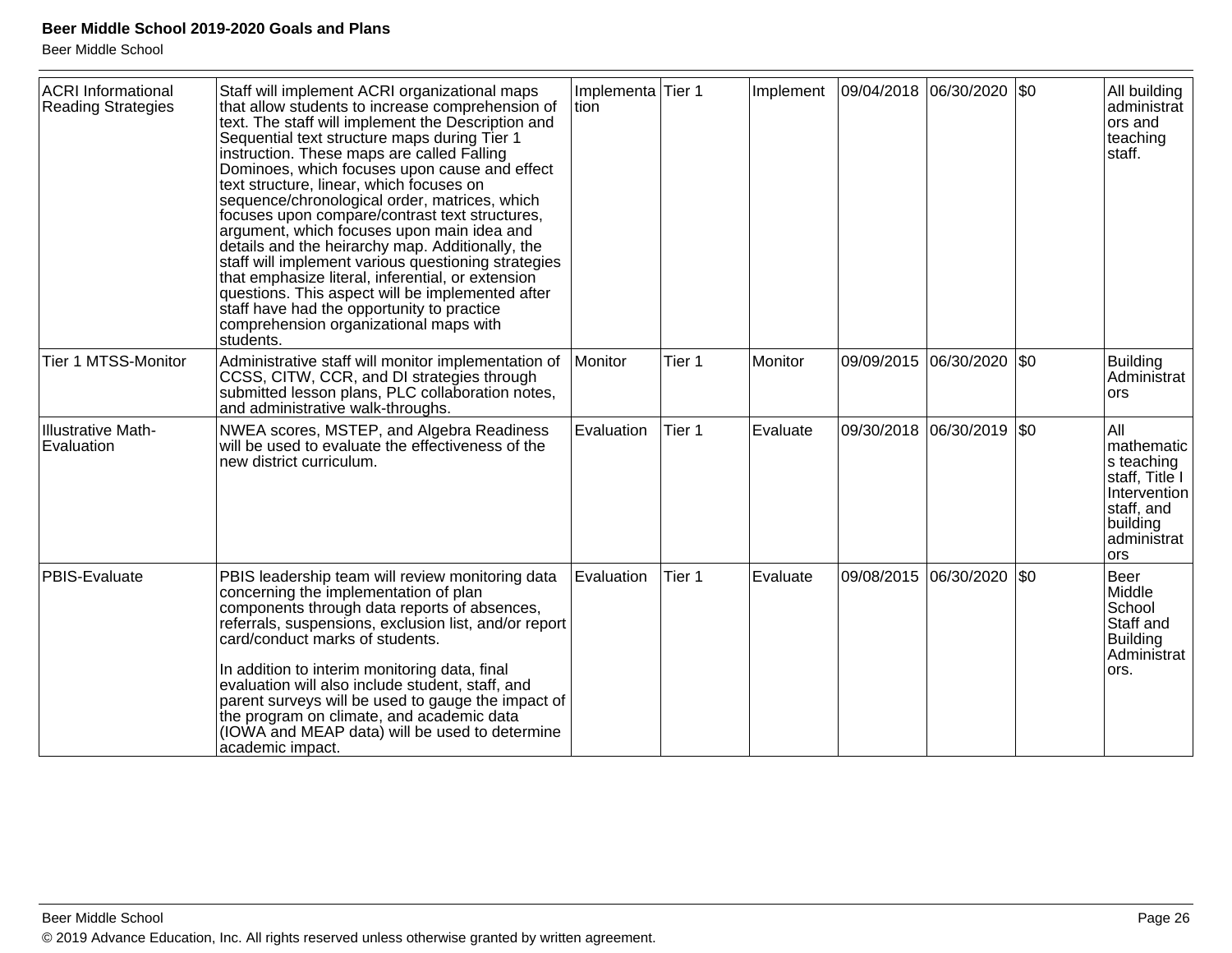| <b>ACRI</b> Informational<br><b>Reading Strategies</b> | Staff will implement ACRI organizational maps<br>that allow students to increase comprehension of<br>text. The staff will implement the Description and<br>Sequential text structure maps during Tier 1<br>instruction. These maps are called Falling<br>Dominoes, which focuses upon cause and effect<br>text structure, linear, which focuses on<br>sequence/chronological order, matrices, which<br>focuses upon compare/contrast text structures,<br>argument, which focuses upon main idea and<br>details and the heirarchy map. Additionally, the<br>staff will implement various questioning strategies<br>that emphasize literal, inferential, or extension<br>questions. This aspect will be implemented after<br>staff have had the opportunity to practice<br>comprehension organizational maps with<br>students. | Implementa Tier 1<br>Ition |        | Implement |                       | 09/04/2018  06/30/2020  \$0 |     | All building<br>administrat<br>ors and<br>teaching<br>staff.                                                      |
|--------------------------------------------------------|------------------------------------------------------------------------------------------------------------------------------------------------------------------------------------------------------------------------------------------------------------------------------------------------------------------------------------------------------------------------------------------------------------------------------------------------------------------------------------------------------------------------------------------------------------------------------------------------------------------------------------------------------------------------------------------------------------------------------------------------------------------------------------------------------------------------------|----------------------------|--------|-----------|-----------------------|-----------------------------|-----|-------------------------------------------------------------------------------------------------------------------|
| Tier 1 MTSS-Monitor                                    | Administrative staff will monitor implementation of<br>CCSS, CITW, CCR, and DI strategies through<br>submitted lesson plans, PLC collaboration notes,<br>and administrative walk-throughs.                                                                                                                                                                                                                                                                                                                                                                                                                                                                                                                                                                                                                                   | Monitor                    | Tier 1 | Monitor   | 09/09/2015 06/30/2020 |                             | \$0 | <b>Building</b><br>Administrat<br>ors                                                                             |
| Illustrative Math-<br>Evaluation                       | NWEA scores, MSTEP, and Algebra Readiness<br>will be used to evaluate the effectiveness of the<br>new district curriculum.                                                                                                                                                                                                                                                                                                                                                                                                                                                                                                                                                                                                                                                                                                   | Evaluation                 | Tier 1 | Evaluate  |                       | 09/30/2018 06/30/2019 \$0   |     | All<br>mathematic<br>s teaching<br>staff, Title I<br>Intervention<br>staff, and<br>building<br>administrat<br>ors |
| PBIS-Evaluate                                          | PBIS leadership team will review monitoring data<br>concerning the implementation of plan<br>components through data reports of absences,<br>referrals, suspensions, exclusion list, and/or report<br>card/conduct marks of students.<br>In addition to interim monitoring data, final<br>evaluation will also include student, staff, and<br>parent surveys will be used to gauge the impact of<br>the program on climate, and academic data<br>(IOWA and MEAP data) will be used to determine<br>academic impact.                                                                                                                                                                                                                                                                                                          | Evaluation                 | Tier 1 | Evaluate  |                       | 09/08/2015 06/30/2020       | \$0 | <b>Beer</b><br>Middle<br>School<br>Staff and<br><b>Building</b><br>Administrat<br>ors.                            |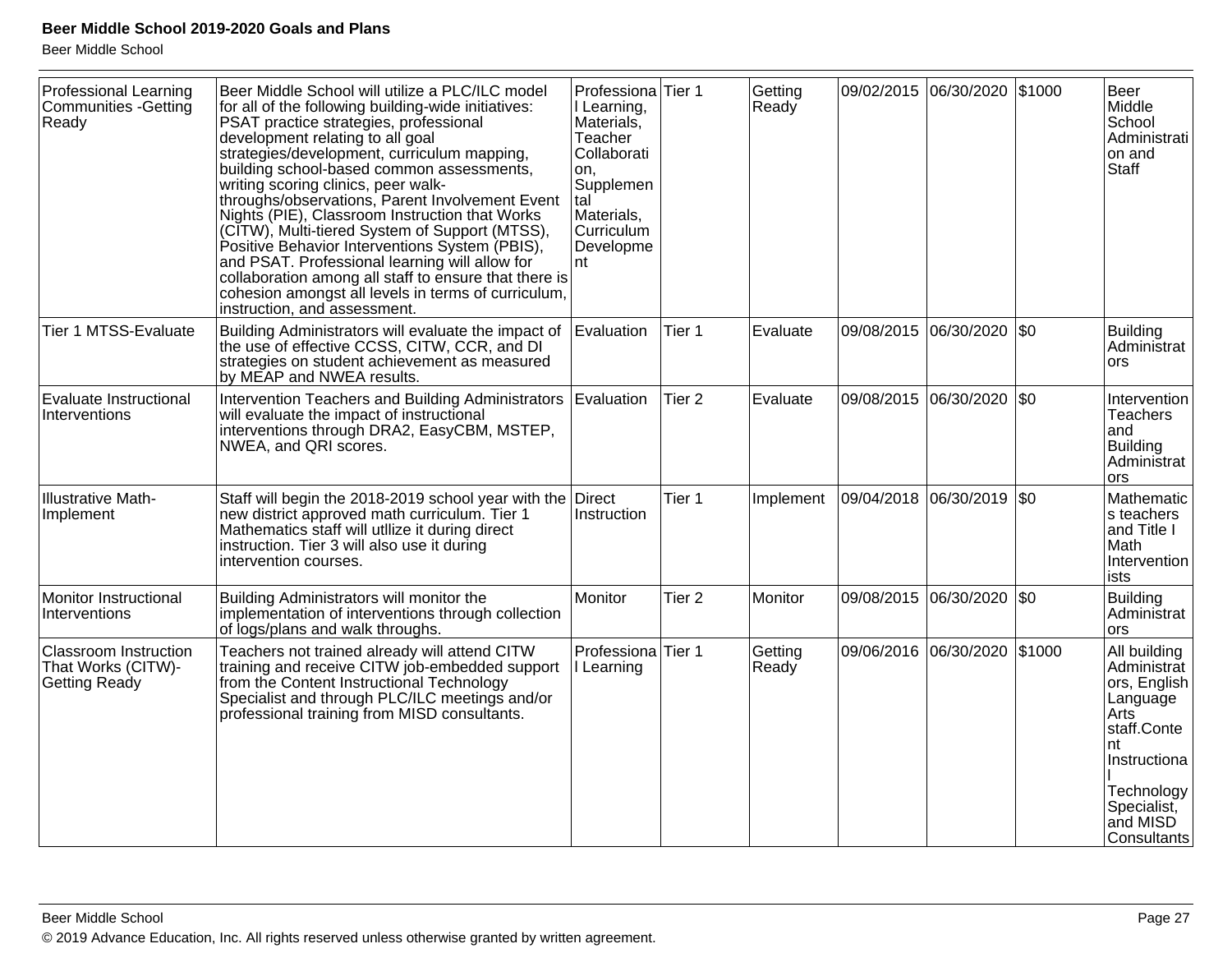| <b>Professional Learning</b><br><b>Communities -Getting</b><br>Ready       | Beer Middle School will utilize a PLC/ILC model<br>for all of the following building-wide initiatives:<br>PSAT practice strategies, professional<br>development relating to all goal<br>strategies/development, curriculum mapping,<br>building school-based common assessments,<br>writing scoring clinics, peer walk-<br>throughs/observations, Parent Involvement Event<br>Nights (PIE), Classroom Instruction that Works<br>(CITW), Multi-tiered System of Support (MTSS),<br>Positive Behavior Interventions System (PBIS),<br>and PSAT. Professional learning will allow for<br>collaboration among all staff to ensure that there is<br>cohesion amongst all levels in terms of curriculum,<br>instruction, and assessment. | Professiona <sup>Tier</sup> 1<br>I Learning,<br>Materials,<br>Teacher<br>Collaborati<br>on.<br>Supplemen<br>tal<br>Materials,<br>Curriculum<br>Developme<br>nt |                   | Getting<br>Ready |            | 09/02/2015 06/30/2020 \$1000 | Beer<br>Middle<br>School<br>Administrati<br>on and<br>Staff                                                                                                                  |
|----------------------------------------------------------------------------|------------------------------------------------------------------------------------------------------------------------------------------------------------------------------------------------------------------------------------------------------------------------------------------------------------------------------------------------------------------------------------------------------------------------------------------------------------------------------------------------------------------------------------------------------------------------------------------------------------------------------------------------------------------------------------------------------------------------------------|----------------------------------------------------------------------------------------------------------------------------------------------------------------|-------------------|------------------|------------|------------------------------|------------------------------------------------------------------------------------------------------------------------------------------------------------------------------|
| Tier 1 MTSS-Evaluate                                                       | Building Administrators will evaluate the impact of<br>the use of effective CCSS, CITW, CCR, and DI<br>strategies on student achievement as measured<br>by MEAP and NWEA results.                                                                                                                                                                                                                                                                                                                                                                                                                                                                                                                                                  | Evaluation                                                                                                                                                     | Tier 1            | Evaluate         |            | 09/08/2015 06/30/2020   \$0  | Building<br>Administrat<br>ors.                                                                                                                                              |
| Evaluate Instructional<br>Interventions                                    | Intervention Teachers and Building Administrators   Evaluation<br>will evaluate the impact of instructional<br>interventions through DRA2, EasyCBM, MSTEP,<br>NWEA, and QRI scores.                                                                                                                                                                                                                                                                                                                                                                                                                                                                                                                                                |                                                                                                                                                                | Tier <sub>2</sub> | Evaluate         |            | 09/08/2015 06/30/2020 \$0    | Intervention<br><b>Teachers</b><br>and<br>Building<br>Administrat<br>ors                                                                                                     |
| <b>Illustrative Math-</b><br>Implement                                     | Staff will begin the 2018-2019 school year with the<br>new district approved math curriculum. Tier 1<br>Mathematics staff will utilize it during direct<br>instruction. Tier 3 will also use it during<br>intervention courses.                                                                                                                                                                                                                                                                                                                                                                                                                                                                                                    | Direct<br>Instruction                                                                                                                                          | Tier 1            | Implement        |            | 09/04/2018 06/30/2019 \$0    | Mathematic<br>s teachers<br>and Title I<br>Math<br>Intervention<br>ists                                                                                                      |
| Monitor Instructional<br>Interventions                                     | Building Administrators will monitor the<br>implementation of interventions through collection<br>of logs/plans and walk throughs.                                                                                                                                                                                                                                                                                                                                                                                                                                                                                                                                                                                                 | Monitor                                                                                                                                                        | Tier <sub>2</sub> | Monitor          |            | 09/08/2015 06/30/2020 \$0    | Building<br>Administrat<br>ors                                                                                                                                               |
| <b>Classroom Instruction</b><br>That Works (CITW)-<br><b>Getting Ready</b> | Teachers not trained already will attend CITW<br>training and receive CITW job-embedded support<br>from the Content Instructional Technology<br>Specialist and through PLC/ILC meetings and/or<br>professional training from MISD consultants.                                                                                                                                                                                                                                                                                                                                                                                                                                                                                     | Professiona<br>I Learning                                                                                                                                      | Tier 1            | Getting<br>Ready | 09/06/2016 | 06/30/2020 \$1000            | All building<br>Administrat<br>ors, English<br>Language<br>Arts <sup>7</sup><br>staff.Conte<br>nt<br>Instructiona<br>Technology<br>Specialist,<br>and MISD<br>lConsultants l |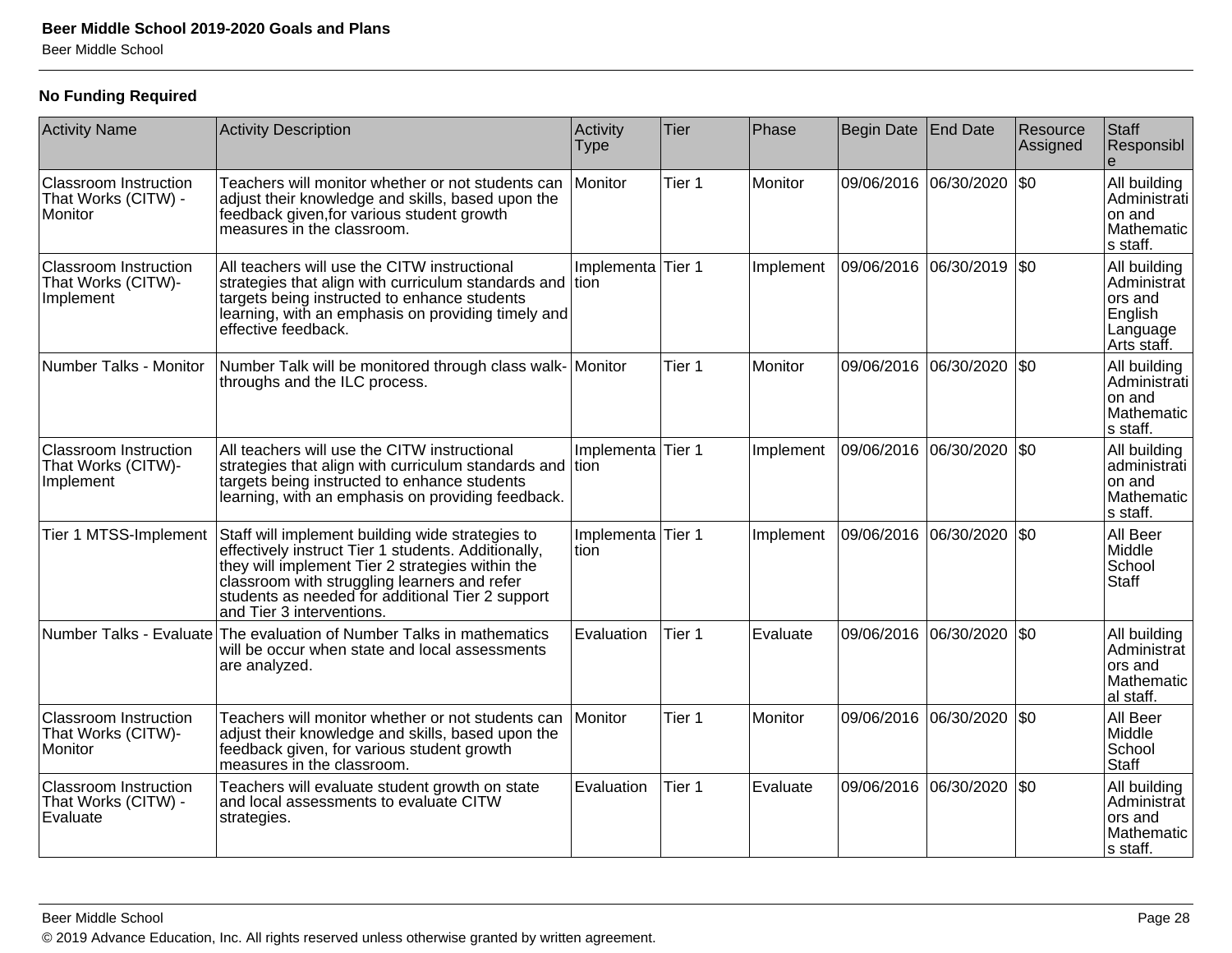#### **No Funding Required**

| <b>Activity Name</b>                                            | <b>Activity Description</b>                                                                                                                                                                                                                                                                  | Activity<br><b>Type</b>    | Tier              | Phase     | Begin Date End Date |                       | Resource<br>Assigned | Staff<br>Responsibl                                                          |
|-----------------------------------------------------------------|----------------------------------------------------------------------------------------------------------------------------------------------------------------------------------------------------------------------------------------------------------------------------------------------|----------------------------|-------------------|-----------|---------------------|-----------------------|----------------------|------------------------------------------------------------------------------|
| <b>Classroom Instruction</b><br>That Works (CITW) -<br>Monitor  | Teachers will monitor whether or not students can<br>adjust their knowledge and skills, based upon the<br>feedback given, for various student growth<br>measures in the classroom.                                                                                                           | Monitor                    | Tier 1            | Monitor   |                     | 09/06/2016 06/30/2020 | l\$0                 | All building<br>Administrati<br>on and<br>Mathematic<br>s staff.             |
| <b>Classroom Instruction</b><br>That Works (CITW)-<br>Implement | All teachers will use the CITW instructional<br>strategies that align with curriculum standards and tion<br>targets being instructed to enhance students<br>learning, with an emphasis on providing timely and<br>effective feedback.                                                        | Implementa                 | Tier 1            | Implement |                     | 09/06/2016 06/30/2019 | $ $ \$0              | All building<br>Administrat<br>ors and<br>English<br>Language<br>Arts staff. |
| Number Talks - Monitor                                          | Number Talk will be monitored through class walk- Monitor<br>throughs and the ILC process.                                                                                                                                                                                                   |                            | Tier 1            | Monitor   |                     | 09/06/2016 06/30/2020 | $ $ \$0              | All building<br>Administrati<br>on and<br>Mathematic<br>s staff.             |
| <b>Classroom Instruction</b><br>That Works (CITW)-<br>Implement | All teachers will use the CITW instructional<br>strategies that align with curriculum standards and<br>targets being instructed to enhance students<br>learning, with an emphasis on providing feedback.                                                                                     | Implementa Tier 1<br>ltion |                   | Implement |                     | 09/06/2016 06/30/2020 | \$0                  | All building<br>administrati<br>on and<br>Mathematic<br>s staff.             |
| Tier 1 MTSS-Implement                                           | Staff will implement building wide strategies to<br>effectively instruct Tier 1 students. Additionally,<br>they will implement Tier 2 strategies within the<br>classroom with struggling learners and refer<br>students as needed for additional Tier 2 support<br>and Tier 3 interventions. | Implementa<br>tion         | Tier 1            | Implement | 09/06/2016          | 06/30/2020            | I\$0                 | All Beer<br>Middle<br>School<br><b>Staff</b>                                 |
|                                                                 | Number Talks - Evaluate The evaluation of Number Talks in mathematics<br>will be occur when state and local assessments<br>are analyzed.                                                                                                                                                     | Evaluation                 | Tier <sub>1</sub> | Evaluate  | 09/06/2016          | 06/30/2020            | l\$0                 | All building<br>Administrat<br>lors and<br>Mathematic<br>al staff.           |
| <b>Classroom Instruction</b><br>That Works (CITW)-<br>Monitor   | Teachers will monitor whether or not students can<br>adjust their knowledge and skills, based upon the<br>feedback given, for various student growth<br>measures in the classroom.                                                                                                           | Monitor                    | Tier 1            | Monitor   |                     | 09/06/2016 06/30/2020 | $ $ \$0              | All Beer<br>Middle<br>School<br><b>Staff</b>                                 |
| <b>Classroom Instruction</b><br>That Works (CITW) -<br>Evaluate | Teachers will evaluate student growth on state<br>and local assessments to evaluate CITW<br>strategies.                                                                                                                                                                                      | Evaluation                 | Tier 1            | Evaluate  |                     | 09/06/2016 06/30/2020 | $ $ \$0              | All building<br>Administrat<br>ors and<br>Mathematic<br>s staff.             |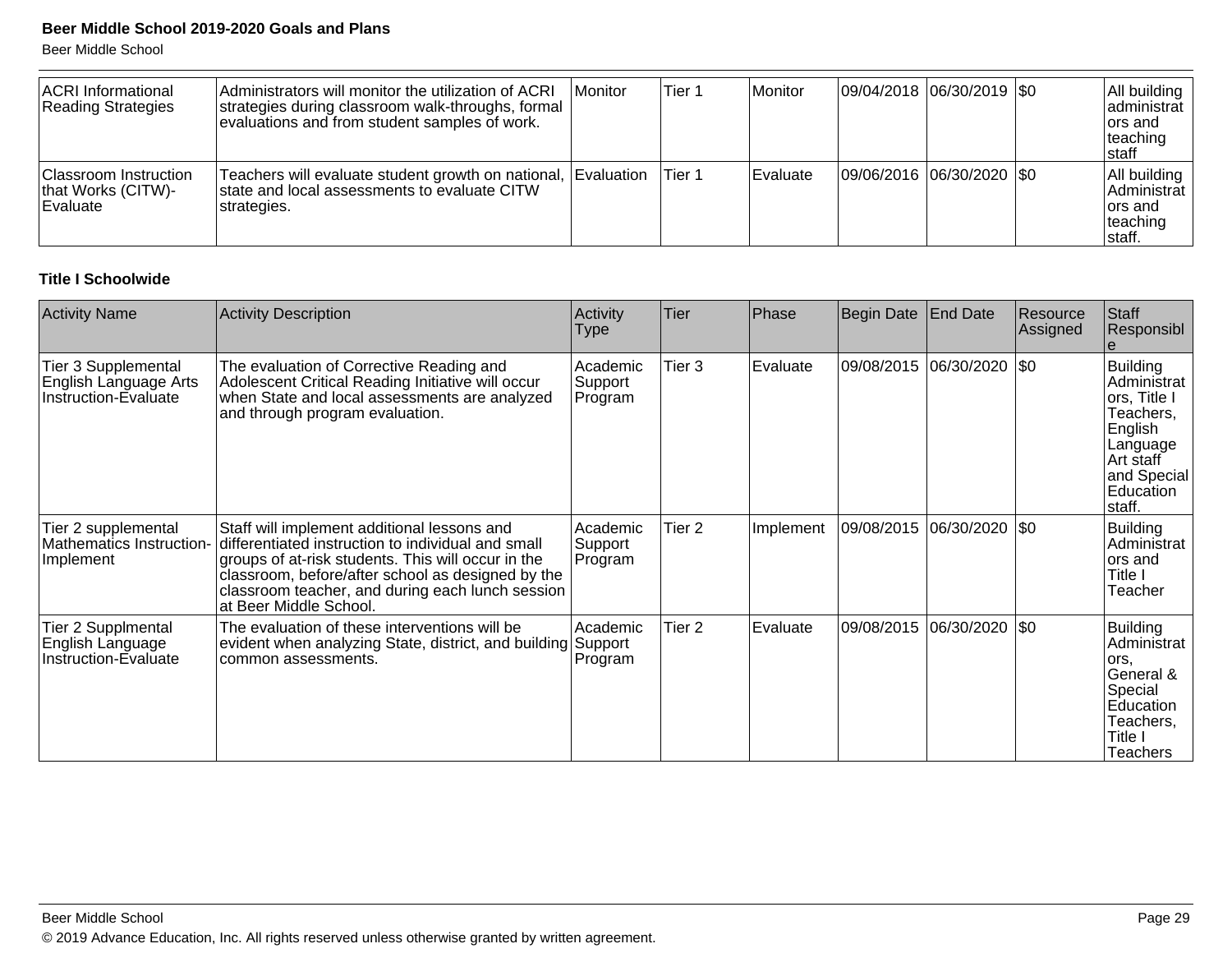Beer Middle School

| <b>ACRI</b> Informational<br>Reading Strategies                | Administrators will monitor the utilization of ACRI<br>strategies during classroom walk-throughs, formal<br>evaluations and from student samples of work. | l Monitor | Tier 1 | Monitor         | 09/04/2018 06/30/2019   \$0 |  | All building<br>administrat<br>lors and<br>teaching<br>Istaff |
|----------------------------------------------------------------|-----------------------------------------------------------------------------------------------------------------------------------------------------------|-----------|--------|-----------------|-----------------------------|--|---------------------------------------------------------------|
| Classroom Instruction<br>that Works (CITW)-<br><b>Evaluate</b> | Teachers will evaluate student growth on national, Evaluation<br>state and local assessments to evaluate CITW<br>strategies.                              |           | Tier 1 | <b>Evaluate</b> | 09/06/2016 06/30/2020   \$0 |  | All building<br>Administrat<br>ors and<br>teaching<br> staff. |

#### **Title I Schoolwide**

| <b>Activity Name</b>                                                 | <b>Activity Description</b>                                                                                                                                                                                                                                                                | Activity<br><b>Type</b>        | Tier              | Phase     | Begin Date | <b>End Date</b> | Resource<br>Assigned | Staff<br>Responsibl                                                                                                                    |
|----------------------------------------------------------------------|--------------------------------------------------------------------------------------------------------------------------------------------------------------------------------------------------------------------------------------------------------------------------------------------|--------------------------------|-------------------|-----------|------------|-----------------|----------------------|----------------------------------------------------------------------------------------------------------------------------------------|
| Tier 3 Supplemental<br>English Language Arts<br>Instruction-Evaluate | The evaluation of Corrective Reading and<br>Adolescent Critical Reading Initiative will occur<br>when State and local assessments are analyzed<br>and through program evaluation.                                                                                                          | Academic<br>Support<br>Program | Tier <sub>3</sub> | Evaluate  | 09/08/2015 | 06/30/2020      | $ \$0$               | <b>Building</b><br>Administrat<br> ors, Title I<br>Teachers,<br>English<br>Language<br>Art staff<br>and Special<br>Education<br>staff. |
| Tier 2 supplemental<br>Mathematics Instruction-<br>Implement         | Staff will implement additional lessons and<br>differentiated instruction to individual and small<br>groups of at-risk students. This will occur in the<br>classroom, before/after school as designed by the<br>classroom teacher, and during each lunch session<br>at Beer Middle School. | Academic<br>Support<br>Program | Tier <sub>2</sub> | Implement |            |                 | $\sqrt{50}$          | Building<br>Administrat<br>lors and<br>Title I<br>Teacher                                                                              |
| Tier 2 Supplmental<br>English Language<br>Instruction-Evaluate       | The evaluation of these interventions will be<br>evident when analyzing State, district, and building<br>common assessments.                                                                                                                                                               | Academic<br>Support<br>Program | Tier <sub>2</sub> | Evaluate  | 09/08/2015 | 06/30/2020      | \$0                  | Building<br>Administrat<br>lors,<br>General &<br>Special<br>Education<br>Teachers,<br>Title I<br><b>Teachers</b>                       |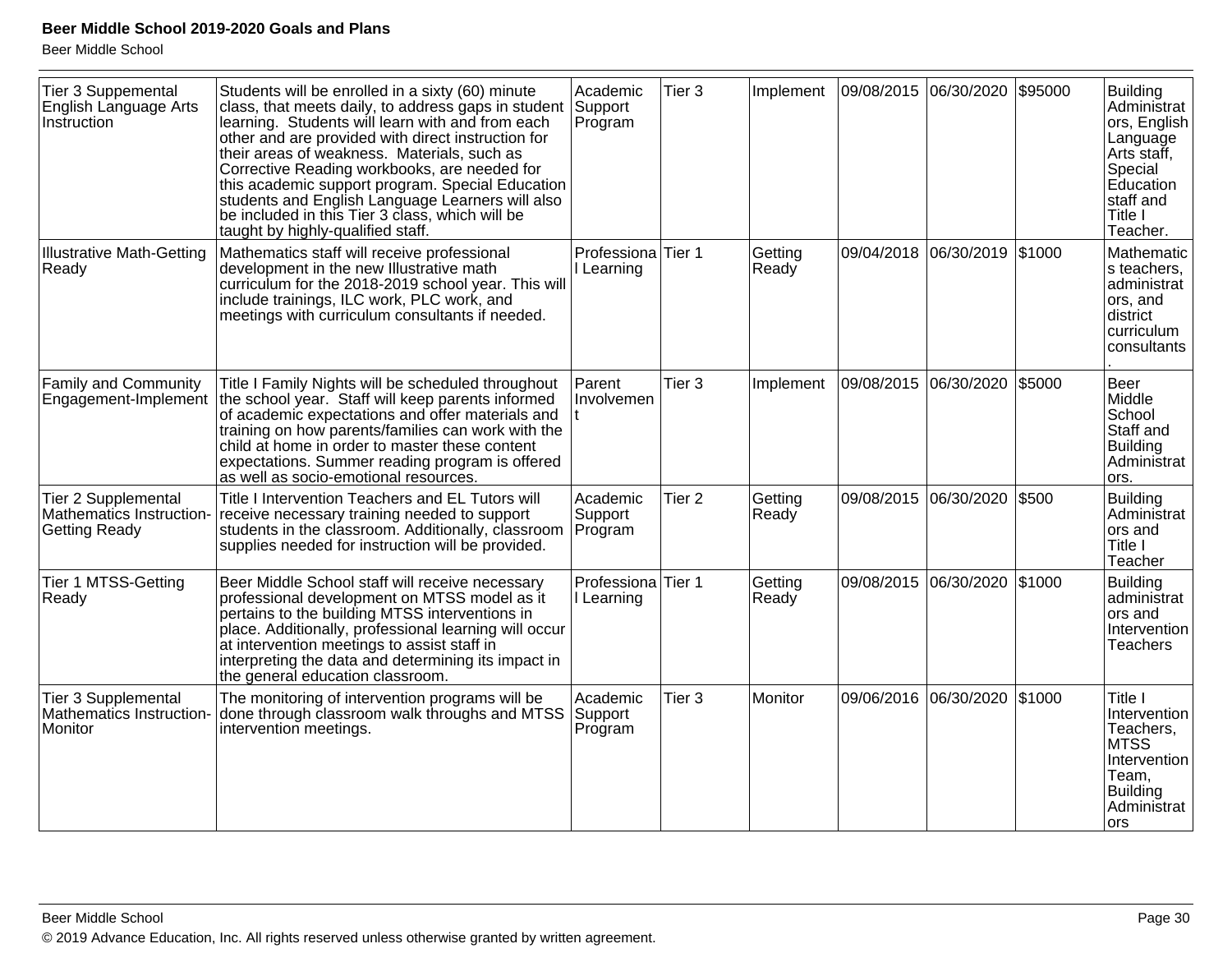| Tier 3 Suppemental<br>English Language Arts<br>Instruction              | Students will be enrolled in a sixty (60) minute<br>class, that meets daily, to address gaps in student<br>learning. Students will learn with and from each<br>other and are provided with direct instruction for<br>their areas of weakness. Materials, such as<br>Corrective Reading workbooks, are needed for<br>this academic support program. Special Education<br>students and English Language Learners will also<br>be included in this Tier 3 class, which will be<br>taught by highly-qualified staff. | Academic<br>Support<br>Program   | Tier <sub>3</sub> | Implement        | 09/08/2015 06/30/2020 |                       | \$95000 | <b>Building</b><br>Administrat<br>ors, English<br>Language<br>Arts staff,<br>Special<br>Education<br>staff and<br>Title I<br>Teacher. |
|-------------------------------------------------------------------------|------------------------------------------------------------------------------------------------------------------------------------------------------------------------------------------------------------------------------------------------------------------------------------------------------------------------------------------------------------------------------------------------------------------------------------------------------------------------------------------------------------------|----------------------------------|-------------------|------------------|-----------------------|-----------------------|---------|---------------------------------------------------------------------------------------------------------------------------------------|
| <b>Illustrative Math-Getting</b><br>Ready                               | Mathematics staff will receive professional<br>development in the new Illustrative math<br>curriculum for the 2018-2019 school year. This will<br>include trainings, ILC work, PLC work, and<br>meetings with curriculum consultants if needed.                                                                                                                                                                                                                                                                  | Professiona Tier 1<br>I Learning |                   | Getting<br>Ready |                       | 09/04/2018 06/30/2019 | \$1000  | Mathematic<br>s teachers,<br>administrat<br>ors, and<br>district<br>curriculum<br>consultants                                         |
| <b>Family and Community</b><br>Engagement-Implement                     | Title I Family Nights will be scheduled throughout<br>the school year. Staff will keep parents informed<br>of academic expectations and offer materials and<br>training on how parents/families can work with the<br>child at home in order to master these content<br>expectations. Summer reading program is offered<br>as well as socio-emotional resources.                                                                                                                                                  | Parent<br>Involvemen             | Tier <sub>3</sub> | Implement        |                       | 09/08/2015 06/30/2020 | \$5000  | Beer<br>Middle<br>School<br>Staff and<br><b>Building</b><br>Administrat<br>ors.                                                       |
| Tier 2 Supplemental<br>Mathematics Instruction-<br><b>Getting Ready</b> | Title I Intervention Teachers and EL Tutors will<br>receive necessary training needed to support<br>students in the classroom. Additionally, classroom<br>supplies needed for instruction will be provided.                                                                                                                                                                                                                                                                                                      | Academic<br>Support<br>Program   | Tier <sub>2</sub> | Getting<br>Ready | 09/08/2015            | 06/30/2020            | \$500   | <b>Building</b><br>Administrat<br>ors and<br>Title I<br>Teacher                                                                       |
| <b>Tier 1 MTSS-Getting</b><br>Ready                                     | Beer Middle School staff will receive necessary<br>professional development on MTSS model as it<br>pertains to the building MTSS interventions in<br>place. Additionally, professional learning will occur<br>at intervention meetings to assist staff in<br>interpreting the data and determining its impact in<br>the general education classroom.                                                                                                                                                             | Professiona<br>I Learning        | Tier 1            | Getting<br>Ready | 09/08/2015            | 06/30/2020            | \$1000  | <b>Building</b><br>administrat<br>ors and<br>Intervention<br><b>Teachers</b>                                                          |
| <b>Tier 3 Supplemental</b><br>Mathematics Instruction-<br>Monitor       | The monitoring of intervention programs will be<br>done through classroom walk throughs and MTSS<br>intervention meetings.                                                                                                                                                                                                                                                                                                                                                                                       | Academic<br>Support<br>Program   | Tier <sub>3</sub> | Monitor          |                       | 09/06/2016 06/30/2020 | \$1000  | Title I<br>Intervention<br>Teachers,<br><b>MTSS</b><br>Intervention<br>Team,<br><b>Building</b><br>Administrat<br>lors                |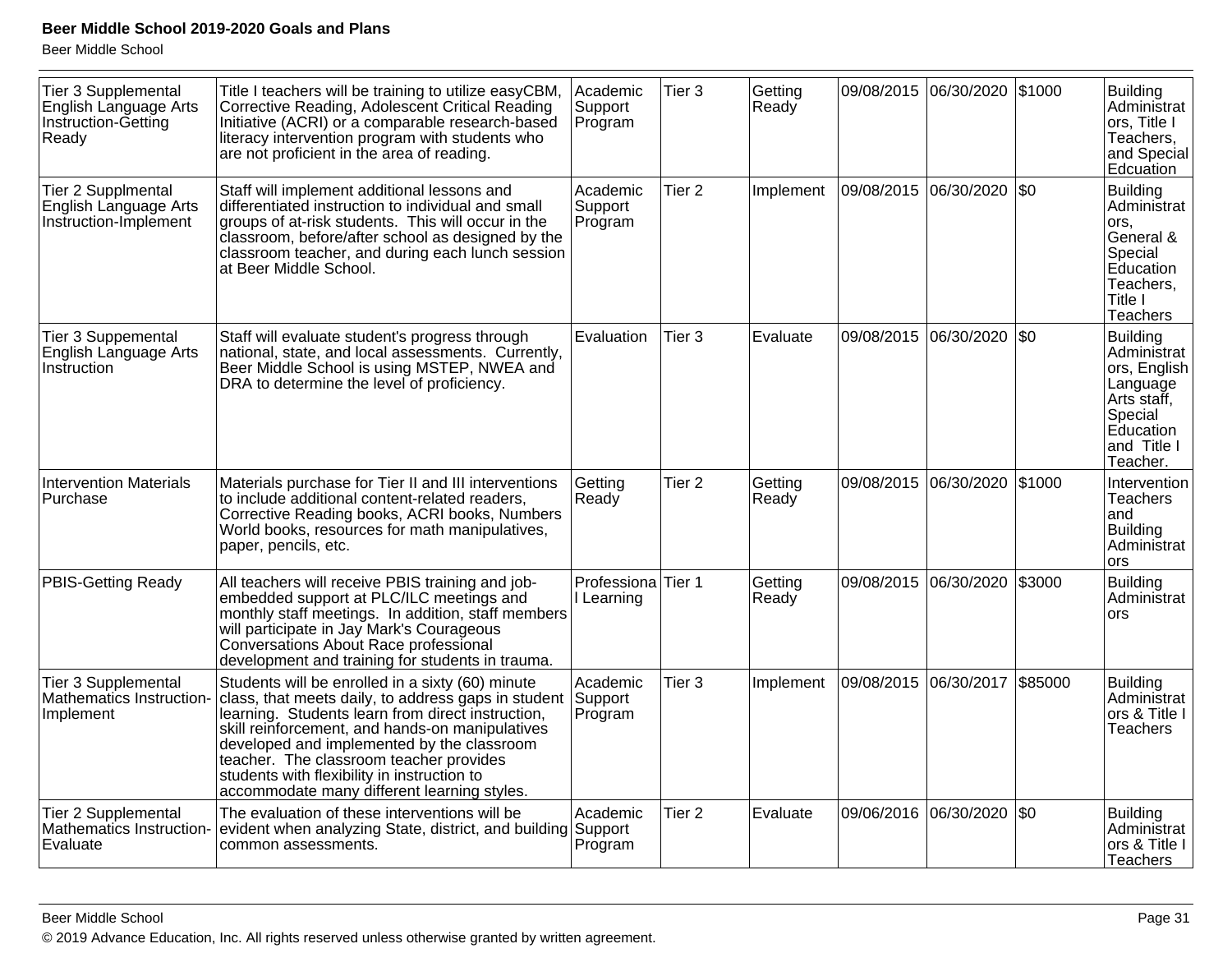| Instruction-Getting<br>Ready | <b>Tier 3 Supplemental</b><br>English Language Arts | Title I teachers will be training to utilize easyCBM,<br>Corrective Reading, Adolescent Critical Reading<br>Initiative (ACRI) or a comparable research-based<br>literacy intervention program with students who<br>are not proficient in the area of reading.                                                                                                                                          | Academic<br>Support<br>Program              | Tier <sub>3</sub> | Getting<br>Ready | 09/08/2015 06/30/2020 |            | \$1000  | <b>Building</b><br>Administrat<br>ors, Title I<br>Teachers,<br>and Special<br>Edcuation                                |
|------------------------------|-----------------------------------------------------|--------------------------------------------------------------------------------------------------------------------------------------------------------------------------------------------------------------------------------------------------------------------------------------------------------------------------------------------------------------------------------------------------------|---------------------------------------------|-------------------|------------------|-----------------------|------------|---------|------------------------------------------------------------------------------------------------------------------------|
| <b>Tier 2 Supplmental</b>    | English Language Arts<br>Instruction-Implement      | Staff will implement additional lessons and<br>differentiated instruction to individual and small<br>groups of at-risk students. This will occur in the<br>classroom, before/after school as designed by the<br>classroom teacher, and during each lunch session<br>at Beer Middle School.                                                                                                             | Academic<br>Support<br>Program              | Tier <sub>2</sub> | Implement        | 09/08/2015 06/30/2020 |            | $ $ \$0 | <b>Building</b><br>Administrat<br>ors,<br>General &<br>Special<br>Education<br>Teachers,<br>Title I<br><b>Teachers</b> |
| Instruction                  | Tier 3 Suppemental<br>English Language Arts         | Staff will evaluate student's progress through<br>national, state, and local assessments. Currently,<br>Beer Middle School is using MSTEP, NWEA and<br>DRA to determine the level of proficiency.                                                                                                                                                                                                      | Evaluation                                  | Tier <sub>3</sub> | Evaluate         | 09/08/2015 06/30/2020 |            | \$0     | Building<br>Administrat<br>ors, English<br>Language<br>Arts staff,<br>Special<br>Education<br>and Title I<br>Teacher.  |
| Purchase                     | <b>Intervention Materials</b>                       | Materials purchase for Tier II and III interventions<br>to include additional content-related readers,<br>Corrective Reading books, ACRI books, Numbers<br>World books, resources for math manipulatives,<br>paper, pencils, etc.                                                                                                                                                                      | Getting<br>Ready                            | Tier <sub>2</sub> | Getting<br>Ready | 09/08/2015            | 06/30/2020 | \$1000  | Intervention<br><b>Teachers</b><br>and<br><b>Building</b><br>Administrat<br>ors                                        |
|                              | PBIS-Getting Ready                                  | All teachers will receive PBIS training and job-<br>embedded support at PLC/ILC meetings and<br>monthly staff meetings. In addition, staff members<br>will participate in Jay Mark's Courageous<br>Conversations About Race professional<br>development and training for students in trauma.                                                                                                           | Professiona <sup>Tier</sup> 1<br>I Learning |                   | Getting<br>Ready | 09/08/2015 06/30/2020 |            | \$3000  | <b>Building</b><br>Administrat<br>ors                                                                                  |
| Implement                    | Tier 3 Supplemental<br>Mathematics Instruction-     | Students will be enrolled in a sixty (60) minute<br>class, that meets daily, to address gaps in student<br>learning. Students learn from direct instruction,<br>skill reinforcement, and hands-on manipulatives<br>developed and implemented by the classroom<br>teacher. The classroom teacher provides<br>students with flexibility in instruction to<br>accommodate many different learning styles. | Academic<br>Support<br>Program              | Tier <sub>3</sub> | Implement        | 09/08/2015 06/30/2017 |            | \$85000 | Building<br>Administrat<br>ors & Title I<br><b>Teachers</b>                                                            |
| Evaluate                     | Tier 2 Supplemental<br>Mathematics Instruction-     | The evaluation of these interventions will be<br>evident when analyzing State, district, and building Support<br>common assessments.                                                                                                                                                                                                                                                                   | Academic<br>Program                         | Tier <sub>2</sub> | Evaluate         | 09/06/2016 06/30/2020 |            | \$0     | <b>Building</b><br>Administrat<br>ors & Title I<br><b>Teachers</b>                                                     |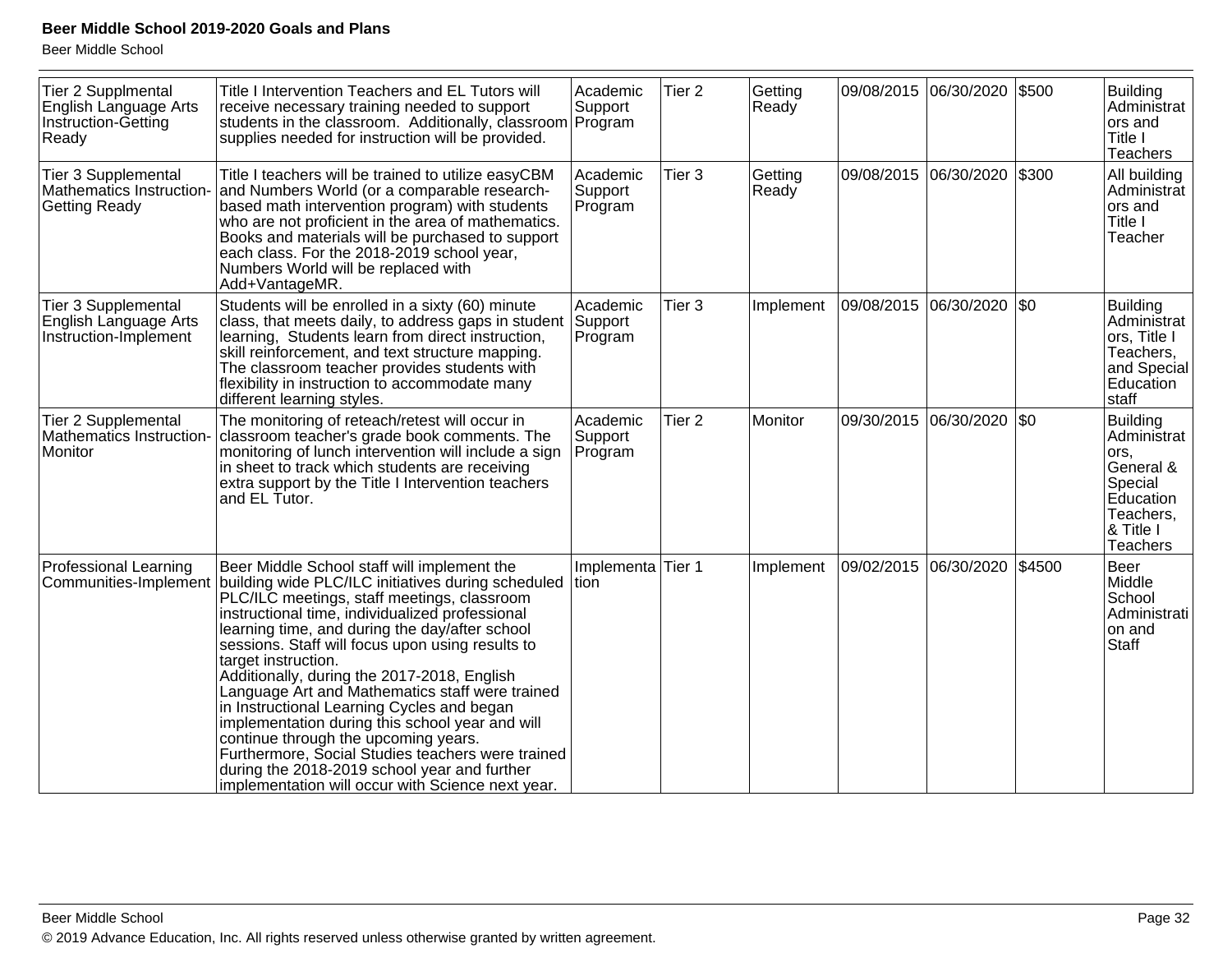| Tier 2 Supplmental<br>English Language Arts<br>Instruction-Getting<br>Ready | Title I Intervention Teachers and EL Tutors will<br>receive necessary training needed to support<br>students in the classroom. Additionally, classroom Program<br>supplies needed for instruction will be provided.                                                                                                                                                                                                                                                                                                                                                                                                                                                                                                                                         | Academic<br>Support            | Tier <sub>2</sub> | Getting<br>Ready |                       | 09/08/2015 06/30/2020 | \$500  | <b>Building</b><br>Administrat<br>ors and<br>Title I<br>Teachers                                                         |
|-----------------------------------------------------------------------------|-------------------------------------------------------------------------------------------------------------------------------------------------------------------------------------------------------------------------------------------------------------------------------------------------------------------------------------------------------------------------------------------------------------------------------------------------------------------------------------------------------------------------------------------------------------------------------------------------------------------------------------------------------------------------------------------------------------------------------------------------------------|--------------------------------|-------------------|------------------|-----------------------|-----------------------|--------|--------------------------------------------------------------------------------------------------------------------------|
| Tier 3 Supplemental<br>Mathematics Instruction-<br><b>Getting Ready</b>     | Title I teachers will be trained to utilize easyCBM<br>and Numbers World (or a comparable research-<br>based math intervention program) with students<br>who are not proficient in the area of mathematics.<br>Books and materials will be purchased to support<br>each class. For the 2018-2019 school year,<br>Numbers World will be replaced with<br>Add+VantageMR.                                                                                                                                                                                                                                                                                                                                                                                      | Academic<br>Support<br>Program | Tier 3            | Getting<br>Ready | 09/08/2015            | 06/30/2020            | \$300  | All building<br>Administrat<br>ors and<br>Title I<br>Teacher                                                             |
| Tier 3 Supplemental<br>English Language Arts<br>Instruction-Implement       | Students will be enrolled in a sixty (60) minute<br>class, that meets daily, to address gaps in student<br>learning, Students learn from direct instruction,<br>skill reinforcement, and text structure mapping.<br>The classroom teacher provides students with<br>flexibility in instruction to accommodate many<br>different learning styles.                                                                                                                                                                                                                                                                                                                                                                                                            | Academic<br>Support<br>Program | Tier <sub>3</sub> | Implement        | 09/08/2015            | 06/30/2020            | \$0    | <b>Building</b><br>Administrat<br>ors, Title I<br>Teachers,<br>and Special<br>Education<br>staff                         |
| <b>Tier 2 Supplemental</b><br>Mathematics Instruction-<br>Monitor           | The monitoring of reteach/retest will occur in<br>classroom teacher's grade book comments. The<br>monitoring of lunch intervention will include a sign<br>in sheet to track which students are receiving<br>extra support by the Title I Intervention teachers<br>and EL Tutor.                                                                                                                                                                                                                                                                                                                                                                                                                                                                             | Academic<br>Support<br>Program | Tier <sub>2</sub> | Monitor          | 09/30/2015            | 06/30/2020            | \$0    | <b>Building</b><br>Administrat<br>ors,<br>General &<br>Special<br>Education<br>Teachers,<br>& Title I<br><b>Teachers</b> |
| <b>Professional Learning</b>                                                | Beer Middle School staff will implement the<br>Communities-Implement building wide PLC/ILC initiatives during scheduled<br>PLC/ILC meetings, staff meetings, classroom<br>instructional time, individualized professional<br>learning time, and during the day/after school<br>sessions. Staff will focus upon using results to<br>target instruction.<br>Additionally, during the 2017-2018, English<br>Language Art and Mathematics staff were trained<br>in Instructional Learning Cycles and began<br>implementation during this school year and will<br>continue through the upcoming years.<br>Furthermore, Social Studies teachers were trained<br>during the 2018-2019 school year and further<br>implementation will occur with Science next year. | Implementa Tier 1<br>tion      |                   | Implement        | 09/02/2015 06/30/2020 |                       | \$4500 | Beer<br>Middle<br>School<br>Administrati<br>on and<br><b>Staff</b>                                                       |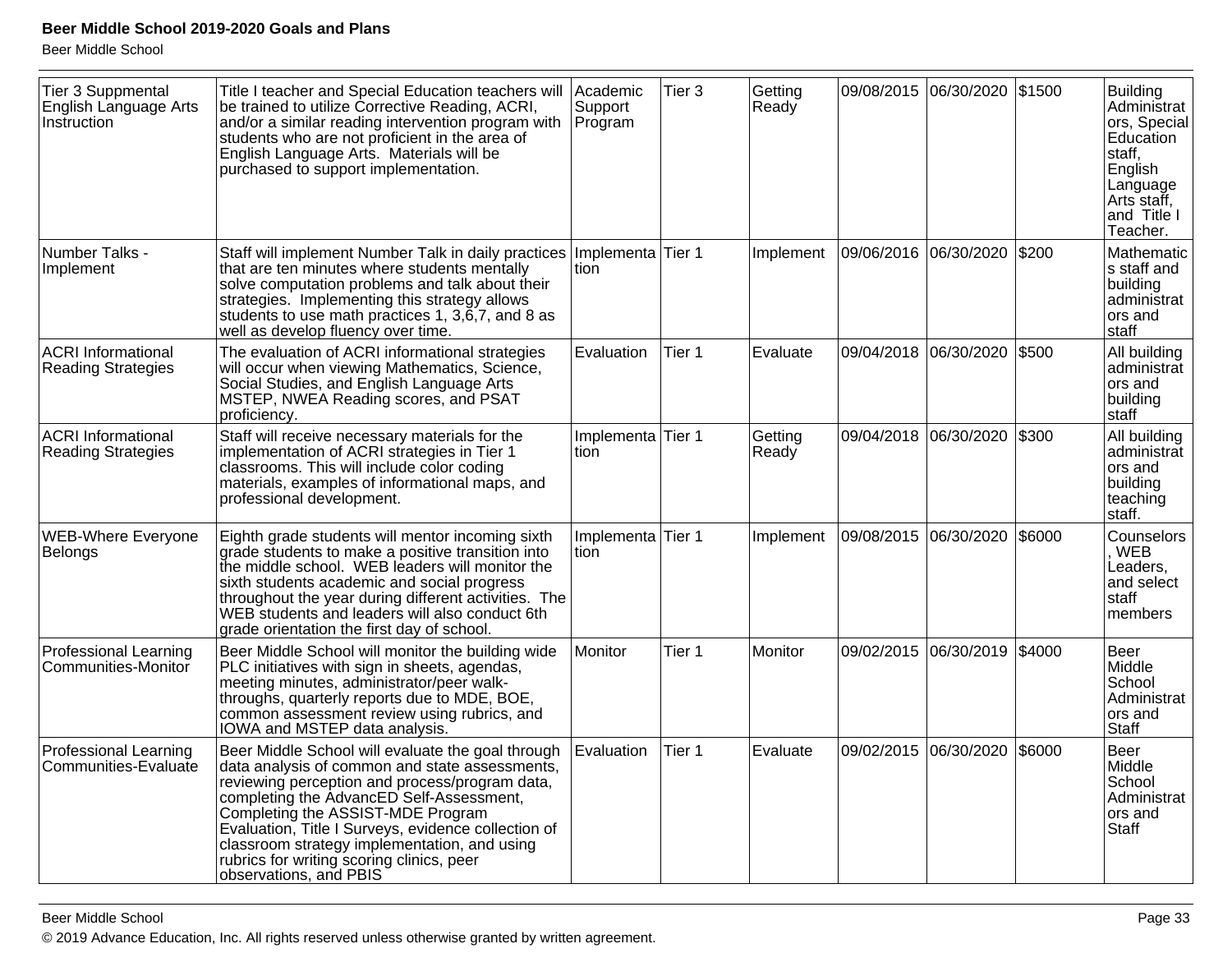| <b>Tier 3 Suppmental</b><br>English Language Arts<br>Instruction | Title I teacher and Special Education teachers will<br>be trained to utilize Corrective Reading, ACRI,<br>and/or a similar reading intervention program with<br>students who are not proficient in the area of<br>English Language Arts. Materials will be<br>purchased to support implementation.                                                                                                                   | Academic<br>Support<br>Program | Tier 3 | Getting<br>Ready |                       | 09/08/2015 06/30/2020 | \$1500 | <b>Building</b><br>Administrat<br>ors, Special<br>Education<br>staff,<br>English<br>Language<br>Arts staff,<br>and Title I<br>Teacher. |
|------------------------------------------------------------------|----------------------------------------------------------------------------------------------------------------------------------------------------------------------------------------------------------------------------------------------------------------------------------------------------------------------------------------------------------------------------------------------------------------------|--------------------------------|--------|------------------|-----------------------|-----------------------|--------|----------------------------------------------------------------------------------------------------------------------------------------|
| Number Talks -<br>Implement                                      | Staff will implement Number Talk in daily practices<br>that are ten minutes where students mentally<br>solve computation problems and talk about their<br>strategies. Implementing this strategy allows<br>students to use math practices 1, 3,6,7, and 8 as<br>well as develop fluency over time.                                                                                                                   | Implementa Tier 1<br>tion      |        | Implement        | 09/06/2016 06/30/2020 |                       | \$200  | Mathematic<br>s staff and<br>building<br>administrat<br>ors and<br>staff                                                               |
| <b>ACRI Informational</b><br><b>Reading Strategies</b>           | The evaluation of ACRI informational strategies<br>will occur when viewing Mathematics, Science,<br>Social Studies, and English Language Arts<br>MSTEP, NWEA Reading scores, and PSAT<br>proficiency.                                                                                                                                                                                                                | Evaluation                     | Tier 1 | Evaluate         |                       | 09/04/2018 06/30/2020 | \$500  | All building<br>administrat<br>ors and<br>building<br>staff                                                                            |
| <b>ACRI Informational</b><br><b>Reading Strategies</b>           | Staff will receive necessary materials for the<br>implementation of ACRI strategies in Tier 1<br>classrooms. This will include color coding<br>materials, examples of informational maps, and<br>professional development.                                                                                                                                                                                           | Implementa Tier 1<br>tion      |        | Getting<br>Ready |                       | 09/04/2018 06/30/2020 | \$300  | All building<br>administrat<br>ors and<br>building<br>teaching<br>staff.                                                               |
| WEB-Where Everyone<br>Belongs                                    | Eighth grade students will mentor incoming sixth<br>grade students to make a positive transition into<br>the middle school. WEB leaders will monitor the<br>sixth students academic and social progress<br>throughout the year during different activities. The<br>WEB students and leaders will also conduct 6th<br>grade orientation the first day of school.                                                      | Implementa<br>tion             | Tier 1 | Implement        | 09/08/2015 06/30/2020 |                       | \$6000 | Counselors<br>, WEB<br>Leaders,<br>and select<br>staff<br>members                                                                      |
| <b>Professional Learning</b><br>Communities-Monitor              | Beer Middle School will monitor the building wide<br>PLC initiatives with sign in sheets, agendas,<br>meeting minutes, administrator/peer walk-<br>throughs, quarterly reports due to MDE, BOE,<br>common assessment review using rubrics, and<br>IOWA and MSTEP data analysis.                                                                                                                                      | Monitor                        | Tier 1 | Monitor          |                       | 09/02/2015 06/30/2019 | \$4000 | Beer<br>Middle<br>School<br>Administrat<br>ors and<br>Staff                                                                            |
| <b>Professional Learning</b><br>Communities-Evaluate             | Beer Middle School will evaluate the goal through<br>data analysis of common and state assessments,<br>reviewing perception and process/program data,<br>completing the AdvancED Self-Assessment,<br>Completing the ASSIST-MDE Program<br>Evaluation, Title I Surveys, evidence collection of<br>classroom strategy implementation, and using<br>rubrics for writing scoring clinics, peer<br>observations, and PBIS | Evaluation                     | Tier 1 | Evaluate         | 09/02/2015            | 06/30/2020            | \$6000 | Beer<br>Middle<br>School<br>Administrat<br>ors and<br>Staff                                                                            |